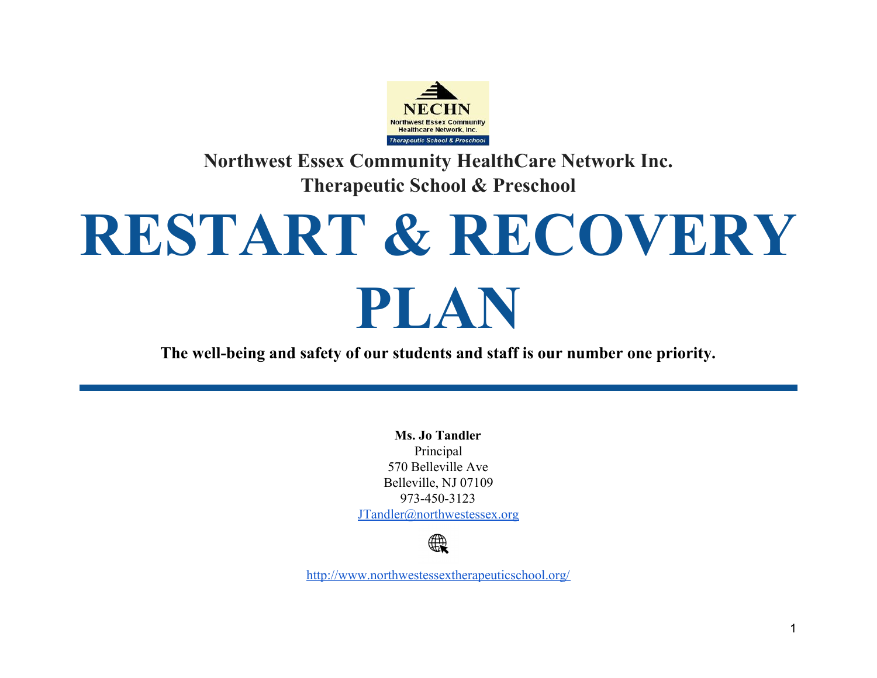

**Northwest Essex Community HealthCare Network Inc. Therapeutic School & Preschool**

# **RESTART & RECOVERY PLAN**

**The well-being and safety of our students and staff is our number one priority.**

**Ms. Jo Tandler** Principal 570 Belleville Ave Belleville, NJ 07109 973-450-3123 [JTandler@northwestessex.org](mailto:JTandler@northwestessex.org)



<http://www.northwestessextherapeuticschool.org/>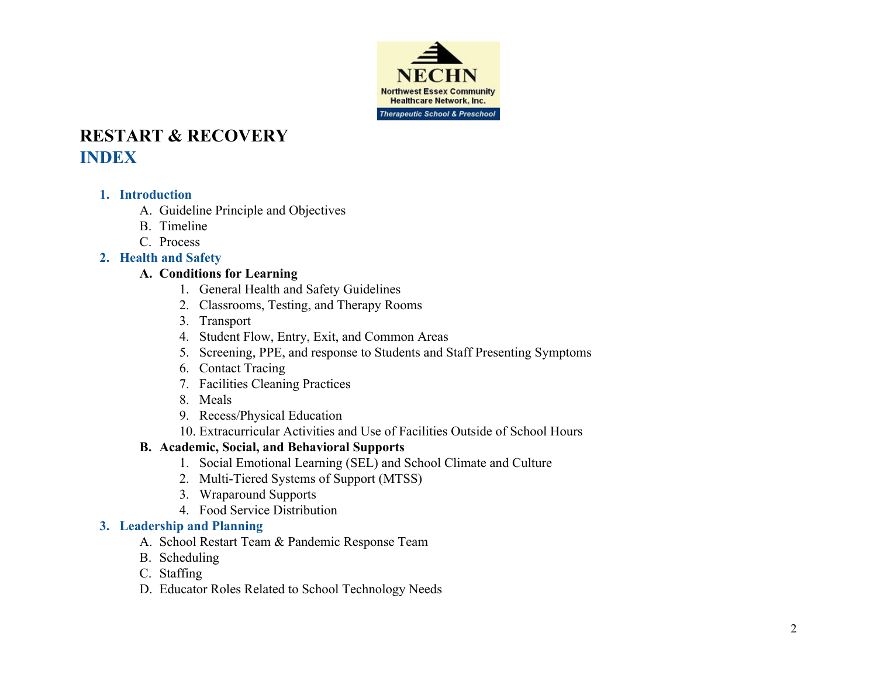

# **RESTART & RECOVERY INDEX**

#### **1. Introduction**

- A. Guideline Principle and Objectives
- B. Timeline
- C. Process

#### **2. Health and Safety**

#### **A. Conditions for Learning**

- 1. General Health and Safety Guidelines
- 2. Classrooms, Testing, and Therapy Rooms
- 3. Transport
- 4. Student Flow, Entry, Exit, and Common Areas
- 5. Screening, PPE, and response to Students and Staff Presenting Symptoms
- 6. Contact Tracing
- 7. Facilities Cleaning Practices
- 8. Meals
- 9. Recess/Physical Education
- 10. Extracurricular Activities and Use of Facilities Outside of School Hours

#### **B. Academic, Social, and Behavioral Supports**

- 1. Social Emotional Learning (SEL) and School Climate and Culture
- 2. Multi-Tiered Systems of Support (MTSS)
- 3. Wraparound Supports
- 4. Food Service Distribution

#### **3. Leadership and Planning**

- A. School Restart Team & Pandemic Response Team
- B. Scheduling
- C. Staffing
- D. Educator Roles Related to School Technology Needs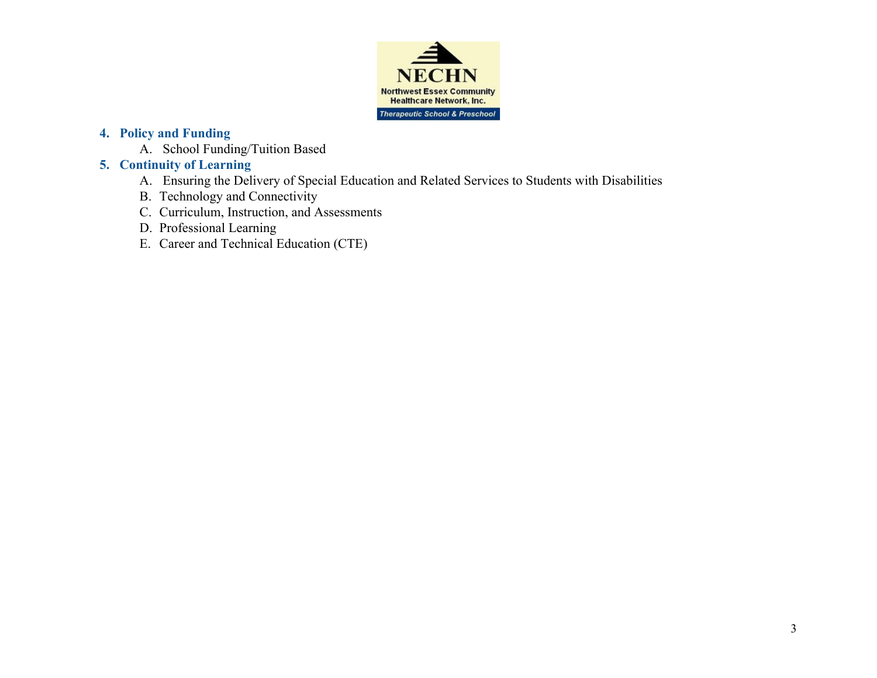

#### **4. Policy and Funding**

A. School Funding/Tuition Based

#### **5. Continuity of Learning**

- A. Ensuring the Delivery of Special Education and Related Services to Students with Disabilities
- B. Technology and Connectivity
- C. Curriculum, Instruction, and Assessments
- D. Professional Learning
- E. Career and Technical Education (CTE)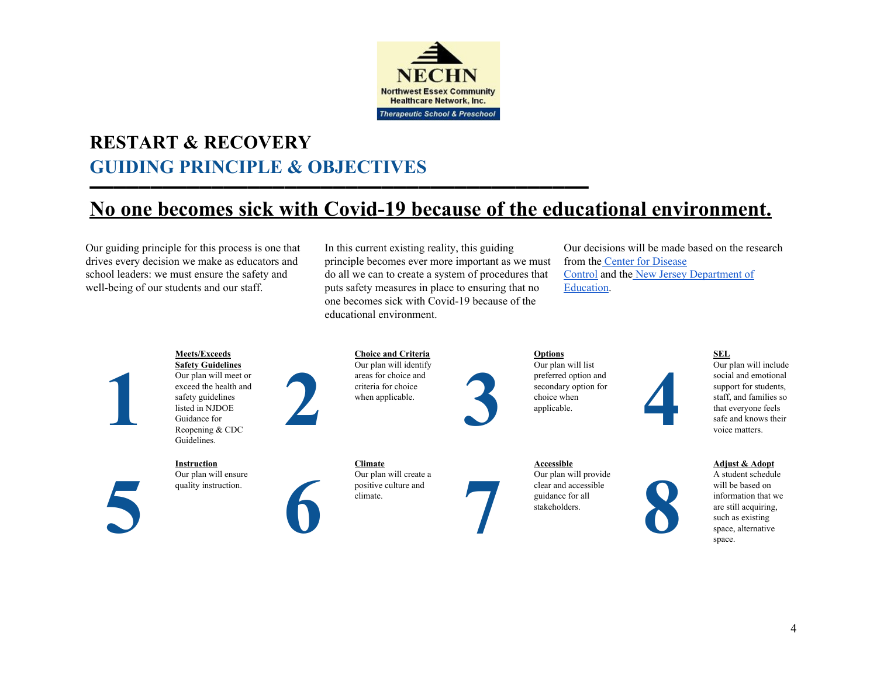

# **RESTART & RECOVERY GUIDING PRINCIPLE & OBJECTIVES**

<u>▬▬▬▬▬▬▬▬▬▬▬▬▬▬▬▬▬▬▬▬▬</u>

# **No one becomes sick with Covid-19 because of the educational environment.**

Our guiding principle for this process is one that drives every decision we make as educators and school leaders: we must ensure the safety and well-being of our students and our staff.

In this current existing reality, this guiding principle becomes ever more important as we must do all we can to create a system of procedures that puts safety measures in place to ensuring that no one becomes sick with Covid-19 because of the educational environment.

Our decisions will be made based on the research from the Center for [Disease](https://www.cdc.gov/coronavirus/2019-ncov/community/schools-childcare/schools.html) [Control](https://www.cdc.gov/coronavirus/2019-ncov/community/schools-childcare/schools.html) and the New Jersey [Department](https://www.nj.gov/education/reopening/NJDOETheRoadBack.pdf) of [Education.](https://www.nj.gov/education/reopening/NJDOETheRoadBack.pdf)

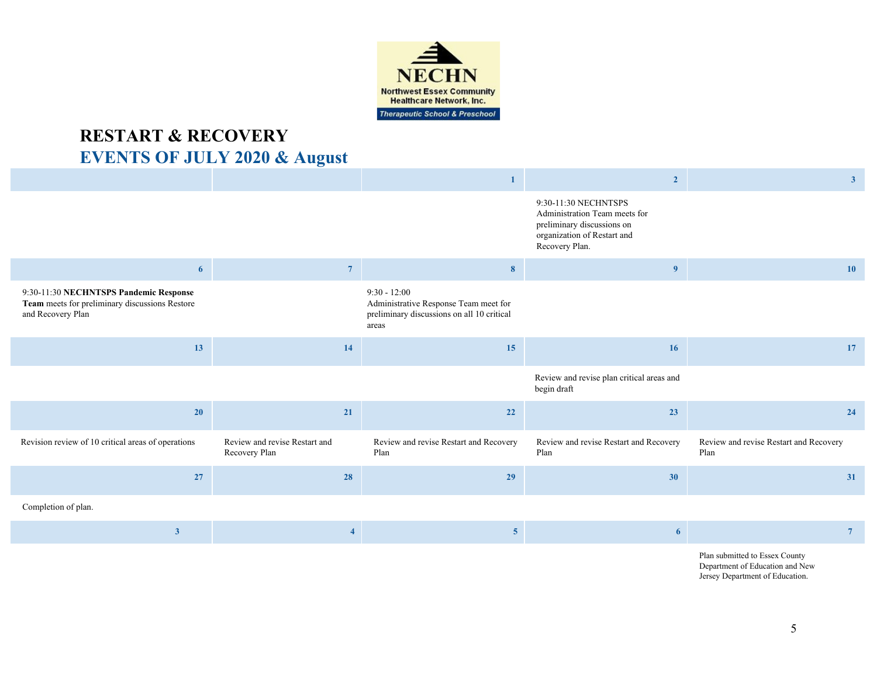

# **RESTART & RECOVERY EVENTS OF JULY 2020 & August**

|                                                                                                               |                                                | $\mathbf{1}$                                                                                                   | $\overline{2}$                                                                                                                       | 3 <sup>2</sup>                                 |
|---------------------------------------------------------------------------------------------------------------|------------------------------------------------|----------------------------------------------------------------------------------------------------------------|--------------------------------------------------------------------------------------------------------------------------------------|------------------------------------------------|
|                                                                                                               |                                                |                                                                                                                | 9:30-11:30 NECHNTSPS<br>Administration Team meets for<br>preliminary discussions on<br>organization of Restart and<br>Recovery Plan. |                                                |
| 6                                                                                                             | 7 <sup>7</sup>                                 | 8                                                                                                              | 9                                                                                                                                    | <b>10</b>                                      |
| 9:30-11:30 NECHNTSPS Pandemic Response<br>Team meets for preliminary discussions Restore<br>and Recovery Plan |                                                | $9:30 - 12:00$<br>Administrative Response Team meet for<br>preliminary discussions on all 10 critical<br>areas |                                                                                                                                      |                                                |
| 13                                                                                                            | 14                                             | 15                                                                                                             | 16                                                                                                                                   | 17                                             |
|                                                                                                               |                                                |                                                                                                                | Review and revise plan critical areas and<br>begin draft                                                                             |                                                |
| <b>20</b>                                                                                                     | 21                                             | <b>22</b>                                                                                                      | 23                                                                                                                                   | 24                                             |
| Revision review of 10 critical areas of operations                                                            | Review and revise Restart and<br>Recovery Plan | Review and revise Restart and Recovery<br>Plan                                                                 | Review and revise Restart and Recovery<br>Plan                                                                                       | Review and revise Restart and Recovery<br>Plan |
|                                                                                                               |                                                |                                                                                                                |                                                                                                                                      |                                                |
| 27                                                                                                            | 28                                             | 29                                                                                                             | 30                                                                                                                                   | 31                                             |
| Completion of plan.                                                                                           |                                                |                                                                                                                |                                                                                                                                      |                                                |
| $\overline{\mathbf{3}}$                                                                                       | $\overline{\mathbf{4}}$                        | 5 <sub>5</sub>                                                                                                 | 6                                                                                                                                    | $7\phantom{.0}$                                |

Department of Education and New Jersey Department of Education.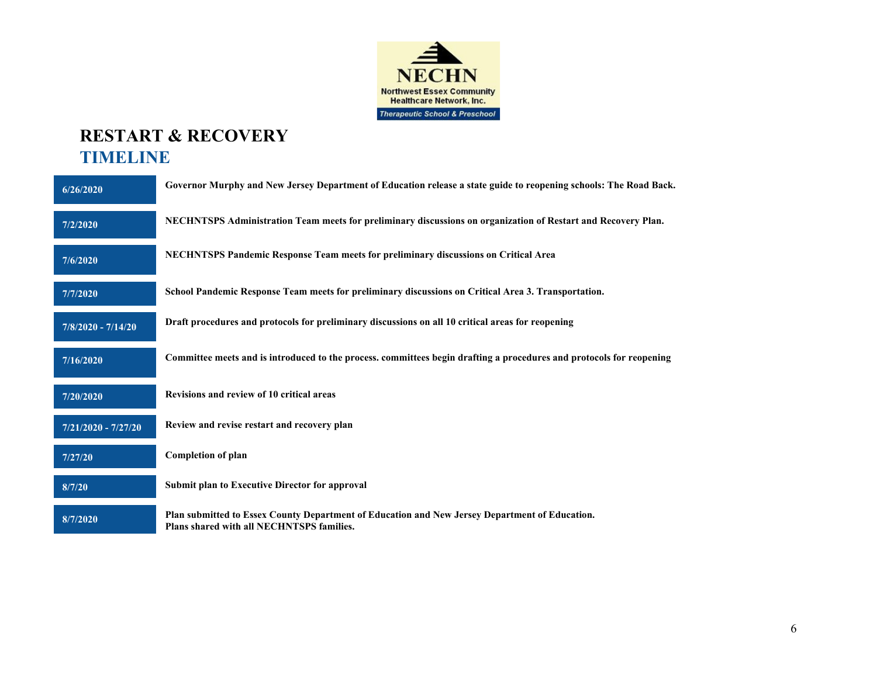

# **RESTART & RECOVERY TIMELINE**

| 6/26/2020             | Governor Murphy and New Jersey Department of Education release a state guide to reopening schools: The Road Back.                           |
|-----------------------|---------------------------------------------------------------------------------------------------------------------------------------------|
| 7/2/2020              | NECHNTSPS Administration Team meets for preliminary discussions on organization of Restart and Recovery Plan.                               |
| 7/6/2020              | <b>NECHNTSPS Pandemic Response Team meets for preliminary discussions on Critical Area</b>                                                  |
| 7/7/2020              | School Pandemic Response Team meets for preliminary discussions on Critical Area 3. Transportation.                                         |
| $7/8/2020 - 7/14/20$  | Draft procedures and protocols for preliminary discussions on all 10 critical areas for reopening                                           |
| 7/16/2020             | Committee meets and is introduced to the process. committees begin drafting a procedures and protocols for reopening                        |
| 7/20/2020             | Revisions and review of 10 critical areas                                                                                                   |
| $7/21/2020 - 7/27/20$ | Review and revise restart and recovery plan                                                                                                 |
| 7/27/20               | <b>Completion of plan</b>                                                                                                                   |
| 8/7/20                | <b>Submit plan to Executive Director for approval</b>                                                                                       |
| 8/7/2020              | Plan submitted to Essex County Department of Education and New Jersey Department of Education.<br>Plans shared with all NECHNTSPS families. |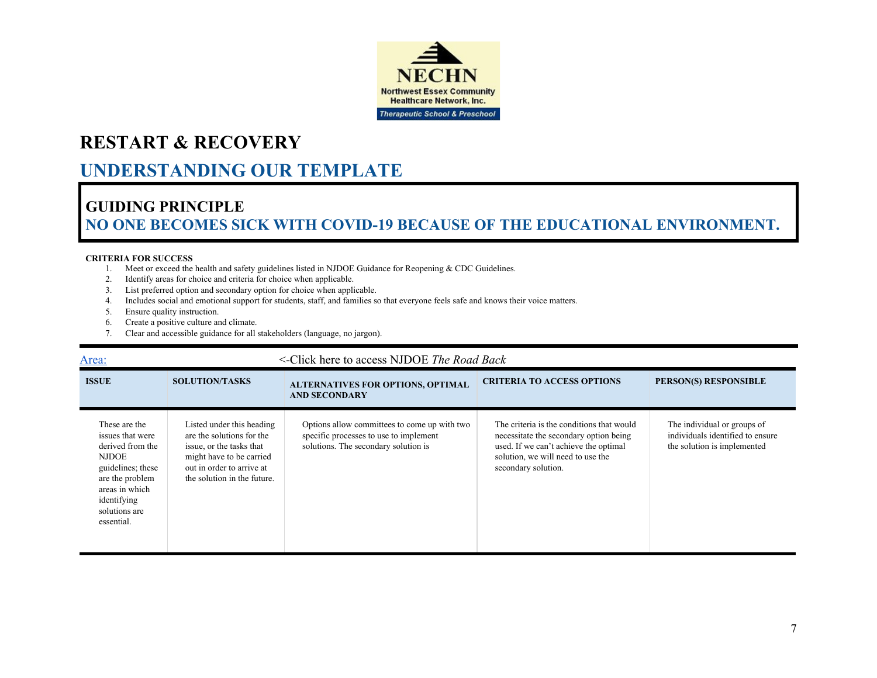

# **UNDERSTANDING OUR TEMPLATE**

# **GUIDING PRINCIPLE NO ONE BECOMES SICK WITH COVID-19 BECAUSE OF THE EDUCATIONAL ENVIRONMENT.**

#### **CRITERIA FOR SUCCESS**

- 1. Meet or exceed the health and safety guidelines listed in NJDOE Guidance for Reopening & CDC Guidelines.
- 2. Identify areas for choice and criteria for choice when applicable.
- 3. List preferred option and secondary option for choice when applicable.
- 4. Includes social and emotional support for students, staff, and families so that everyone feels safe and knows their voice matters.
- 5. Ensure quality instruction.
- 6. Create a positive culture and climate.
- 7. Clear and accessible guidance for all stakeholders (language, no jargon).

| <u>Area:</u>                                                                                                                                                                  | <-Click here to access NJDOE The Road Back                                                                                                                                 |                                                                                                                                |                                                                                                                                                                                          |                                                                                                |  |  |
|-------------------------------------------------------------------------------------------------------------------------------------------------------------------------------|----------------------------------------------------------------------------------------------------------------------------------------------------------------------------|--------------------------------------------------------------------------------------------------------------------------------|------------------------------------------------------------------------------------------------------------------------------------------------------------------------------------------|------------------------------------------------------------------------------------------------|--|--|
| <b>ISSUE</b>                                                                                                                                                                  | <b>SOLUTION/TASKS</b>                                                                                                                                                      | <b>ALTERNATIVES FOR OPTIONS, OPTIMAL</b><br><b>AND SECONDARY</b>                                                               | <b>CRITERIA TO ACCESS OPTIONS</b>                                                                                                                                                        | PERSON(S) RESPONSIBLE                                                                          |  |  |
| These are the<br>issues that were<br>derived from the<br><b>NJDOE</b><br>guidelines; these<br>are the problem<br>areas in which<br>identifying<br>solutions are<br>essential. | Listed under this heading<br>are the solutions for the<br>issue, or the tasks that<br>might have to be carried<br>out in order to arrive at<br>the solution in the future. | Options allow committees to come up with two<br>specific processes to use to implement<br>solutions. The secondary solution is | The criteria is the conditions that would<br>necessitate the secondary option being<br>used. If we can't achieve the optimal<br>solution, we will need to use the<br>secondary solution. | The individual or groups of<br>individuals identified to ensure<br>the solution is implemented |  |  |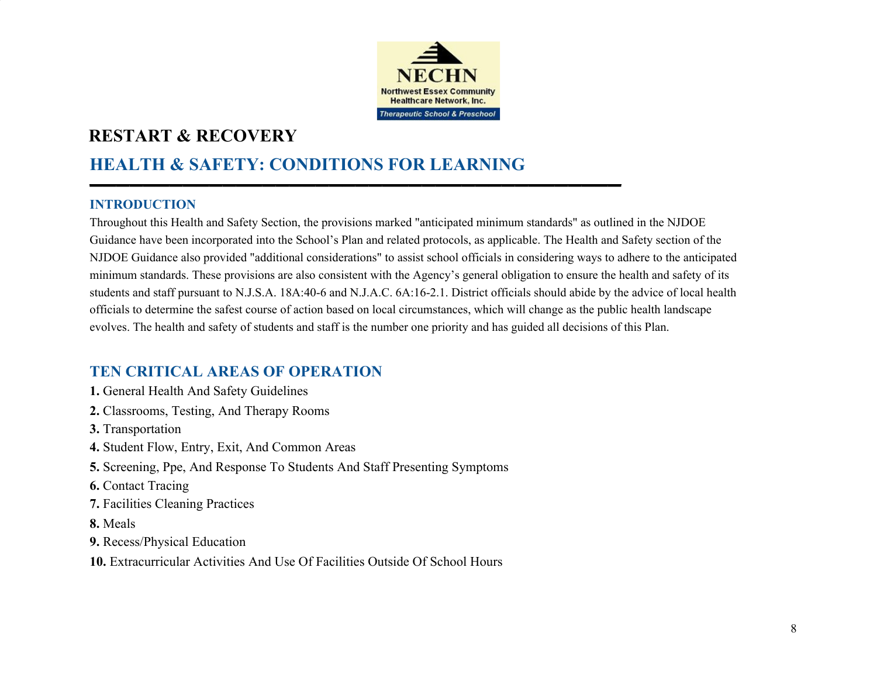

# **HEALTH & SAFETY: CONDITIONS FOR LEARNING**

▬▬▬▬▬▬▬▬▬▬▬▬▬▬▬▬▬▬▬▬▬▬▬▬▬▬▬▬▬▬▬▬▬▬▬▬▬▬▬▬

#### **INTRODUCTION**

Throughout this Health and Safety Section, the provisions marked "anticipated minimum standards" as outlined in the NJDOE Guidance have been incorporated into the School's Plan and related protocols, as applicable. The Health and Safety section of the NJDOE Guidance also provided "additional considerations" to assist school officials in considering ways to adhere to the anticipated minimum standards. These provisions are also consistent with the Agency's general obligation to ensure the health and safety of its students and staff pursuant to N.J.S.A. 18A:40-6 and N.J.A.C. 6A:16-2.1. District officials should abide by the advice of local health officials to determine the safest course of action based on local circumstances, which will change as the public health landscape evolves. The health and safety of students and staff is the number one priority and has guided all decisions of this Plan.

## **TEN CRITICAL AREAS OF OPERATION**

- **1.** General Health And Safety Guidelines
- **2.** Classrooms, Testing, And Therapy Rooms
- **3.** Transportation
- **4.** Student Flow, Entry, Exit, And Common Areas
- **5.** Screening, Ppe, And Response To Students And Staff Presenting Symptoms
- **6.** Contact Tracing
- **7.** Facilities Cleaning Practices
- **8.** Meals
- **9.** Recess/Physical Education
- **10.** Extracurricular Activities And Use Of Facilities Outside Of School Hours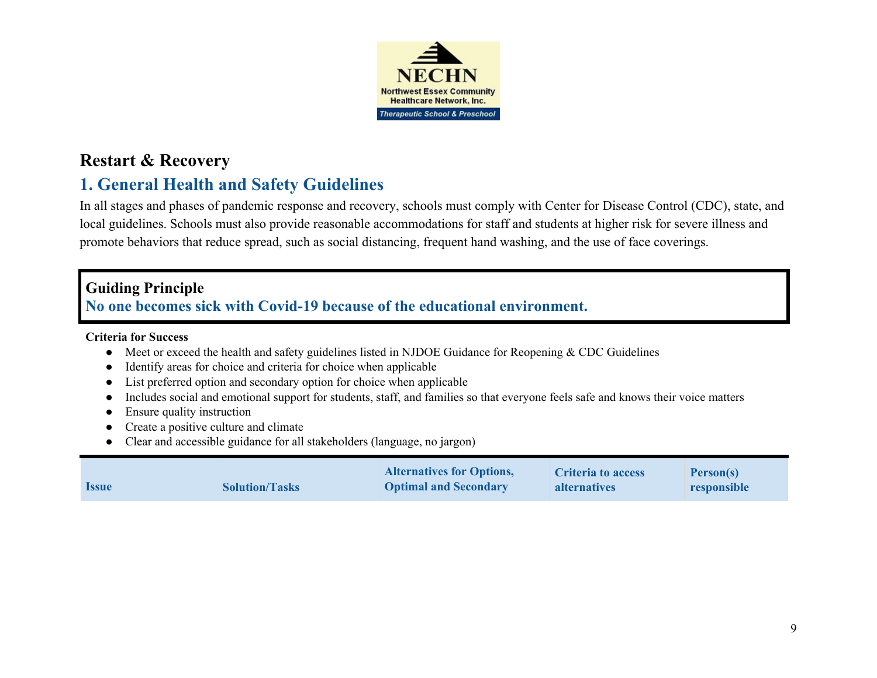

# **Restart & Recovery**

# **1. General Health and Safety Guidelines**

In all stages and phases of pandemic response and recovery, schools must comply with Center for Disease Control (CDC), state, and local guidelines. Schools must also provide reasonable accommodations for staff and students at higher risk for severe illness and promote behaviors that reduce spread, such as social distancing, frequent hand washing, and the use of face coverings.

# **Guiding Principle**

# **No one becomes sick with Covid-19 because of the educational environment.**

#### **Criteria for Success**

- **●** Meet or exceed the health and safety guidelines listed in NJDOE Guidance for Reopening & CDC Guidelines
- **●** Identify areas for choice and criteria for choice when applicable
- **●** List preferred option and secondary option for choice when applicable
- **●** Includes social and emotional support for students, staff, and families so that everyone feels safe and knows their voice matters
- **●** Ensure quality instruction
- **●** Create a positive culture and climate
- **●** Clear and accessible guidance for all stakeholders (language, no jargon)

|              |                       | <b>Alternatives for Options,</b> | <b>Criteria to access</b> | <b>Person(s)</b> |
|--------------|-----------------------|----------------------------------|---------------------------|------------------|
| <b>Issue</b> | <b>Solution/Tasks</b> | <b>Optimal and Secondary</b>     | <b>alternatives</b>       | responsible      |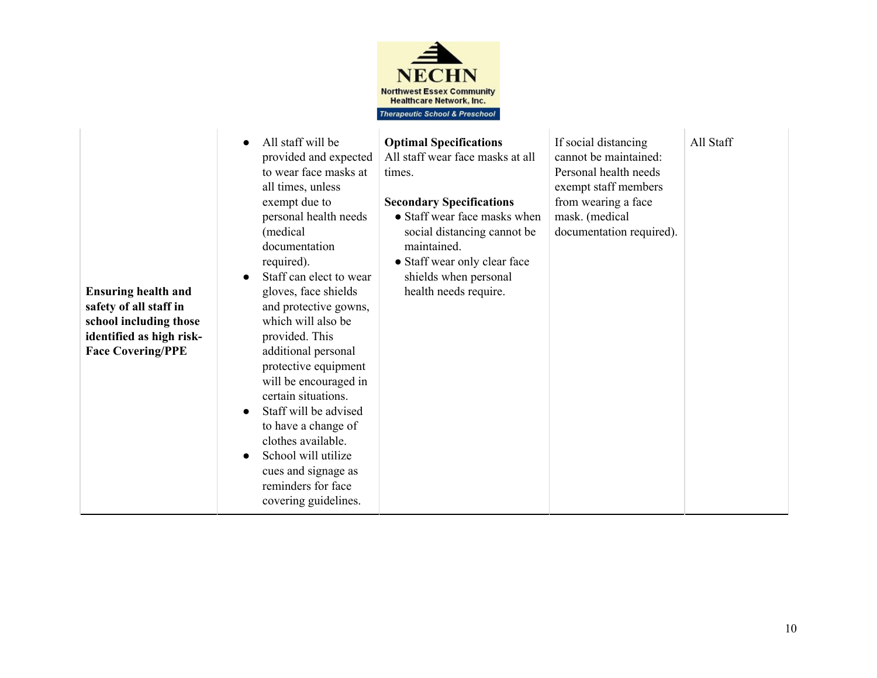

| <b>Ensuring health and</b><br>safety of all staff in<br>school including those<br>identified as high risk-<br><b>Face Covering/PPE</b> | All staff will be<br>provided and expected<br>to wear face masks at<br>all times, unless<br>exempt due to<br>personal health needs<br>(medical<br>documentation<br>required).<br>Staff can elect to wear<br>gloves, face shields<br>and protective gowns,<br>which will also be<br>provided. This<br>additional personal<br>protective equipment<br>will be encouraged in<br>certain situations.<br>Staff will be advised<br>to have a change of<br>clothes available.<br>School will utilize<br>cues and signage as<br>reminders for face<br>covering guidelines. | <b>Optimal Specifications</b><br>All staff wear face masks at all<br>times.<br><b>Secondary Specifications</b><br>• Staff wear face masks when<br>social distancing cannot be<br>maintained.<br>• Staff wear only clear face<br>shields when personal<br>health needs require. | If social distancing<br>cannot be maintained:<br>Personal health needs<br>exempt staff members<br>from wearing a face<br>mask. (medical<br>documentation required). | All Staff |
|----------------------------------------------------------------------------------------------------------------------------------------|--------------------------------------------------------------------------------------------------------------------------------------------------------------------------------------------------------------------------------------------------------------------------------------------------------------------------------------------------------------------------------------------------------------------------------------------------------------------------------------------------------------------------------------------------------------------|--------------------------------------------------------------------------------------------------------------------------------------------------------------------------------------------------------------------------------------------------------------------------------|---------------------------------------------------------------------------------------------------------------------------------------------------------------------|-----------|
|----------------------------------------------------------------------------------------------------------------------------------------|--------------------------------------------------------------------------------------------------------------------------------------------------------------------------------------------------------------------------------------------------------------------------------------------------------------------------------------------------------------------------------------------------------------------------------------------------------------------------------------------------------------------------------------------------------------------|--------------------------------------------------------------------------------------------------------------------------------------------------------------------------------------------------------------------------------------------------------------------------------|---------------------------------------------------------------------------------------------------------------------------------------------------------------------|-----------|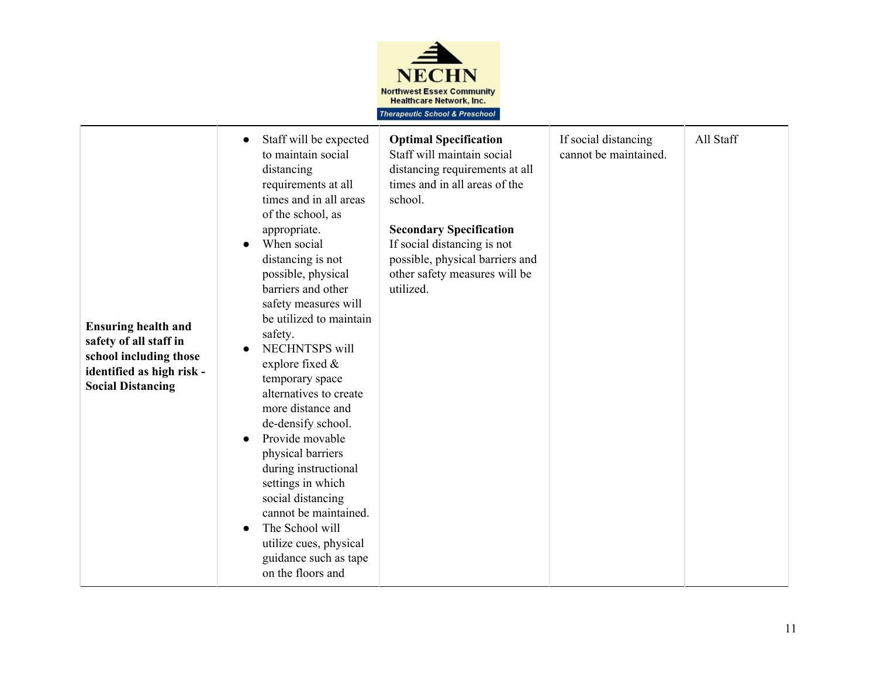

| <b>Ensuring health and</b><br>safety of all staff in<br>school including those<br>identified as high risk -<br><b>Social Distancing</b> | Staff will be expected<br>$\bullet$<br>to maintain social<br>distancing<br>requirements at all<br>times and in all areas<br>of the school, as<br>appropriate.<br>When social<br>distancing is not<br>possible, physical<br>barriers and other<br>safety measures will<br>be utilized to maintain<br>safety.<br>NECHNTSPS will<br>explore fixed $\&$<br>temporary space<br>alternatives to create<br>more distance and<br>de-densify school.<br>Provide movable<br>$\bullet$<br>physical barriers<br>during instructional<br>settings in which<br>social distancing<br>cannot be maintained.<br>The School will<br>utilize cues, physical<br>guidance such as tape<br>on the floors and | <b>Optimal Specification</b><br>Staff will maintain social<br>distancing requirements at all<br>times and in all areas of the<br>school.<br><b>Secondary Specification</b><br>If social distancing is not<br>possible, physical barriers and<br>other safety measures will be<br>utilized. | If social distancing<br>cannot be maintained. | All Staff |
|-----------------------------------------------------------------------------------------------------------------------------------------|----------------------------------------------------------------------------------------------------------------------------------------------------------------------------------------------------------------------------------------------------------------------------------------------------------------------------------------------------------------------------------------------------------------------------------------------------------------------------------------------------------------------------------------------------------------------------------------------------------------------------------------------------------------------------------------|--------------------------------------------------------------------------------------------------------------------------------------------------------------------------------------------------------------------------------------------------------------------------------------------|-----------------------------------------------|-----------|
|-----------------------------------------------------------------------------------------------------------------------------------------|----------------------------------------------------------------------------------------------------------------------------------------------------------------------------------------------------------------------------------------------------------------------------------------------------------------------------------------------------------------------------------------------------------------------------------------------------------------------------------------------------------------------------------------------------------------------------------------------------------------------------------------------------------------------------------------|--------------------------------------------------------------------------------------------------------------------------------------------------------------------------------------------------------------------------------------------------------------------------------------------|-----------------------------------------------|-----------|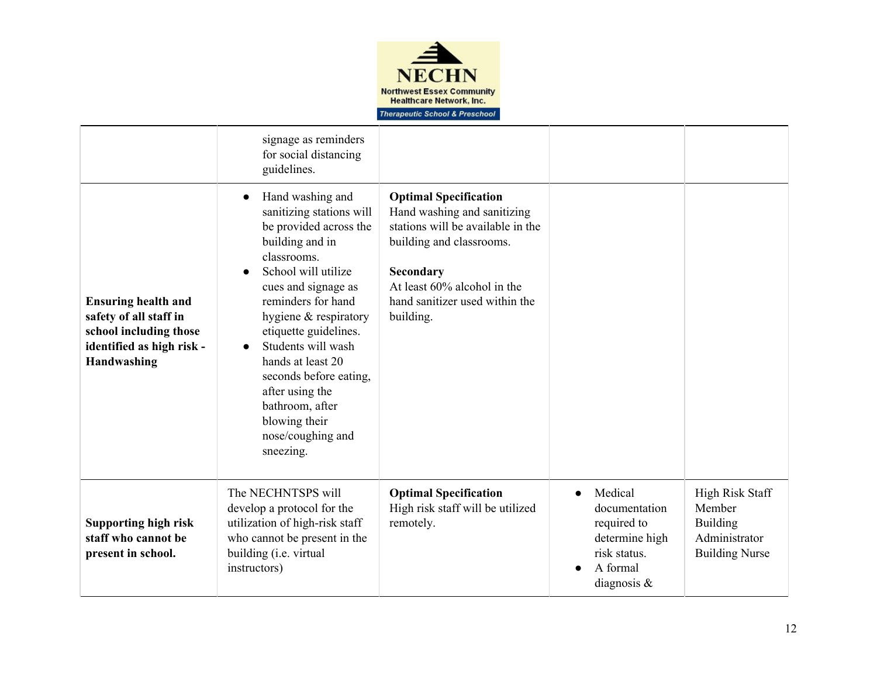

|                                                                                                                            | signage as reminders<br>for social distancing<br>guidelines.                                                                                                                                                                                                                                                                                                                                                           |                                                                                                                                                                                                                         |                                                                                                         |                                                                                        |
|----------------------------------------------------------------------------------------------------------------------------|------------------------------------------------------------------------------------------------------------------------------------------------------------------------------------------------------------------------------------------------------------------------------------------------------------------------------------------------------------------------------------------------------------------------|-------------------------------------------------------------------------------------------------------------------------------------------------------------------------------------------------------------------------|---------------------------------------------------------------------------------------------------------|----------------------------------------------------------------------------------------|
| <b>Ensuring health and</b><br>safety of all staff in<br>school including those<br>identified as high risk -<br>Handwashing | Hand washing and<br>$\bullet$<br>sanitizing stations will<br>be provided across the<br>building and in<br>classrooms.<br>School will utilize<br>cues and signage as<br>reminders for hand<br>hygiene & respiratory<br>etiquette guidelines.<br>Students will wash<br>$\bullet$<br>hands at least 20<br>seconds before eating,<br>after using the<br>bathroom, after<br>blowing their<br>nose/coughing and<br>sneezing. | <b>Optimal Specification</b><br>Hand washing and sanitizing<br>stations will be available in the<br>building and classrooms.<br>Secondary<br>At least 60% alcohol in the<br>hand sanitizer used within the<br>building. |                                                                                                         |                                                                                        |
| <b>Supporting high risk</b><br>staff who cannot be<br>present in school.                                                   | The NECHNTSPS will<br>develop a protocol for the<br>utilization of high-risk staff<br>who cannot be present in the<br>building (i.e. virtual<br>instructors)                                                                                                                                                                                                                                                           | <b>Optimal Specification</b><br>High risk staff will be utilized<br>remotely.                                                                                                                                           | Medical<br>documentation<br>required to<br>determine high<br>risk status.<br>A formal<br>diagnosis $\&$ | High Risk Staff<br>Member<br><b>Building</b><br>Administrator<br><b>Building Nurse</b> |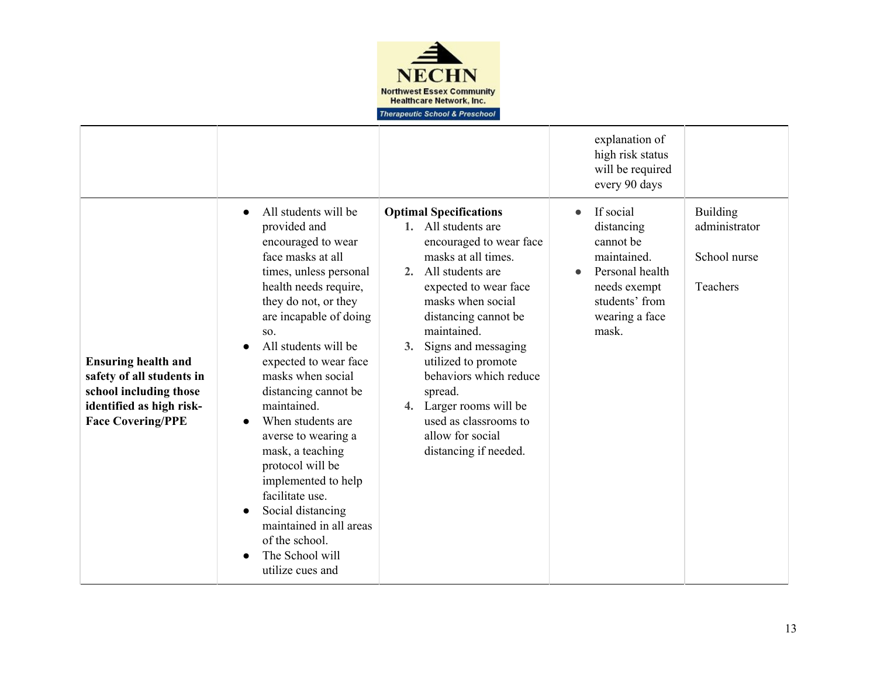

|                                                                                                                                           |                                                                                                                                                                                                                                                                                                                                                                                                                                                                                                                                                                           |                                                                                                                                                                                                                                                                                                                                                                                                              | explanation of<br>high risk status<br>will be required<br>every 90 days                                                                          |                                                              |
|-------------------------------------------------------------------------------------------------------------------------------------------|---------------------------------------------------------------------------------------------------------------------------------------------------------------------------------------------------------------------------------------------------------------------------------------------------------------------------------------------------------------------------------------------------------------------------------------------------------------------------------------------------------------------------------------------------------------------------|--------------------------------------------------------------------------------------------------------------------------------------------------------------------------------------------------------------------------------------------------------------------------------------------------------------------------------------------------------------------------------------------------------------|--------------------------------------------------------------------------------------------------------------------------------------------------|--------------------------------------------------------------|
| <b>Ensuring health and</b><br>safety of all students in<br>school including those<br>identified as high risk-<br><b>Face Covering/PPE</b> | All students will be<br>$\bullet$<br>provided and<br>encouraged to wear<br>face masks at all<br>times, unless personal<br>health needs require,<br>they do not, or they<br>are incapable of doing<br>SO.<br>All students will be<br>expected to wear face<br>masks when social<br>distancing cannot be<br>maintained.<br>When students are<br>averse to wearing a<br>mask, a teaching<br>protocol will be<br>implemented to help<br>facilitate use.<br>Social distancing<br>$\bullet$<br>maintained in all areas<br>of the school.<br>The School will<br>utilize cues and | <b>Optimal Specifications</b><br>1. All students are<br>encouraged to wear face<br>masks at all times.<br>2. All students are<br>expected to wear face<br>masks when social<br>distancing cannot be<br>maintained.<br>Signs and messaging<br>3.<br>utilized to promote<br>behaviors which reduce<br>spread.<br>4. Larger rooms will be<br>used as classrooms to<br>allow for social<br>distancing if needed. | If social<br>distancing<br>cannot be<br>maintained.<br>Personal health<br>$\bullet$<br>needs exempt<br>students' from<br>wearing a face<br>mask. | <b>Building</b><br>administrator<br>School nurse<br>Teachers |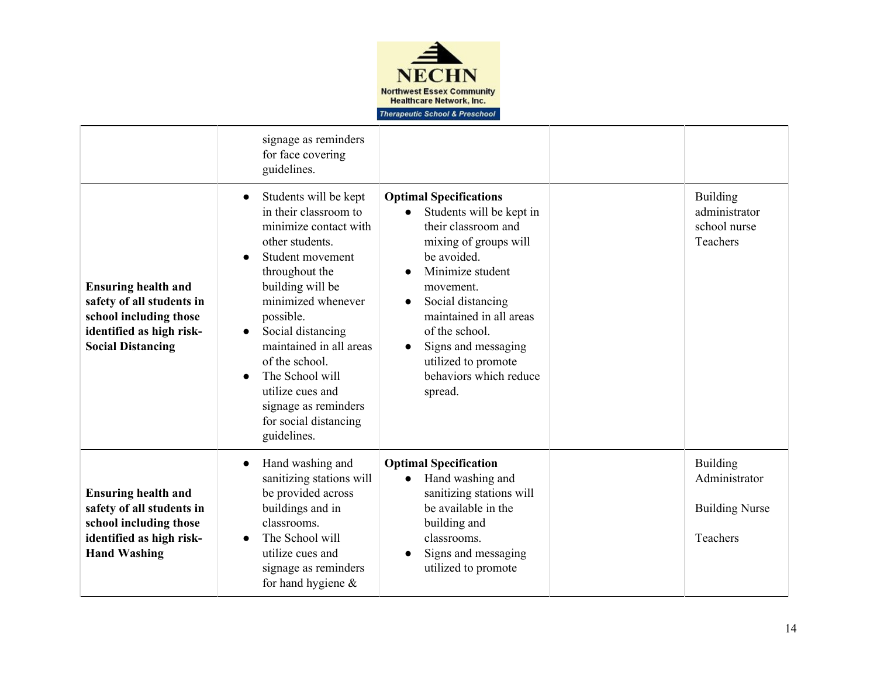

|                                                                                                                                           | signage as reminders<br>for face covering<br>guidelines.                                                                                                                                                                                                                                                                                                                                                |                                                                                                                                                                                                                                                                                                                             |                                                                |
|-------------------------------------------------------------------------------------------------------------------------------------------|---------------------------------------------------------------------------------------------------------------------------------------------------------------------------------------------------------------------------------------------------------------------------------------------------------------------------------------------------------------------------------------------------------|-----------------------------------------------------------------------------------------------------------------------------------------------------------------------------------------------------------------------------------------------------------------------------------------------------------------------------|----------------------------------------------------------------|
| <b>Ensuring health and</b><br>safety of all students in<br>school including those<br>identified as high risk-<br><b>Social Distancing</b> | Students will be kept<br>$\bullet$<br>in their classroom to<br>minimize contact with<br>other students.<br>Student movement<br>$\bullet$<br>throughout the<br>building will be<br>minimized whenever<br>possible.<br>Social distancing<br>$\bullet$<br>maintained in all areas<br>of the school.<br>The School will<br>utilize cues and<br>signage as reminders<br>for social distancing<br>guidelines. | <b>Optimal Specifications</b><br>Students will be kept in<br>their classroom and<br>mixing of groups will<br>be avoided.<br>Minimize student<br>movement.<br>Social distancing<br>maintained in all areas<br>of the school.<br>Signs and messaging<br>$\bullet$<br>utilized to promote<br>behaviors which reduce<br>spread. | <b>Building</b><br>administrator<br>school nurse<br>Teachers   |
| <b>Ensuring health and</b><br>safety of all students in<br>school including those<br>identified as high risk-<br><b>Hand Washing</b>      | Hand washing and<br>$\bullet$<br>sanitizing stations will<br>be provided across<br>buildings and in<br>classrooms.<br>The School will<br>$\bullet$<br>utilize cues and<br>signage as reminders<br>for hand hygiene $\&$                                                                                                                                                                                 | <b>Optimal Specification</b><br>Hand washing and<br>sanitizing stations will<br>be available in the<br>building and<br>classrooms.<br>Signs and messaging<br>utilized to promote                                                                                                                                            | Building<br>Administrator<br><b>Building Nurse</b><br>Teachers |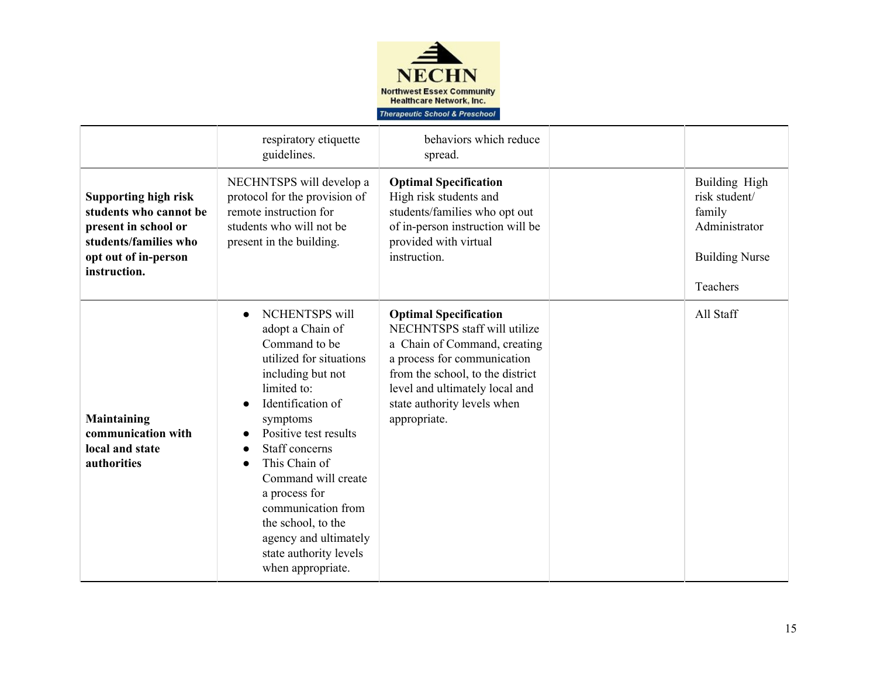

|                                                                                                                                                | respiratory etiquette<br>guidelines.                                                                                                                                                                                                                                                                                                                                                                                      | behaviors which reduce<br>spread.                                                                                                                                                                                                                |                                                                                                |
|------------------------------------------------------------------------------------------------------------------------------------------------|---------------------------------------------------------------------------------------------------------------------------------------------------------------------------------------------------------------------------------------------------------------------------------------------------------------------------------------------------------------------------------------------------------------------------|--------------------------------------------------------------------------------------------------------------------------------------------------------------------------------------------------------------------------------------------------|------------------------------------------------------------------------------------------------|
| <b>Supporting high risk</b><br>students who cannot be<br>present in school or<br>students/families who<br>opt out of in-person<br>instruction. | NECHNTSPS will develop a<br>protocol for the provision of<br>remote instruction for<br>students who will not be<br>present in the building.                                                                                                                                                                                                                                                                               | <b>Optimal Specification</b><br>High risk students and<br>students/families who opt out<br>of in-person instruction will be<br>provided with virtual<br>instruction.                                                                             | Building High<br>risk student/<br>family<br>Administrator<br><b>Building Nurse</b><br>Teachers |
| Maintaining<br>communication with<br>local and state<br>authorities                                                                            | <b>NCHENTSPS</b> will<br>$\bullet$<br>adopt a Chain of<br>Command to be<br>utilized for situations<br>including but not<br>limited to:<br>Identification of<br>symptoms<br>Positive test results<br>$\bullet$<br>Staff concerns<br>This Chain of<br>$\bullet$<br>Command will create<br>a process for<br>communication from<br>the school, to the<br>agency and ultimately<br>state authority levels<br>when appropriate. | <b>Optimal Specification</b><br>NECHNTSPS staff will utilize<br>a Chain of Command, creating<br>a process for communication<br>from the school, to the district<br>level and ultimately local and<br>state authority levels when<br>appropriate. | All Staff                                                                                      |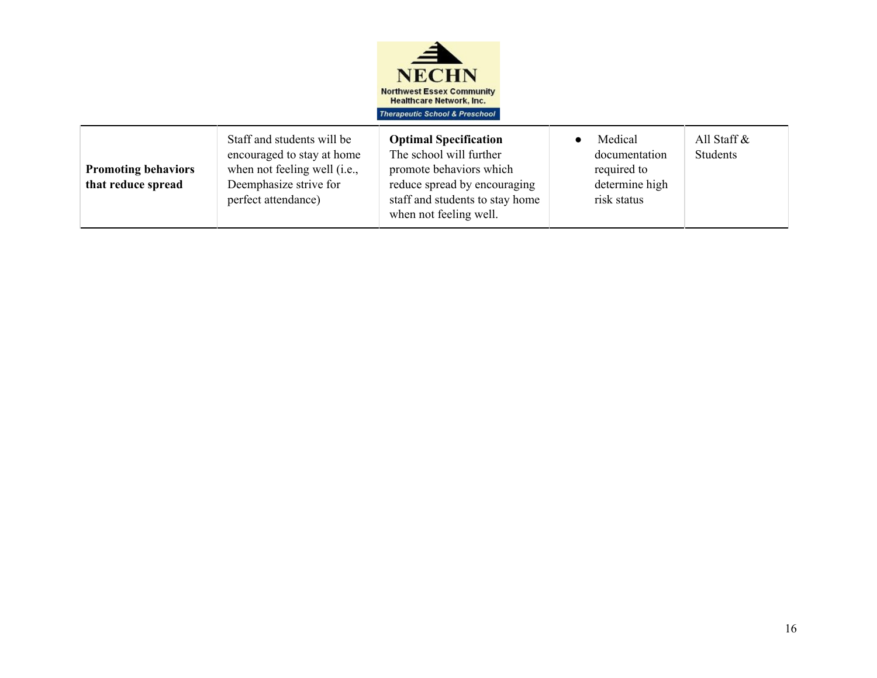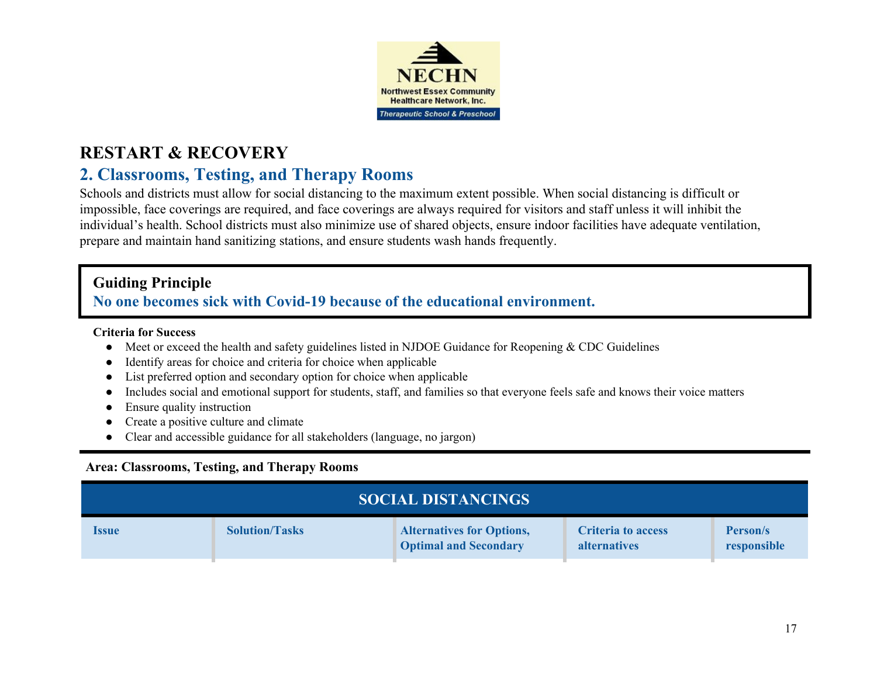

# **2. Classrooms, Testing, and Therapy Rooms**

Schools and districts must allow for social distancing to the maximum extent possible. When social distancing is difficult or impossible, face coverings are required, and face coverings are always required for visitors and staff unless it will inhibit the individual's health. School districts must also minimize use of shared objects, ensure indoor facilities have adequate ventilation, prepare and maintain hand sanitizing stations, and ensure students wash hands frequently.

# **Guiding Principle**

# **No one becomes sick with Covid-19 because of the educational environment.**

## **Criteria for Success**

- Meet or exceed the health and safety guidelines listed in NJDOE Guidance for Reopening & CDC Guidelines
- Identify areas for choice and criteria for choice when applicable
- List preferred option and secondary option for choice when applicable
- Includes social and emotional support for students, staff, and families so that everyone feels safe and knows their voice matters
- Ensure quality instruction
- Create a positive culture and climate
- Clear and accessible guidance for all stakeholders (language, no jargon)

## **Area: Classrooms, Testing, and Therapy Rooms**

| <b>SOCIAL DISTANCINGS</b>  |                       |                                                                  |                                                  |                         |  |
|----------------------------|-----------------------|------------------------------------------------------------------|--------------------------------------------------|-------------------------|--|
| <i><u><b>Issue</b></u></i> | <b>Solution/Tasks</b> | <b>Alternatives for Options,</b><br><b>Optimal and Secondary</b> | <b>Criteria to access</b><br><b>alternatives</b> | Person/s<br>responsible |  |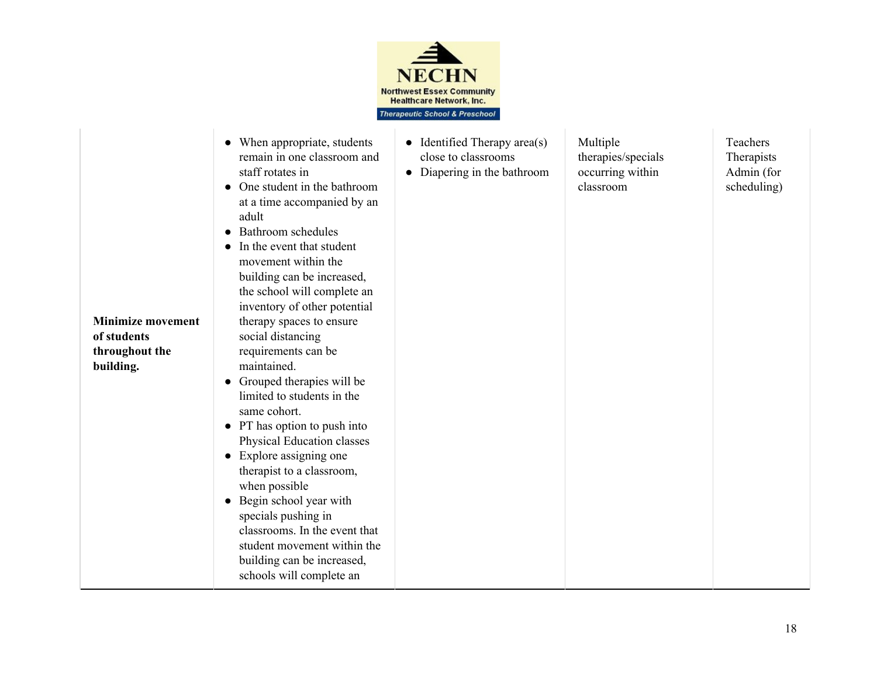

| <b>Minimize movement</b><br>of students<br>throughout the<br>building. | • When appropriate, students<br>remain in one classroom and<br>staff rotates in<br>One student in the bathroom<br>$\bullet$<br>at a time accompanied by an<br>adult<br>Bathroom schedules<br>$\bullet$<br>In the event that student<br>movement within the<br>building can be increased,<br>the school will complete an<br>inventory of other potential<br>therapy spaces to ensure<br>social distancing<br>requirements can be<br>maintained.<br>• Grouped therapies will be<br>limited to students in the<br>same cohort.<br>• PT has option to push into<br>Physical Education classes<br>Explore assigning one<br>$\bullet$<br>therapist to a classroom,<br>when possible<br>Begin school year with<br>$\bullet$<br>specials pushing in<br>classrooms. In the event that<br>student movement within the<br>building can be increased,<br>schools will complete an | • Identified Therapy area(s)<br>close to classrooms<br>• Diapering in the bathroom | Multiple<br>therapies/specials<br>occurring within<br>classroom | Teachers<br>Therapists<br>Admin (for<br>scheduling) |
|------------------------------------------------------------------------|-----------------------------------------------------------------------------------------------------------------------------------------------------------------------------------------------------------------------------------------------------------------------------------------------------------------------------------------------------------------------------------------------------------------------------------------------------------------------------------------------------------------------------------------------------------------------------------------------------------------------------------------------------------------------------------------------------------------------------------------------------------------------------------------------------------------------------------------------------------------------|------------------------------------------------------------------------------------|-----------------------------------------------------------------|-----------------------------------------------------|
|------------------------------------------------------------------------|-----------------------------------------------------------------------------------------------------------------------------------------------------------------------------------------------------------------------------------------------------------------------------------------------------------------------------------------------------------------------------------------------------------------------------------------------------------------------------------------------------------------------------------------------------------------------------------------------------------------------------------------------------------------------------------------------------------------------------------------------------------------------------------------------------------------------------------------------------------------------|------------------------------------------------------------------------------------|-----------------------------------------------------------------|-----------------------------------------------------|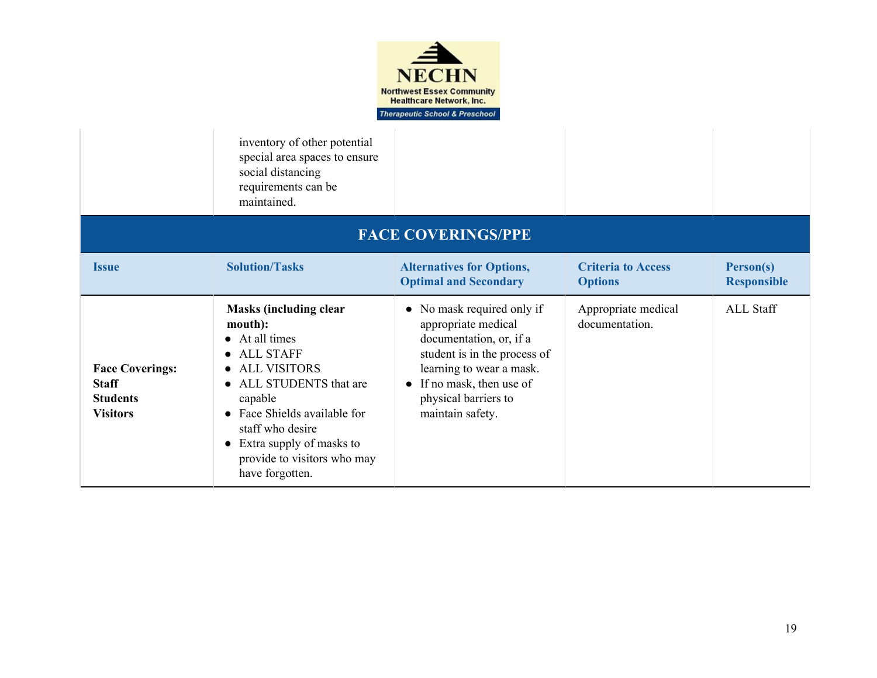

inventory of other potential special area spaces to ensure social distancing requirements can be maintained.

|                                                                              | mamiamed.                                                                                                                                                                                                                                                                                          |                                                                                                                                                                                                                           |                                             |                                 |  |  |
|------------------------------------------------------------------------------|----------------------------------------------------------------------------------------------------------------------------------------------------------------------------------------------------------------------------------------------------------------------------------------------------|---------------------------------------------------------------------------------------------------------------------------------------------------------------------------------------------------------------------------|---------------------------------------------|---------------------------------|--|--|
|                                                                              | <b>FACE COVERINGS/PPE</b>                                                                                                                                                                                                                                                                          |                                                                                                                                                                                                                           |                                             |                                 |  |  |
| <b>Issue</b>                                                                 | <b>Solution/Tasks</b>                                                                                                                                                                                                                                                                              | <b>Alternatives for Options,</b><br><b>Optimal and Secondary</b>                                                                                                                                                          | <b>Criteria to Access</b><br><b>Options</b> | Person(s)<br><b>Responsible</b> |  |  |
| <b>Face Coverings:</b><br><b>Staff</b><br><b>Students</b><br><b>Visitors</b> | <b>Masks (including clear</b><br>mouth):<br>$\bullet$ At all times<br><b>ALL STAFF</b><br><b>ALL VISITORS</b><br>$\bullet$<br>• ALL STUDENTS that are<br>capable<br>• Face Shields available for<br>staff who desire<br>Extra supply of masks to<br>provide to visitors who may<br>have forgotten. | • No mask required only if<br>appropriate medical<br>documentation, or, if a<br>student is in the process of<br>learning to wear a mask.<br>$\bullet$ If no mask, then use of<br>physical barriers to<br>maintain safety. | Appropriate medical<br>documentation.       | <b>ALL Staff</b>                |  |  |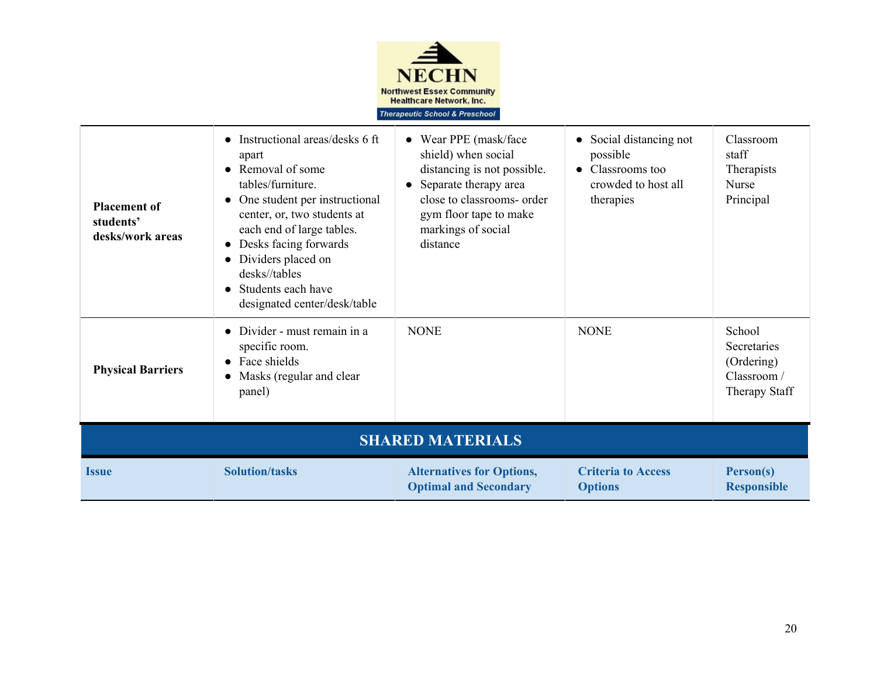

| <b>Placement of</b><br>students'<br>desks/work areas | • Instructional areas/desks 6 ft<br>apart<br>• Removal of some<br>tables/furniture.<br>One student per instructional<br>center, or, two students at<br>each end of large tables.<br>Desks facing forwards<br>Dividers placed on<br>desks//tables<br>Students each have<br>designated center/desk/table | Wear PPE (mask/face)<br>$\bullet$<br>shield) when social<br>distancing is not possible.<br>Separate therapy area<br>$\bullet$<br>close to classrooms- order<br>gym floor tape to make<br>markings of social<br>distance | Social distancing not<br>possible<br>Classrooms too<br>crowded to host all<br>therapies | Classroom<br>staff<br>Therapists<br><b>Nurse</b><br>Principal       |  |  |
|------------------------------------------------------|--------------------------------------------------------------------------------------------------------------------------------------------------------------------------------------------------------------------------------------------------------------------------------------------------------|-------------------------------------------------------------------------------------------------------------------------------------------------------------------------------------------------------------------------|-----------------------------------------------------------------------------------------|---------------------------------------------------------------------|--|--|
| <b>Physical Barriers</b>                             | Divider - must remain in a<br>specific room.<br>Face shields<br>Masks (regular and clear<br>panel)                                                                                                                                                                                                     | <b>NONE</b>                                                                                                                                                                                                             | <b>NONE</b>                                                                             | School<br>Secretaries<br>(Ordering)<br>Classroom /<br>Therapy Staff |  |  |
| <b>SHARED MATERIALS</b>                              |                                                                                                                                                                                                                                                                                                        |                                                                                                                                                                                                                         |                                                                                         |                                                                     |  |  |
| <b>Solution/tasks</b><br><b>Issue</b>                |                                                                                                                                                                                                                                                                                                        | <b>Alternatives for Options,</b><br><b>Optimal and Secondary</b>                                                                                                                                                        | <b>Criteria to Access</b><br><b>Options</b>                                             | Person(s)<br><b>Responsible</b>                                     |  |  |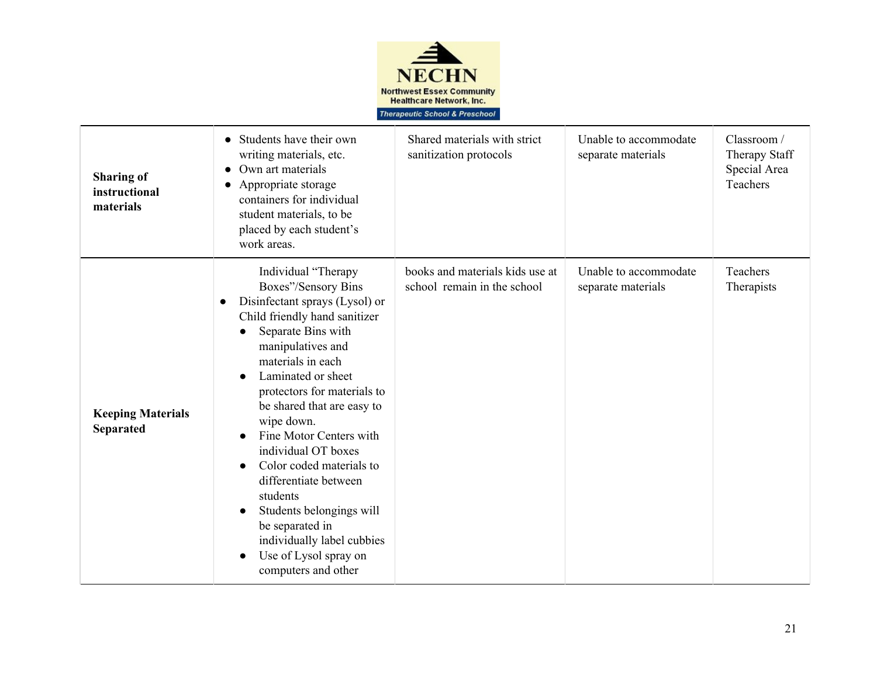

| <b>Sharing of</b><br>instructional<br>materials | Students have their own<br>writing materials, etc.<br>Own art materials<br>Appropriate storage<br>$\bullet$<br>containers for individual<br>student materials, to be<br>placed by each student's<br>work areas.                                                                                                                                                                                                                                                                                                                                                                                                           | Shared materials with strict<br>sanitization protocols         | Unable to accommodate<br>separate materials | Classroom /<br>Therapy Staff<br>Special Area<br>Teachers |
|-------------------------------------------------|---------------------------------------------------------------------------------------------------------------------------------------------------------------------------------------------------------------------------------------------------------------------------------------------------------------------------------------------------------------------------------------------------------------------------------------------------------------------------------------------------------------------------------------------------------------------------------------------------------------------------|----------------------------------------------------------------|---------------------------------------------|----------------------------------------------------------|
| <b>Keeping Materials</b><br><b>Separated</b>    | Individual "Therapy<br>Boxes"/Sensory Bins<br>Disinfectant sprays (Lysol) or<br>$\bullet$<br>Child friendly hand sanitizer<br>Separate Bins with<br>$\bullet$<br>manipulatives and<br>materials in each<br>Laminated or sheet<br>$\bullet$<br>protectors for materials to<br>be shared that are easy to<br>wipe down.<br>Fine Motor Centers with<br>$\bullet$<br>individual OT boxes<br>Color coded materials to<br>$\bullet$<br>differentiate between<br>students<br>Students belongings will<br>$\bullet$<br>be separated in<br>individually label cubbies<br>Use of Lysol spray on<br>$\bullet$<br>computers and other | books and materials kids use at<br>school remain in the school | Unable to accommodate<br>separate materials | Teachers<br>Therapists                                   |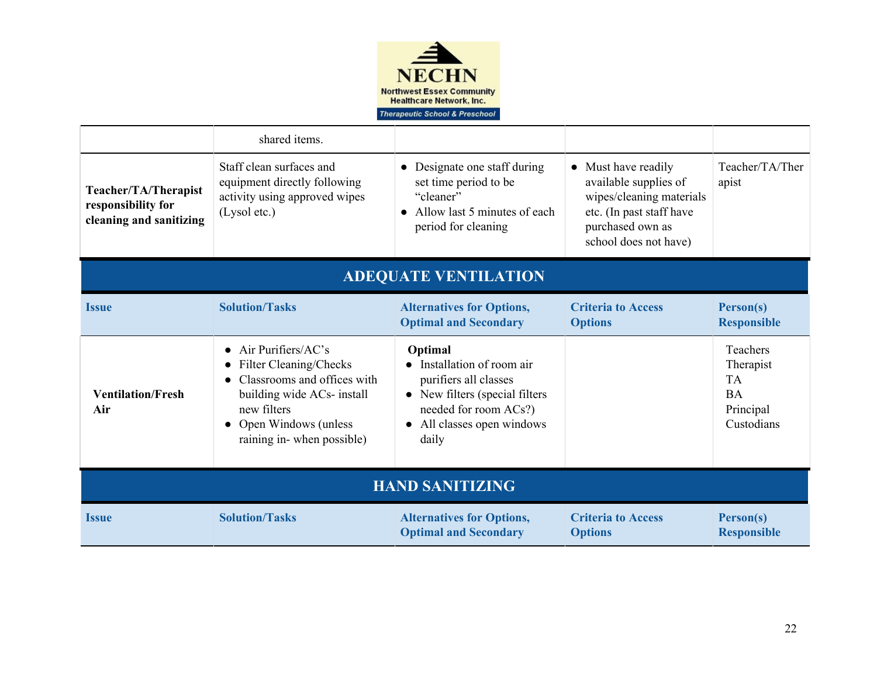

|                                                                       | shared items.                                                                                                                                                                                                  |                                                                                                                                                              |                                                                                                                                                   |                                                                            |  |  |
|-----------------------------------------------------------------------|----------------------------------------------------------------------------------------------------------------------------------------------------------------------------------------------------------------|--------------------------------------------------------------------------------------------------------------------------------------------------------------|---------------------------------------------------------------------------------------------------------------------------------------------------|----------------------------------------------------------------------------|--|--|
| Teacher/TA/Therapist<br>responsibility for<br>cleaning and sanitizing | Staff clean surfaces and<br>equipment directly following<br>activity using approved wipes<br>(Lysol etc.)                                                                                                      | Designate one staff during<br>set time period to be<br>"cleaner"<br>• Allow last 5 minutes of each<br>period for cleaning                                    | • Must have readily<br>available supplies of<br>wipes/cleaning materials<br>etc. (In past staff have<br>purchased own as<br>school does not have) | Teacher/TA/Ther<br>apist                                                   |  |  |
|                                                                       | <b>ADEQUATE VENTILATION</b>                                                                                                                                                                                    |                                                                                                                                                              |                                                                                                                                                   |                                                                            |  |  |
| <b>Issue</b>                                                          | <b>Solution/Tasks</b>                                                                                                                                                                                          | <b>Alternatives for Options,</b><br><b>Optimal and Secondary</b>                                                                                             | <b>Criteria to Access</b><br><b>Options</b>                                                                                                       | Person(s)<br><b>Responsible</b>                                            |  |  |
| <b>Ventilation/Fresh</b><br>Air                                       | Air Purifiers/AC's<br>$\bullet$<br><b>Filter Cleaning/Checks</b><br>$\bullet$<br>Classrooms and offices with<br>building wide ACs- install<br>new filters<br>Open Windows (unless<br>raining in-when possible) | Optimal<br>Installation of room air<br>purifiers all classes<br>• New filters (special filters<br>needed for room ACs?)<br>All classes open windows<br>daily |                                                                                                                                                   | Teachers<br>Therapist<br><b>TA</b><br><b>BA</b><br>Principal<br>Custodians |  |  |
| <b>HAND SANITIZING</b>                                                |                                                                                                                                                                                                                |                                                                                                                                                              |                                                                                                                                                   |                                                                            |  |  |
| <b>Issue</b>                                                          | <b>Solution/Tasks</b>                                                                                                                                                                                          | <b>Alternatives for Options,</b><br><b>Optimal and Secondary</b>                                                                                             | <b>Criteria to Access</b><br><b>Options</b>                                                                                                       | Person(s)<br><b>Responsible</b>                                            |  |  |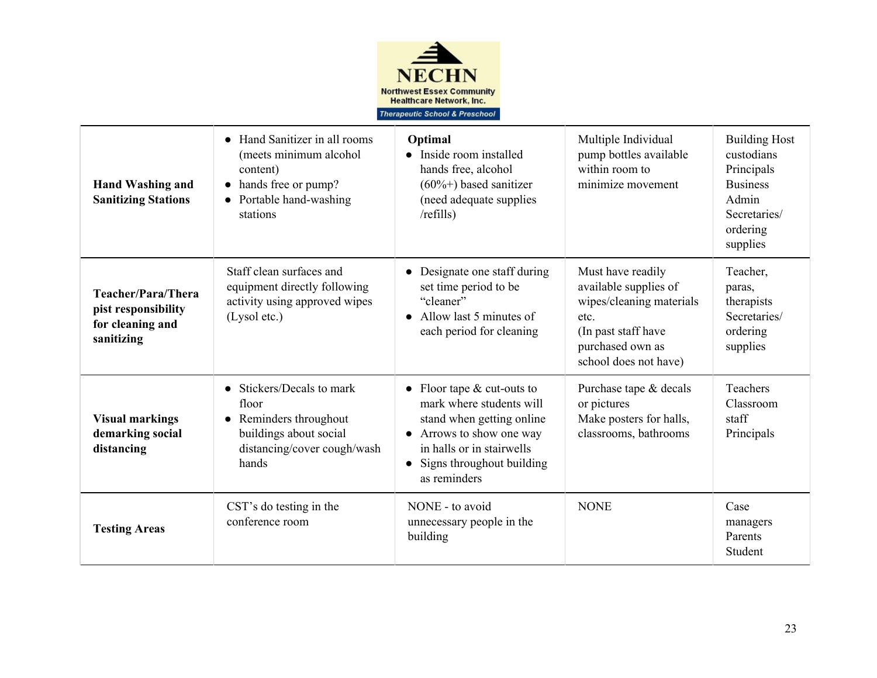

| <b>Hand Washing and</b><br><b>Sanitizing Stations</b>                                                                                                                                                 | Hand Sanitizer in all rooms<br>$\bullet$<br>(meets minimum alcohol<br>content)<br>hands free or pump?<br>Portable hand-washing<br>$\bullet$<br>stations | Optimal<br>Inside room installed<br>hands free, alcohol<br>$(60\%+)$ based sanitizer<br>(need adequate supplies)<br>/refills)                                                           | Multiple Individual<br>pump bottles available<br>within room to<br>minimize movement                                                               | <b>Building Host</b><br>custodians<br>Principals<br><b>Business</b><br>Admin<br>Secretaries/<br>ordering<br>supplies |
|-------------------------------------------------------------------------------------------------------------------------------------------------------------------------------------------------------|---------------------------------------------------------------------------------------------------------------------------------------------------------|-----------------------------------------------------------------------------------------------------------------------------------------------------------------------------------------|----------------------------------------------------------------------------------------------------------------------------------------------------|----------------------------------------------------------------------------------------------------------------------|
| Staff clean surfaces and<br>equipment directly following<br>Teacher/Para/Thera<br>activity using approved wipes<br>pist responsibility<br>(Lysol etc.)<br>for cleaning and<br>sanitizing              |                                                                                                                                                         | Designate one staff during<br>set time period to be<br>"cleaner"<br>Allow last 5 minutes of<br>$\bullet$<br>each period for cleaning                                                    | Must have readily<br>available supplies of<br>wipes/cleaning materials<br>etc.<br>(In past staff have<br>purchased own as<br>school does not have) | Teacher,<br>paras,<br>therapists<br>Secretaries/<br>ordering<br>supplies                                             |
| Stickers/Decals to mark<br>$\bullet$<br>floor<br><b>Visual markings</b><br>• Reminders throughout<br>demarking social<br>buildings about social<br>distancing/cover cough/wash<br>distancing<br>hands |                                                                                                                                                         | Floor tape $&$ cut-outs to<br>mark where students will<br>stand when getting online<br>Arrows to show one way<br>in halls or in stairwells<br>Signs throughout building<br>as reminders | Purchase tape & decals<br>or pictures<br>Make posters for halls,<br>classrooms, bathrooms                                                          | <b>Teachers</b><br>Classroom<br>staff<br>Principals                                                                  |
| <b>Testing Areas</b>                                                                                                                                                                                  | CST's do testing in the<br>conference room                                                                                                              | NONE - to avoid<br>unnecessary people in the<br>building                                                                                                                                | <b>NONE</b>                                                                                                                                        | Case<br>managers<br>Parents<br>Student                                                                               |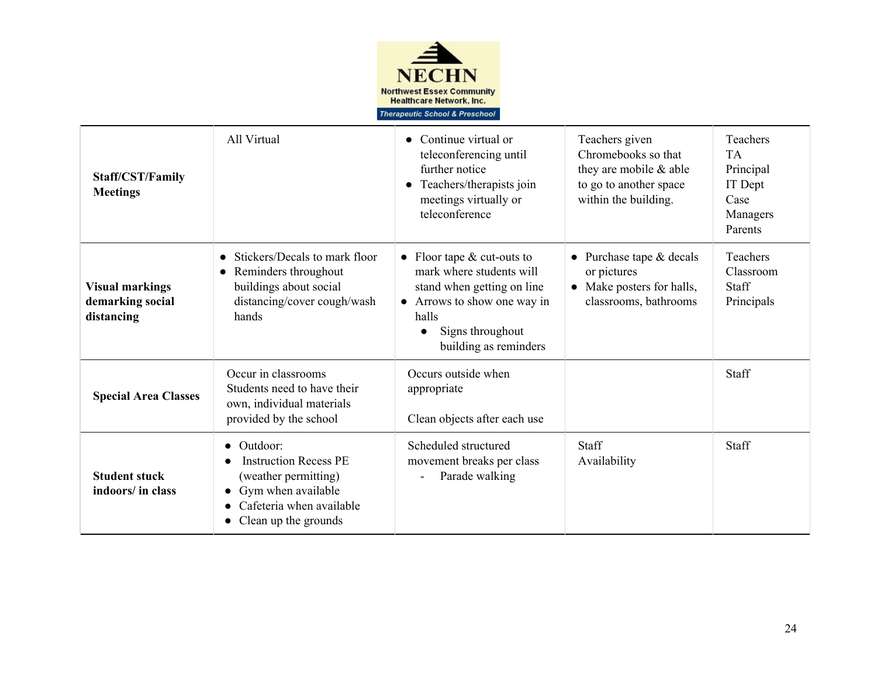

| Staff/CST/Family<br><b>Meetings</b>                                                                                                                                                              | All Virtual                                                                                                                                                                       | Continue virtual or<br>teleconferencing until<br>further notice<br>Teachers/therapists join<br>$\bullet$<br>meetings virtually or<br>teleconference                                    | Teachers given<br>Chromebooks so that<br>they are mobile $\&$ able<br>to go to another space<br>within the building. | Teachers<br><b>TA</b><br>Principal<br>IT Dept<br>Case<br>Managers<br>Parents |
|--------------------------------------------------------------------------------------------------------------------------------------------------------------------------------------------------|-----------------------------------------------------------------------------------------------------------------------------------------------------------------------------------|----------------------------------------------------------------------------------------------------------------------------------------------------------------------------------------|----------------------------------------------------------------------------------------------------------------------|------------------------------------------------------------------------------|
| Stickers/Decals to mark floor<br>Reminders throughout<br>$\bullet$<br>buildings about social<br><b>Visual markings</b><br>distancing/cover cough/wash<br>demarking social<br>hands<br>distancing |                                                                                                                                                                                   | Floor tape $&$ cut-outs to<br>$\bullet$<br>mark where students will<br>stand when getting on line<br>• Arrows to show one way in<br>halls<br>Signs throughout<br>building as reminders | Purchase tape & decals<br>$\bullet$<br>or pictures<br>Make posters for halls,<br>$\bullet$<br>classrooms, bathrooms  | Teachers<br>Classroom<br><b>Staff</b><br>Principals                          |
| Occur in classrooms<br>Students need to have their<br><b>Special Area Classes</b><br>own, individual materials<br>provided by the school                                                         |                                                                                                                                                                                   | Occurs outside when<br>appropriate<br>Clean objects after each use                                                                                                                     |                                                                                                                      | Staff                                                                        |
| <b>Student stuck</b><br>indoors/ in class                                                                                                                                                        | Outdoor:<br>$\bullet$<br><b>Instruction Recess PE</b><br>(weather permitting)<br>Gym when available<br>Cafeteria when available<br>$\bullet$<br>Clean up the grounds<br>$\bullet$ | Scheduled structured<br>movement breaks per class<br>Parade walking                                                                                                                    | <b>Staff</b><br>Availability                                                                                         | <b>Staff</b>                                                                 |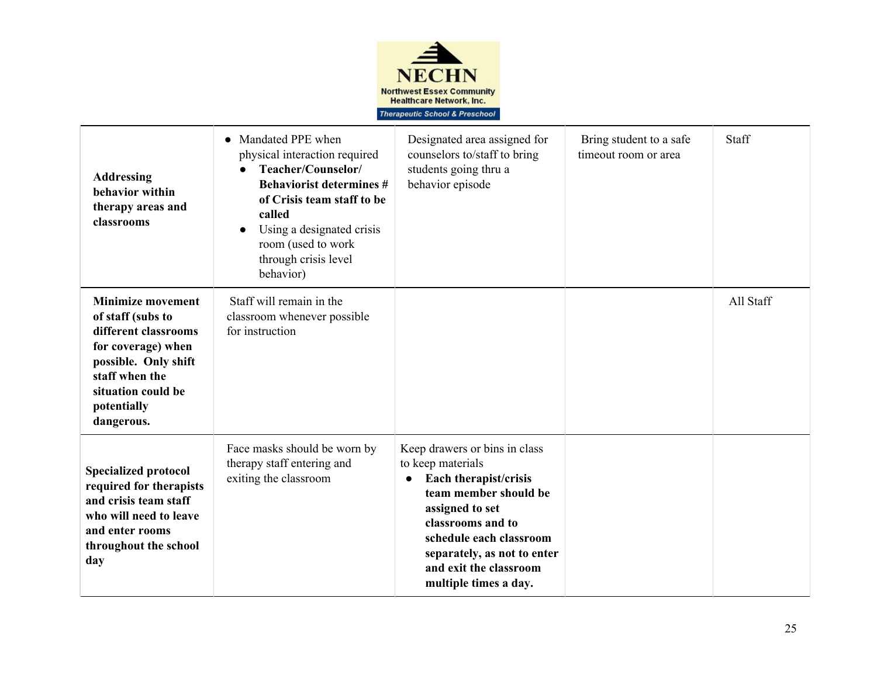

| <b>Addressing</b><br>behavior within<br>therapy areas and<br>classrooms                                                                                                                  | Mandated PPE when<br>$\bullet$<br>physical interaction required<br>Teacher/Counselor/<br><b>Behaviorist determines #</b><br>of Crisis team staff to be<br>called<br>Using a designated crisis<br>$\bullet$<br>room (used to work<br>through crisis level<br>behavior) | Designated area assigned for<br>counselors to/staff to bring<br>students going thru a<br>behavior episode                                                                                                                                                 | Bring student to a safe<br>timeout room or area | Staff     |
|------------------------------------------------------------------------------------------------------------------------------------------------------------------------------------------|-----------------------------------------------------------------------------------------------------------------------------------------------------------------------------------------------------------------------------------------------------------------------|-----------------------------------------------------------------------------------------------------------------------------------------------------------------------------------------------------------------------------------------------------------|-------------------------------------------------|-----------|
| <b>Minimize movement</b><br>of staff (subs to<br>different classrooms<br>for coverage) when<br>possible. Only shift<br>staff when the<br>situation could be<br>potentially<br>dangerous. | Staff will remain in the<br>classroom whenever possible<br>for instruction                                                                                                                                                                                            |                                                                                                                                                                                                                                                           |                                                 | All Staff |
| <b>Specialized protocol</b><br>required for therapists<br>and crisis team staff<br>who will need to leave<br>and enter rooms<br>throughout the school<br>day                             | Face masks should be worn by<br>therapy staff entering and<br>exiting the classroom                                                                                                                                                                                   | Keep drawers or bins in class<br>to keep materials<br>Each therapist/crisis<br>team member should be<br>assigned to set<br>classrooms and to<br>schedule each classroom<br>separately, as not to enter<br>and exit the classroom<br>multiple times a day. |                                                 |           |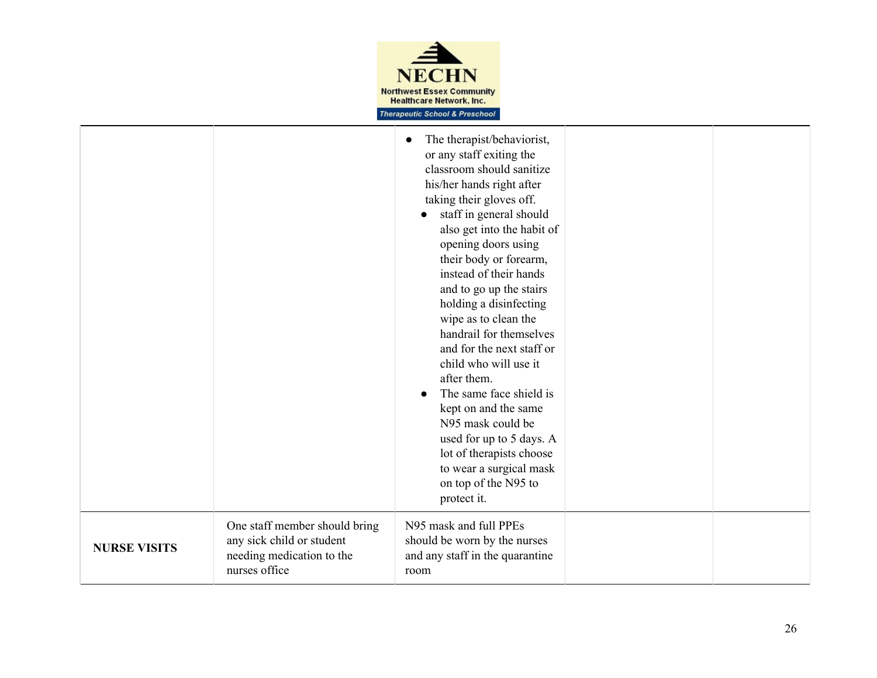

|                     |                                                                                                          | The therapist/behaviorist,<br>or any staff exiting the<br>classroom should sanitize<br>his/her hands right after<br>taking their gloves off.<br>staff in general should<br>also get into the habit of<br>opening doors using<br>their body or forearm,<br>instead of their hands<br>and to go up the stairs<br>holding a disinfecting<br>wipe as to clean the<br>handrail for themselves<br>and for the next staff or<br>child who will use it<br>after them.<br>The same face shield is<br>kept on and the same<br>N95 mask could be<br>used for up to 5 days. A<br>lot of therapists choose<br>to wear a surgical mask<br>on top of the N95 to<br>protect it. |  |
|---------------------|----------------------------------------------------------------------------------------------------------|-----------------------------------------------------------------------------------------------------------------------------------------------------------------------------------------------------------------------------------------------------------------------------------------------------------------------------------------------------------------------------------------------------------------------------------------------------------------------------------------------------------------------------------------------------------------------------------------------------------------------------------------------------------------|--|
| <b>NURSE VISITS</b> | One staff member should bring<br>any sick child or student<br>needing medication to the<br>nurses office | N95 mask and full PPEs<br>should be worn by the nurses<br>and any staff in the quarantine<br>room                                                                                                                                                                                                                                                                                                                                                                                                                                                                                                                                                               |  |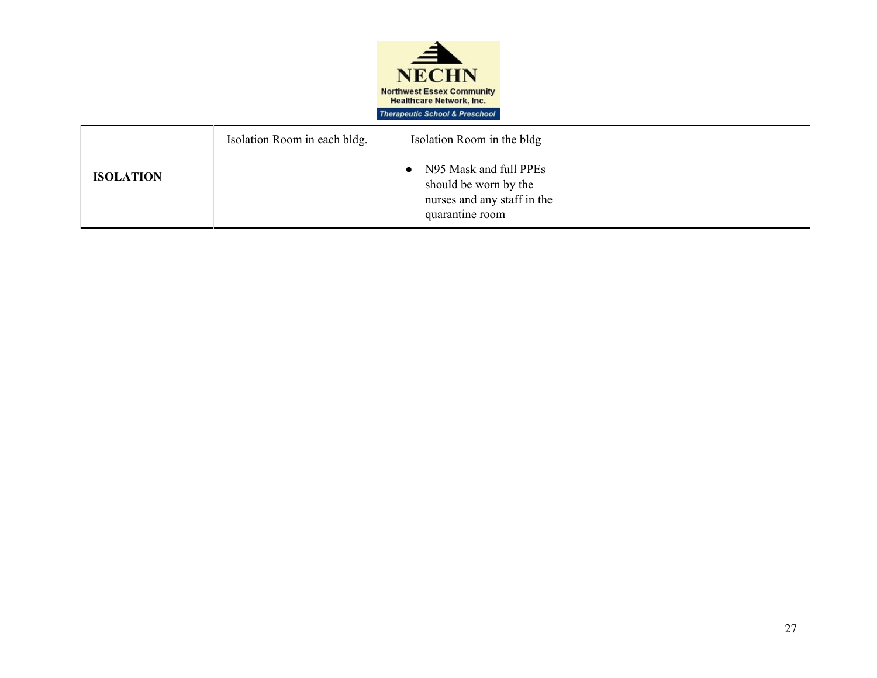

|                  | Isolation Room in each bldg. | Isolation Room in the bldg                                                                          |  |
|------------------|------------------------------|-----------------------------------------------------------------------------------------------------|--|
| <b>ISOLATION</b> |                              | • N95 Mask and full PPEs<br>should be worn by the<br>nurses and any staff in the<br>quarantine room |  |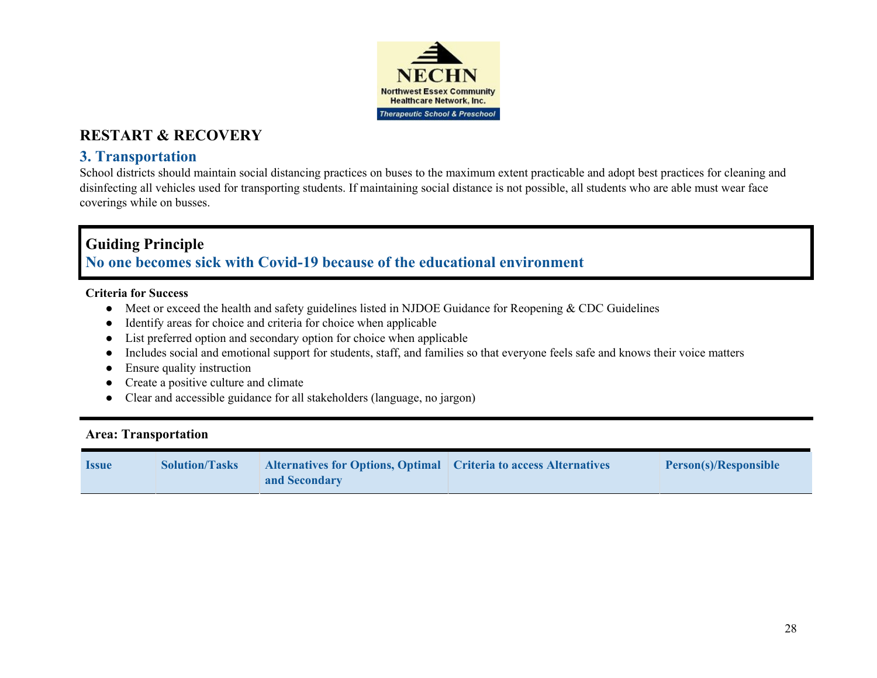

## **3. Transportation**

School districts should maintain social distancing practices on buses to the maximum extent practicable and adopt best practices for cleaning and disinfecting all vehicles used for transporting students. If maintaining social distance is not possible, all students who are able must wear face coverings while on busses.

## **Guiding Principle No one becomes sick with Covid-19 because of the educational environment**

#### **Criteria for Success**

- Meet or exceed the health and safety guidelines listed in NJDOE Guidance for Reopening & CDC Guidelines
- Identify areas for choice and criteria for choice when applicable
- List preferred option and secondary option for choice when applicable
- Includes social and emotional support for students, staff, and families so that everyone feels safe and knows their voice matters
- Ensure quality instruction
- Create a positive culture and climate
- Clear and accessible guidance for all stakeholders (language, no jargon)

#### **Area: Transportation**

| <b>Issue</b> | <b>Solution/Tasks</b> | Alternatives for Options, Optimal   Criteria to access Alternatives | <b>Person(s)/Responsible</b> |
|--------------|-----------------------|---------------------------------------------------------------------|------------------------------|
|              |                       | and Secondary                                                       |                              |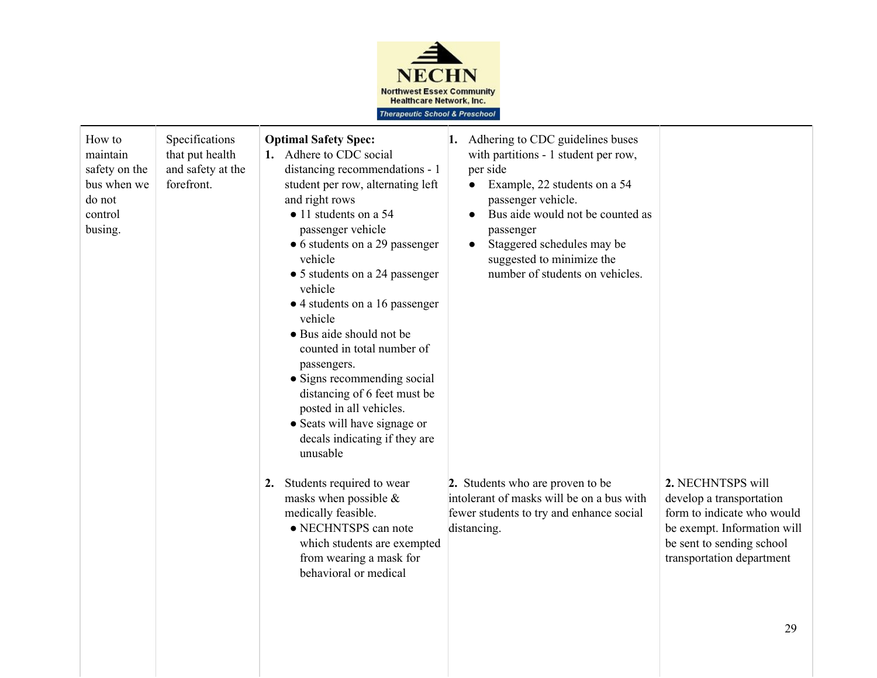

| How to<br>maintain<br>safety on the<br>bus when we<br>do not<br>control<br>busing. | Specifications<br>that put health<br>and safety at the<br>forefront. | <b>Optimal Safety Spec:</b><br>1. Adhere to CDC social<br>distancing recommendations - 1<br>student per row, alternating left<br>and right rows<br>$\bullet$ 11 students on a 54<br>passenger vehicle<br>• 6 students on a 29 passenger<br>vehicle<br>• 5 students on a 24 passenger<br>vehicle<br>• 4 students on a 16 passenger<br>vehicle<br>• Bus aide should not be<br>counted in total number of<br>passengers.<br>• Signs recommending social<br>distancing of 6 feet must be<br>posted in all vehicles.<br>• Seats will have signage or<br>decals indicating if they are<br>unusable | 1. Adhering to CDC guidelines buses<br>with partitions - 1 student per row,<br>per side<br>Example, 22 students on a 54<br>$\bullet$<br>passenger vehicle.<br>Bus aide would not be counted as<br>$\bullet$<br>passenger<br>Staggered schedules may be<br>$\bullet$<br>suggested to minimize the<br>number of students on vehicles. |                                                                                                                                                                      |
|------------------------------------------------------------------------------------|----------------------------------------------------------------------|----------------------------------------------------------------------------------------------------------------------------------------------------------------------------------------------------------------------------------------------------------------------------------------------------------------------------------------------------------------------------------------------------------------------------------------------------------------------------------------------------------------------------------------------------------------------------------------------|-------------------------------------------------------------------------------------------------------------------------------------------------------------------------------------------------------------------------------------------------------------------------------------------------------------------------------------|----------------------------------------------------------------------------------------------------------------------------------------------------------------------|
|                                                                                    |                                                                      | 2. Students required to wear<br>masks when possible $\&$<br>medically feasible.<br>• NECHNTSPS can note<br>which students are exempted<br>from wearing a mask for<br>behavioral or medical                                                                                                                                                                                                                                                                                                                                                                                                   | 2. Students who are proven to be<br>intolerant of masks will be on a bus with<br>fewer students to try and enhance social<br>distancing.                                                                                                                                                                                            | 2. NECHNTSPS will<br>develop a transportation<br>form to indicate who would<br>be exempt. Information will<br>be sent to sending school<br>transportation department |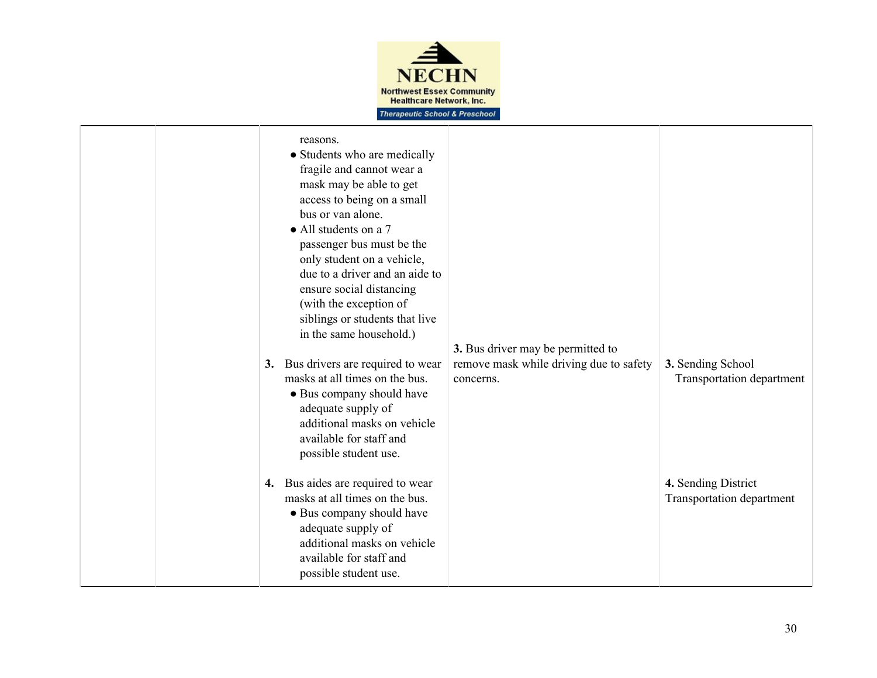

|  | reasons.<br>• Students who are medically<br>fragile and cannot wear a<br>mask may be able to get<br>access to being on a small<br>bus or van alone.<br>• All students on a 7<br>passenger bus must be the<br>only student on a vehicle,<br>due to a driver and an aide to<br>ensure social distancing<br>(with the exception of<br>siblings or students that live<br>in the same household.)<br>3. Bus drivers are required to wear<br>masks at all times on the bus.<br>• Bus company should have<br>adequate supply of<br>additional masks on vehicle<br>available for staff and<br>possible student use.<br>4. Bus aides are required to wear<br>masks at all times on the bus.<br>• Bus company should have<br>adequate supply of<br>additional masks on vehicle | 3. Bus driver may be permitted to<br>remove mask while driving due to safety<br>concerns. | 3. Sending School<br>Transportation department<br>4. Sending District<br>Transportation department |
|--|----------------------------------------------------------------------------------------------------------------------------------------------------------------------------------------------------------------------------------------------------------------------------------------------------------------------------------------------------------------------------------------------------------------------------------------------------------------------------------------------------------------------------------------------------------------------------------------------------------------------------------------------------------------------------------------------------------------------------------------------------------------------|-------------------------------------------------------------------------------------------|----------------------------------------------------------------------------------------------------|
|  | available for staff and<br>possible student use.                                                                                                                                                                                                                                                                                                                                                                                                                                                                                                                                                                                                                                                                                                                     |                                                                                           |                                                                                                    |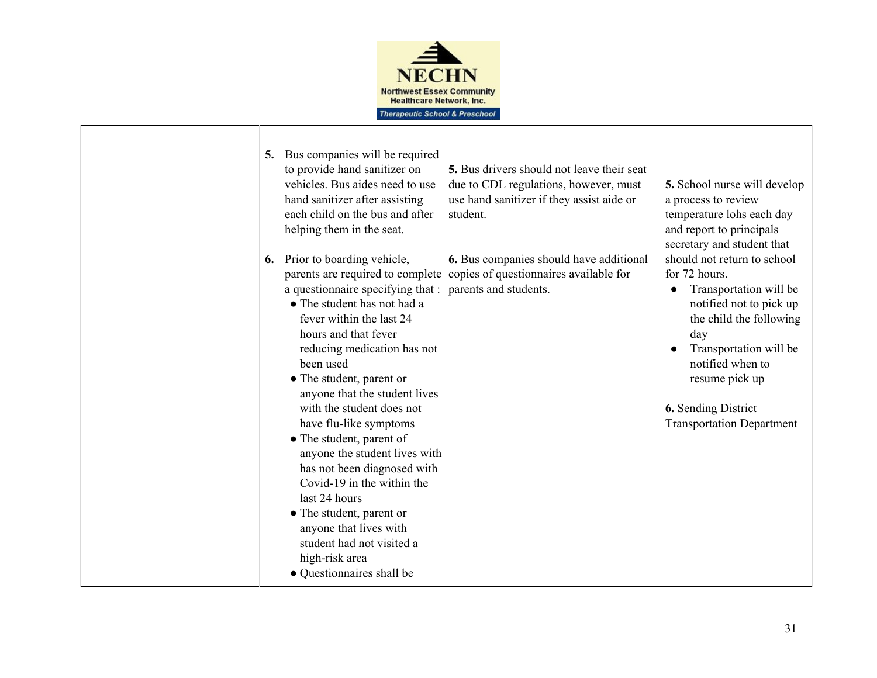

|  | 5.<br>6. | Bus companies will be required<br>to provide hand sanitizer on<br>vehicles. Bus aides need to use<br>hand sanitizer after assisting<br>each child on the bus and after<br>helping them in the seat.<br>Prior to boarding vehicle,<br>a questionnaire specifying that :<br>• The student has not had a<br>fever within the last 24<br>hours and that fever<br>reducing medication has not<br>been used<br>• The student, parent or<br>anyone that the student lives<br>with the student does not<br>have flu-like symptoms<br>• The student, parent of<br>anyone the student lives with<br>has not been diagnosed with<br>Covid-19 in the within the<br>last 24 hours<br>• The student, parent or | <b>5.</b> Bus drivers should not leave their seat<br>due to CDL regulations, however, must<br>use hand sanitizer if they assist aide or<br>student.<br>6. Bus companies should have additional<br>parents are required to complete copies of questionnaires available for<br>parents and students. | 5. School nurse will develop<br>a process to review<br>temperature lohs each day<br>and report to principals<br>secretary and student that<br>should not return to school<br>for 72 hours.<br>Transportation will be<br>$\bullet$<br>notified not to pick up<br>the child the following<br>day<br>Transportation will be<br>notified when to<br>resume pick up<br><b>6.</b> Sending District<br><b>Transportation Department</b> |
|--|----------|--------------------------------------------------------------------------------------------------------------------------------------------------------------------------------------------------------------------------------------------------------------------------------------------------------------------------------------------------------------------------------------------------------------------------------------------------------------------------------------------------------------------------------------------------------------------------------------------------------------------------------------------------------------------------------------------------|----------------------------------------------------------------------------------------------------------------------------------------------------------------------------------------------------------------------------------------------------------------------------------------------------|----------------------------------------------------------------------------------------------------------------------------------------------------------------------------------------------------------------------------------------------------------------------------------------------------------------------------------------------------------------------------------------------------------------------------------|
|  |          | anyone that lives with<br>student had not visited a<br>high-risk area<br>• Questionnaires shall be                                                                                                                                                                                                                                                                                                                                                                                                                                                                                                                                                                                               |                                                                                                                                                                                                                                                                                                    |                                                                                                                                                                                                                                                                                                                                                                                                                                  |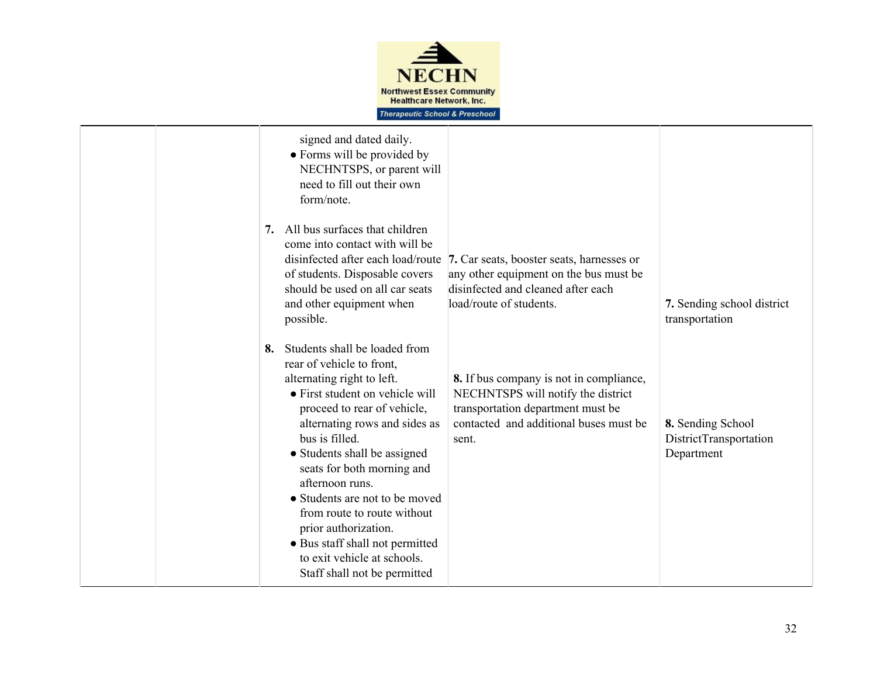

|  | signed and dated daily.<br>• Forms will be provided by<br>NECHNTSPS, or parent will<br>need to fill out their own<br>form/note.                                                                                                                                                                                                                                |                                                                                                                                                                                                                                       |                                                           |
|--|----------------------------------------------------------------------------------------------------------------------------------------------------------------------------------------------------------------------------------------------------------------------------------------------------------------------------------------------------------------|---------------------------------------------------------------------------------------------------------------------------------------------------------------------------------------------------------------------------------------|-----------------------------------------------------------|
|  | All bus surfaces that children<br>7.<br>come into contact with will be<br>disinfected after each load/route<br>of students. Disposable covers<br>should be used on all car seats<br>and other equipment when<br>possible.<br>Students shall be loaded from<br>8.<br>rear of vehicle to front,<br>alternating right to left.<br>• First student on vehicle will | 7. Car seats, booster seats, harnesses or<br>any other equipment on the bus must be<br>disinfected and cleaned after each<br>load/route of students.<br>8. If bus company is not in compliance,<br>NECHNTSPS will notify the district | 7. Sending school district<br>transportation              |
|  | proceed to rear of vehicle,<br>alternating rows and sides as<br>bus is filled.<br>• Students shall be assigned<br>seats for both morning and<br>afternoon runs.<br>• Students are not to be moved<br>from route to route without<br>prior authorization.<br>• Bus staff shall not permitted<br>to exit vehicle at schools.<br>Staff shall not be permitted     | transportation department must be<br>contacted and additional buses must be<br>sent.                                                                                                                                                  | 8. Sending School<br>DistrictTransportation<br>Department |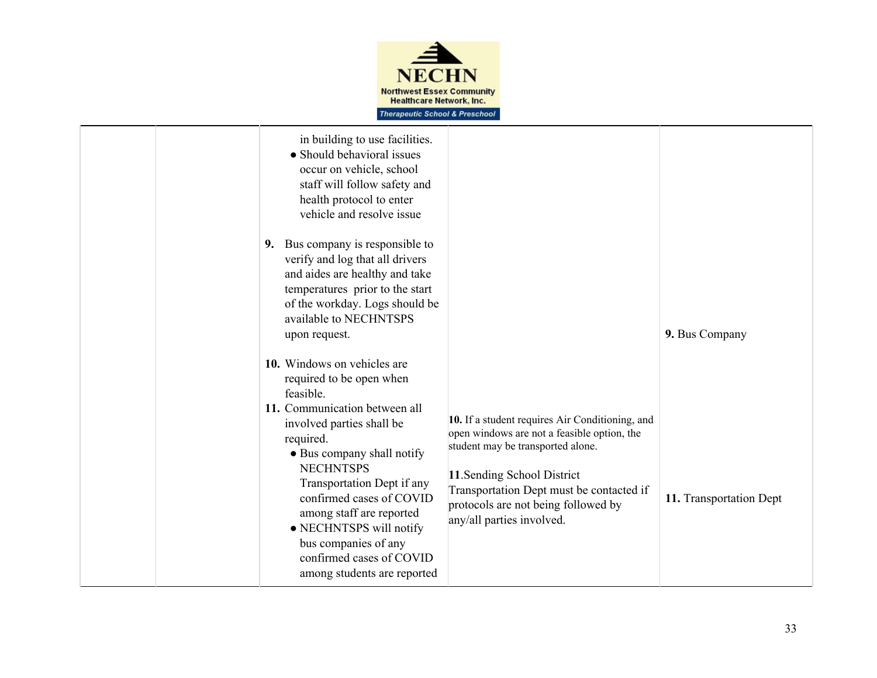

| in building to use facilities.<br>• Should behavioral issues<br>occur on vehicle, school<br>staff will follow safety and<br>health protocol to enter<br>vehicle and resolve issue                                                                    |                                                                                                                                                                                                                                                       |                         |
|------------------------------------------------------------------------------------------------------------------------------------------------------------------------------------------------------------------------------------------------------|-------------------------------------------------------------------------------------------------------------------------------------------------------------------------------------------------------------------------------------------------------|-------------------------|
| 9. Bus company is responsible to<br>verify and log that all drivers<br>and aides are healthy and take<br>temperatures prior to the start<br>of the workday. Logs should be<br>available to NECHNTSPS<br>upon request.<br>10. Windows on vehicles are |                                                                                                                                                                                                                                                       | 9. Bus Company          |
| required to be open when<br>feasible.<br>11. Communication between all<br>involved parties shall be<br>required.<br>• Bus company shall notify<br><b>NECHNTSPS</b><br>Transportation Dept if any<br>confirmed cases of COVID                         | 10. If a student requires Air Conditioning, and<br>open windows are not a feasible option, the<br>student may be transported alone.<br>11. Sending School District<br>Transportation Dept must be contacted if<br>protocols are not being followed by | 11. Transportation Dept |
| among staff are reported<br>• NECHNTSPS will notify<br>bus companies of any<br>confirmed cases of COVID<br>among students are reported                                                                                                               | any/all parties involved.                                                                                                                                                                                                                             |                         |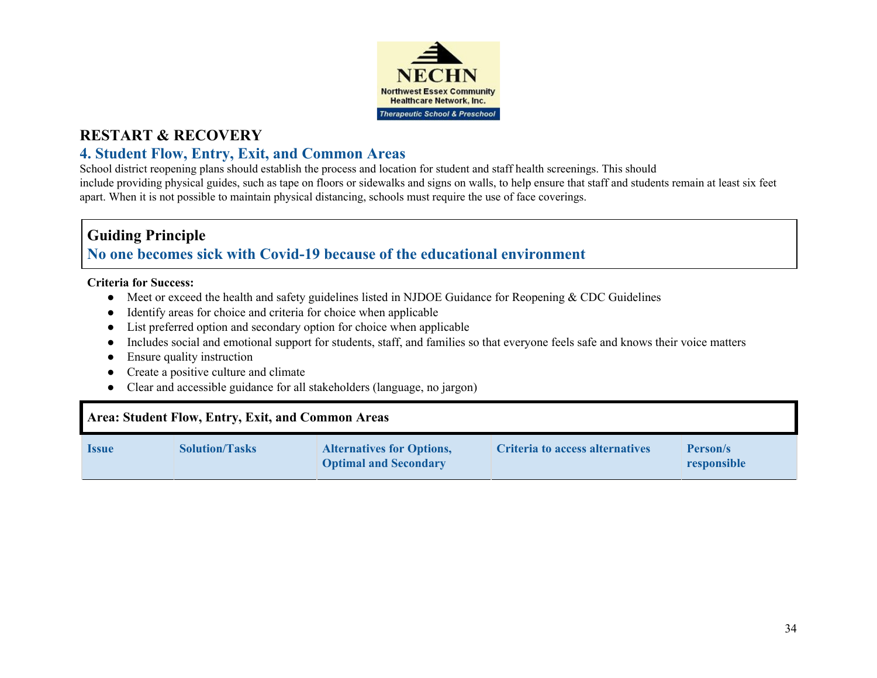

## **4. Student Flow, Entry, Exit, and Common Areas**

School district reopening plans should establish the process and location for student and staff health screenings. This should include providing physical guides, such as tape on floors or sidewalks and signs on walls, to help ensure that staff and students remain at least six feet apart. When it is not possible to maintain physical distancing, schools must require the use of face coverings.

## **Guiding Principle No one becomes sick with Covid-19 because of the educational environment**

#### **Criteria for Success:**

- Meet or exceed the health and safety guidelines listed in NJDOE Guidance for Reopening & CDC Guidelines
- Identify areas for choice and criteria for choice when applicable
- List preferred option and secondary option for choice when applicable
- Includes social and emotional support for students, staff, and families so that everyone feels safe and knows their voice matters
- Ensure quality instruction
- Create a positive culture and climate
- Clear and accessible guidance for all stakeholders (language, no jargon)

#### **Area: Student Flow, Entry, Exit, and Common Areas Issue Solution/Tasks Alternatives for Options, Optimal and Secondary Criteria to access alternatives Person/s responsible**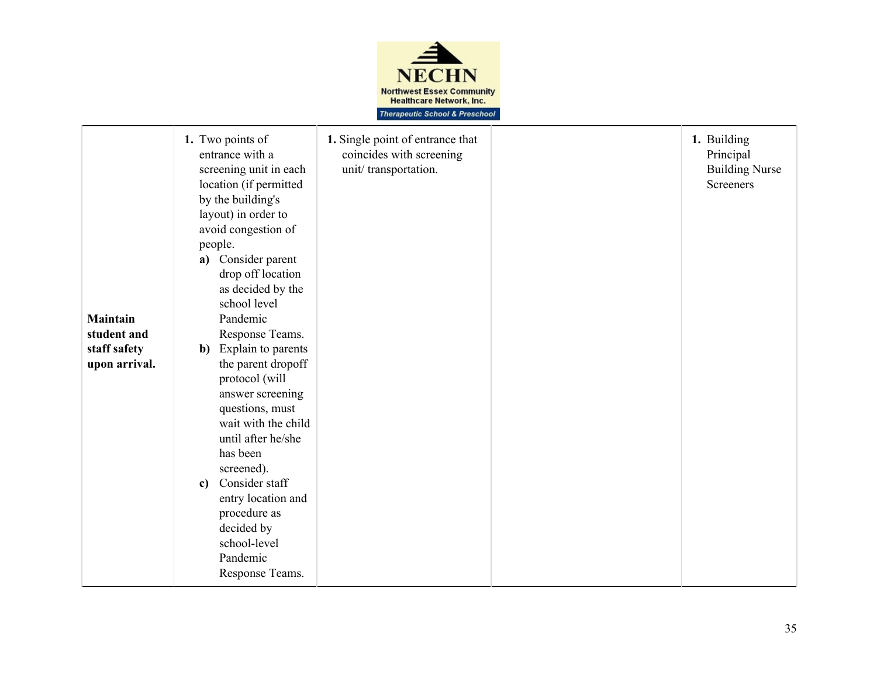

| <b>Maintain</b><br>student and<br>staff safety<br>upon arrival. | 1. Two points of<br>entrance with a<br>screening unit in each<br>location (if permitted<br>by the building's<br>layout) in order to<br>avoid congestion of<br>people.<br>a) Consider parent<br>drop off location<br>as decided by the<br>school level<br>Pandemic<br>Response Teams.<br>Explain to parents<br>$\mathbf{b}$<br>the parent dropoff<br>protocol (will<br>answer screening<br>questions, must<br>wait with the child<br>until after he/she<br>has been<br>screened).<br>Consider staff<br>$\mathbf{c}$<br>entry location and<br>procedure as<br>decided by<br>school-level<br>Pandemic<br>Response Teams. | 1. Single point of entrance that<br>coincides with screening<br>unit/transportation. |  | 1. Building<br>Principal<br><b>Building Nurse</b><br><b>Screeners</b> |
|-----------------------------------------------------------------|-----------------------------------------------------------------------------------------------------------------------------------------------------------------------------------------------------------------------------------------------------------------------------------------------------------------------------------------------------------------------------------------------------------------------------------------------------------------------------------------------------------------------------------------------------------------------------------------------------------------------|--------------------------------------------------------------------------------------|--|-----------------------------------------------------------------------|
|-----------------------------------------------------------------|-----------------------------------------------------------------------------------------------------------------------------------------------------------------------------------------------------------------------------------------------------------------------------------------------------------------------------------------------------------------------------------------------------------------------------------------------------------------------------------------------------------------------------------------------------------------------------------------------------------------------|--------------------------------------------------------------------------------------|--|-----------------------------------------------------------------------|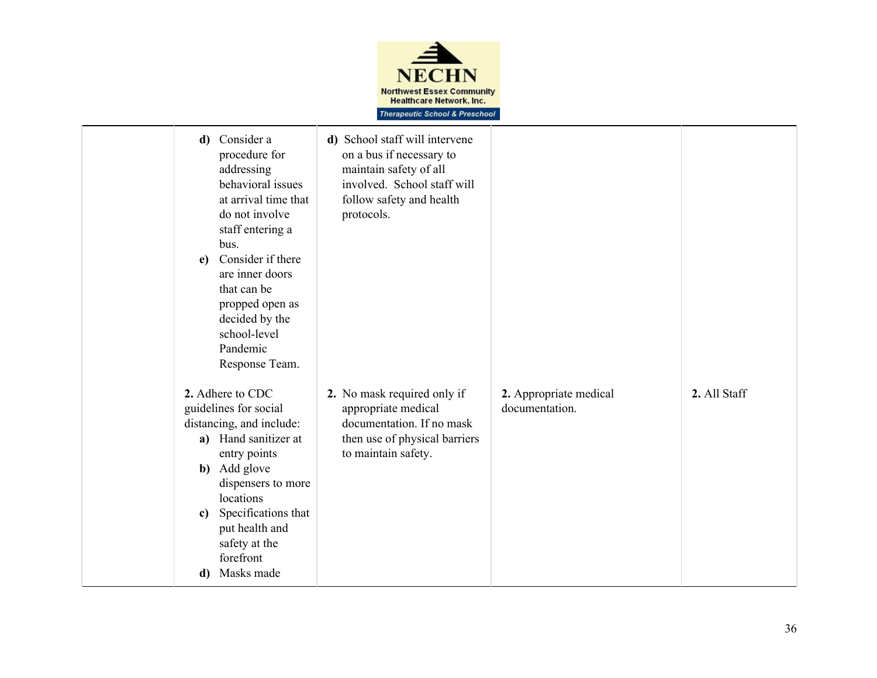

| d)<br>$e$ )        | Consider a<br>procedure for<br>addressing<br>behavioral issues<br>at arrival time that<br>do not involve<br>staff entering a<br>bus.<br>Consider if there<br>are inner doors<br>that can be<br>propped open as<br>decided by the<br>school-level<br>Pandemic<br>Response Team. | d) School staff will intervene<br>on a bus if necessary to<br>maintain safety of all<br>involved. School staff will<br>follow safety and health<br>protocols. |                                          |              |
|--------------------|--------------------------------------------------------------------------------------------------------------------------------------------------------------------------------------------------------------------------------------------------------------------------------|---------------------------------------------------------------------------------------------------------------------------------------------------------------|------------------------------------------|--------------|
| $\mathbf{c}$<br>d) | 2. Adhere to CDC<br>guidelines for social<br>distancing, and include:<br>a) Hand sanitizer at<br>entry points<br><b>b</b> ) Add glove<br>dispensers to more<br>locations<br>Specifications that<br>put health and<br>safety at the<br>forefront<br>Masks made                  | 2. No mask required only if<br>appropriate medical<br>documentation. If no mask<br>then use of physical barriers<br>to maintain safety.                       | 2. Appropriate medical<br>documentation. | 2. All Staff |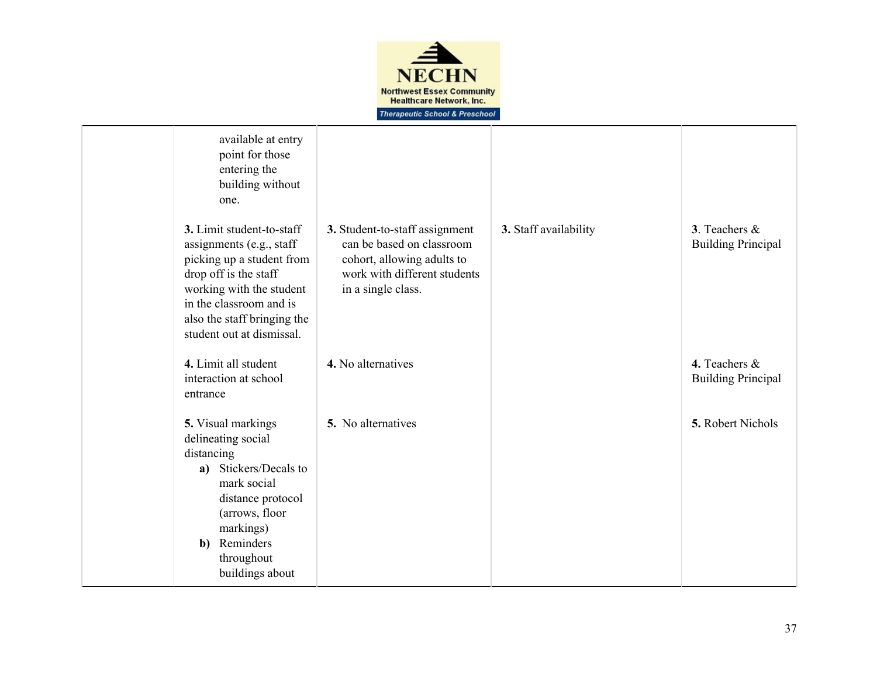

| available at entry<br>point for those<br>entering the<br>building without<br>one.                                                                                                                                              |                                                                                                                                                 |                       |                                            |
|--------------------------------------------------------------------------------------------------------------------------------------------------------------------------------------------------------------------------------|-------------------------------------------------------------------------------------------------------------------------------------------------|-----------------------|--------------------------------------------|
| 3. Limit student-to-staff<br>assignments (e.g., staff<br>picking up a student from<br>drop off is the staff<br>working with the student<br>in the classroom and is<br>also the staff bringing the<br>student out at dismissal. | 3. Student-to-staff assignment<br>can be based on classroom<br>cohort, allowing adults to<br>work with different students<br>in a single class. | 3. Staff availability | 3. Teachers &<br><b>Building Principal</b> |
| 4. Limit all student<br>interaction at school<br>entrance                                                                                                                                                                      | 4. No alternatives                                                                                                                              |                       | 4. Teachers &<br><b>Building Principal</b> |
| 5. Visual markings<br>delineating social<br>distancing<br>a) Stickers/Decals to<br>mark social<br>distance protocol<br>(arrows, floor<br>markings)<br><b>b</b> ) Reminders<br>throughout<br>buildings about                    | 5. No alternatives                                                                                                                              |                       | 5. Robert Nichols                          |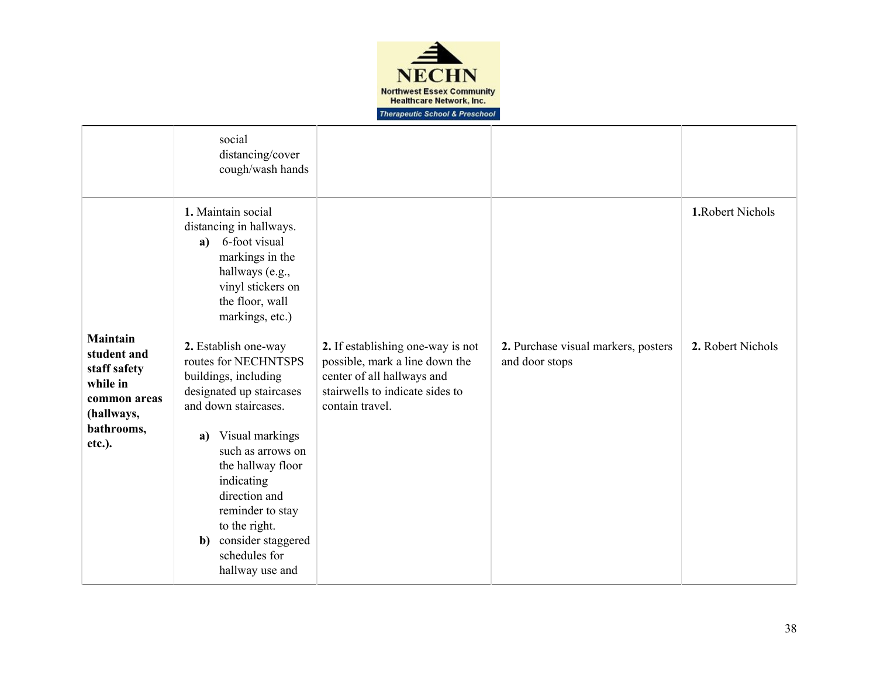

|                                                                                                                  | social<br>distancing/cover<br>cough/wash hands                                                                                                                                                                                                                                                                                                                                                                                                                                                                  |                                                                                                                                                         |                                                       |                                        |
|------------------------------------------------------------------------------------------------------------------|-----------------------------------------------------------------------------------------------------------------------------------------------------------------------------------------------------------------------------------------------------------------------------------------------------------------------------------------------------------------------------------------------------------------------------------------------------------------------------------------------------------------|---------------------------------------------------------------------------------------------------------------------------------------------------------|-------------------------------------------------------|----------------------------------------|
| <b>Maintain</b><br>student and<br>staff safety<br>while in<br>common areas<br>(hallways,<br>bathrooms,<br>etc.). | 1. Maintain social<br>distancing in hallways.<br>a) 6-foot visual<br>markings in the<br>hallways (e.g.,<br>vinyl stickers on<br>the floor, wall<br>markings, etc.)<br>2. Establish one-way<br>routes for NECHNTSPS<br>buildings, including<br>designated up staircases<br>and down staircases.<br>Visual markings<br>a)<br>such as arrows on<br>the hallway floor<br>indicating<br>direction and<br>reminder to stay<br>to the right.<br>consider staggered<br>$\mathbf{b}$<br>schedules for<br>hallway use and | 2. If establishing one-way is not<br>possible, mark a line down the<br>center of all hallways and<br>stairwells to indicate sides to<br>contain travel. | 2. Purchase visual markers, posters<br>and door stops | 1. Robert Nichols<br>2. Robert Nichols |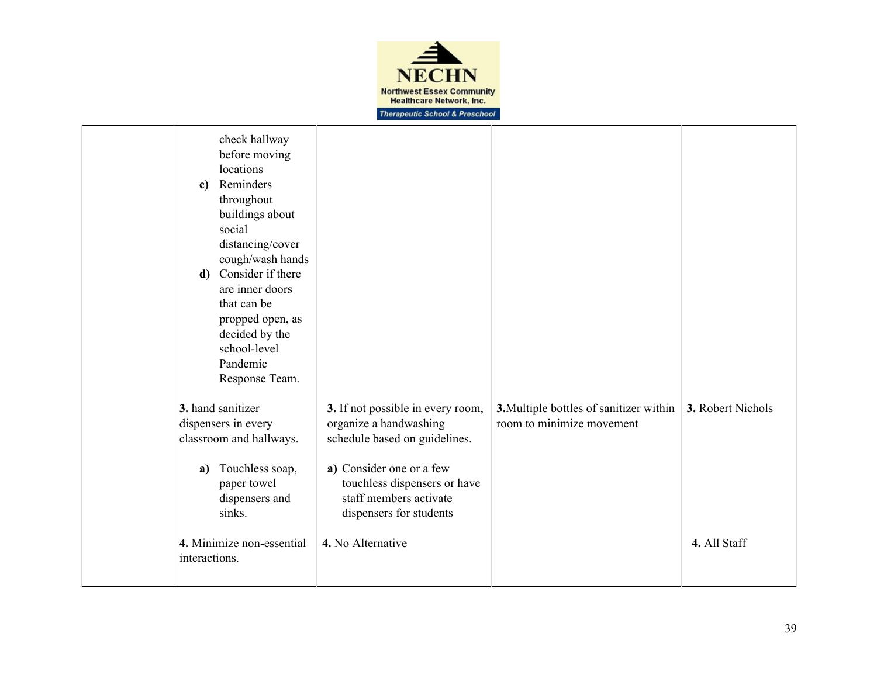

| check hallway<br>before moving<br>locations<br>Reminders<br>c)<br>throughout<br>buildings about<br>social<br>distancing/cover<br>cough/wash hands<br>Consider if there<br>d)<br>are inner doors<br>that can be<br>propped open, as<br>decided by the<br>school-level<br>Pandemic<br>Response Team. |                                                                                                                                                                                                               |                                                                      |                   |
|----------------------------------------------------------------------------------------------------------------------------------------------------------------------------------------------------------------------------------------------------------------------------------------------------|---------------------------------------------------------------------------------------------------------------------------------------------------------------------------------------------------------------|----------------------------------------------------------------------|-------------------|
| 3. hand sanitizer<br>dispensers in every<br>classroom and hallways.<br>Touchless soap,<br>a)<br>paper towel<br>dispensers and<br>sinks.                                                                                                                                                            | 3. If not possible in every room,<br>organize a handwashing<br>schedule based on guidelines.<br>a) Consider one or a few<br>touchless dispensers or have<br>staff members activate<br>dispensers for students | 3. Multiple bottles of sanitizer within<br>room to minimize movement | 3. Robert Nichols |
| 4. Minimize non-essential<br>interactions.                                                                                                                                                                                                                                                         | 4. No Alternative                                                                                                                                                                                             |                                                                      | 4. All Staff      |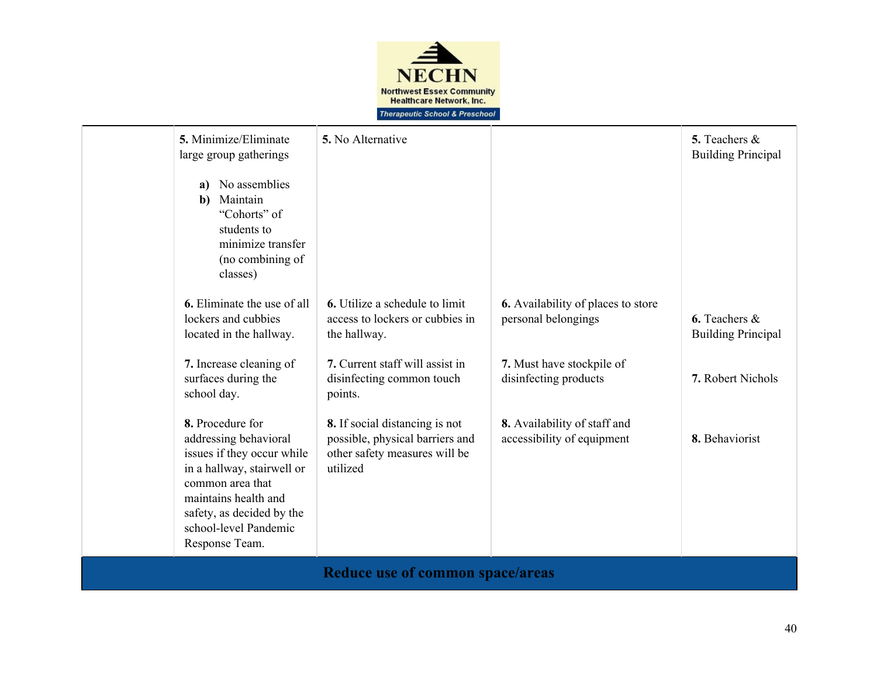

| 5. Minimize/Eliminate<br>large group gatherings<br>No assemblies<br>a)<br>Maintain<br>b)<br>"Cohorts" of<br>students to<br>minimize transfer<br>(no combining of<br>classes)                                              | 5. No Alternative                                                                                                                                                   |                                                                                                                        | 5. Teachers &<br><b>Building Principal</b>                         |  |
|---------------------------------------------------------------------------------------------------------------------------------------------------------------------------------------------------------------------------|---------------------------------------------------------------------------------------------------------------------------------------------------------------------|------------------------------------------------------------------------------------------------------------------------|--------------------------------------------------------------------|--|
| <b>6.</b> Eliminate the use of all<br>lockers and cubbies<br>located in the hallway.<br>7. Increase cleaning of<br>surfaces during the<br>school day.                                                                     | <b>6.</b> Utilize a schedule to limit<br>access to lockers or cubbies in<br>the hallway.<br>7. Current staff will assist in<br>disinfecting common touch<br>points. | <b>6.</b> Availability of places to store<br>personal belongings<br>7. Must have stockpile of<br>disinfecting products | 6. Teachers $\&$<br><b>Building Principal</b><br>7. Robert Nichols |  |
| 8. Procedure for<br>addressing behavioral<br>issues if they occur while<br>in a hallway, stairwell or<br>common area that<br>maintains health and<br>safety, as decided by the<br>school-level Pandemic<br>Response Team. | 8. If social distancing is not<br>possible, physical barriers and<br>other safety measures will be<br>utilized                                                      | 8. Availability of staff and<br>accessibility of equipment                                                             | 8. Behaviorist                                                     |  |
| Reduce use of common space/areas                                                                                                                                                                                          |                                                                                                                                                                     |                                                                                                                        |                                                                    |  |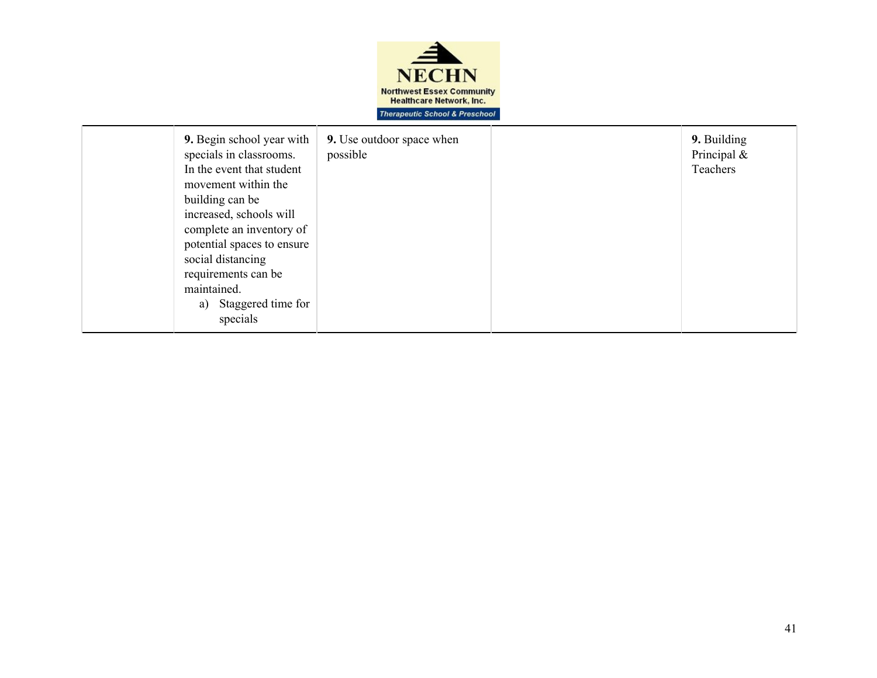

| 9. Begin school year with<br>specials in classrooms.<br>In the event that student<br>movement within the<br>building can be<br>increased, schools will<br>complete an inventory of<br>potential spaces to ensure<br>social distancing<br>requirements can be<br>maintained.<br>Staggered time for<br>a)<br>specials | <b>9.</b> Use outdoor space when<br>possible |  | 9. Building<br>Principal $\&$<br>Teachers |
|---------------------------------------------------------------------------------------------------------------------------------------------------------------------------------------------------------------------------------------------------------------------------------------------------------------------|----------------------------------------------|--|-------------------------------------------|
|---------------------------------------------------------------------------------------------------------------------------------------------------------------------------------------------------------------------------------------------------------------------------------------------------------------------|----------------------------------------------|--|-------------------------------------------|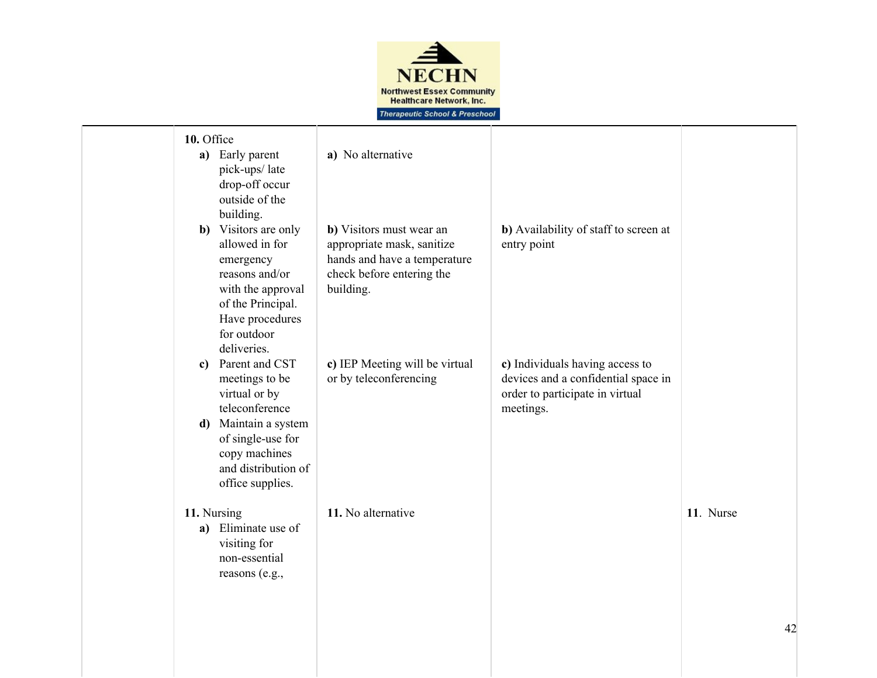

| 10. Office<br>a) Early parent<br>pick-ups/late<br>drop-off occur<br>outside of the<br>building.                                                                                              | a) No alternative                                                                                                                |                                                                                                                        |           |
|----------------------------------------------------------------------------------------------------------------------------------------------------------------------------------------------|----------------------------------------------------------------------------------------------------------------------------------|------------------------------------------------------------------------------------------------------------------------|-----------|
| <b>b</b> ) Visitors are only<br>allowed in for<br>emergency<br>reasons and/or<br>with the approval<br>of the Principal.<br>Have procedures<br>for outdoor<br>deliveries.                     | b) Visitors must wear an<br>appropriate mask, sanitize<br>hands and have a temperature<br>check before entering the<br>building. | b) Availability of staff to screen at<br>entry point                                                                   |           |
| Parent and CST<br>$\mathbf{c}$<br>meetings to be<br>virtual or by<br>teleconference<br>d) Maintain a system<br>of single-use for<br>copy machines<br>and distribution of<br>office supplies. | c) IEP Meeting will be virtual<br>or by teleconferencing                                                                         | c) Individuals having access to<br>devices and a confidential space in<br>order to participate in virtual<br>meetings. |           |
| 11. Nursing<br>a) Eliminate use of<br>visiting for<br>non-essential<br>reasons (e.g.,                                                                                                        | 11. No alternative                                                                                                               |                                                                                                                        | 11. Nurse |
|                                                                                                                                                                                              |                                                                                                                                  |                                                                                                                        | 42        |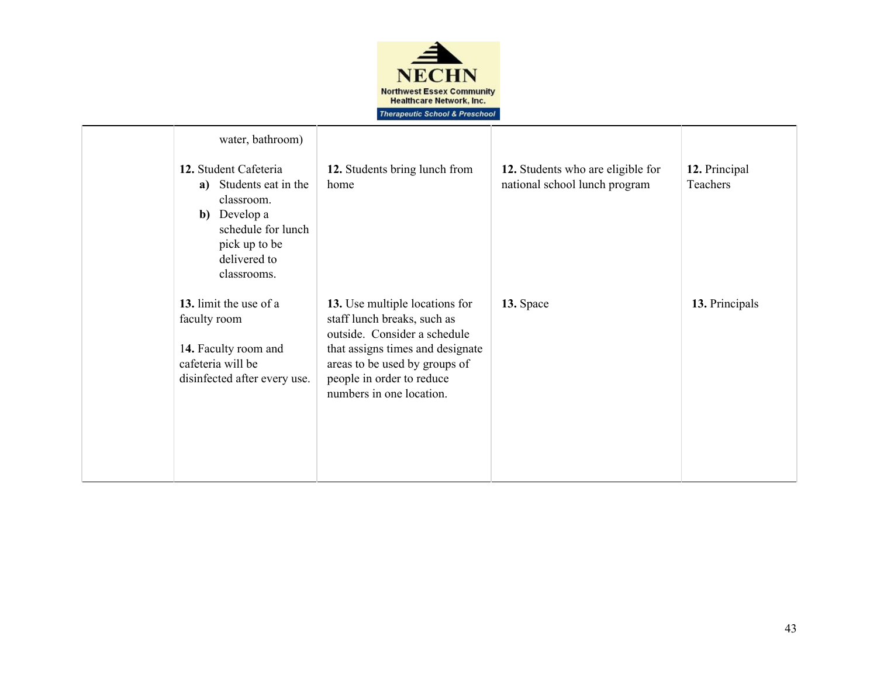

| water, bathroom)<br>12. Student Cafeteria<br>Students eat in the<br>a)<br>classroom.<br><b>b</b> ) Develop a<br>schedule for lunch<br>pick up to be<br>delivered to | 12. Students bring lunch from<br>home                                                                                                                                                                                       | 12. Students who are eligible for<br>national school lunch program | 12. Principal<br>Teachers |
|---------------------------------------------------------------------------------------------------------------------------------------------------------------------|-----------------------------------------------------------------------------------------------------------------------------------------------------------------------------------------------------------------------------|--------------------------------------------------------------------|---------------------------|
| classrooms.<br>13. limit the use of a<br>faculty room<br>14. Faculty room and<br>cafeteria will be<br>disinfected after every use.                                  | 13. Use multiple locations for<br>staff lunch breaks, such as<br>outside. Consider a schedule<br>that assigns times and designate<br>areas to be used by groups of<br>people in order to reduce<br>numbers in one location. | 13. Space                                                          | 13. Principals            |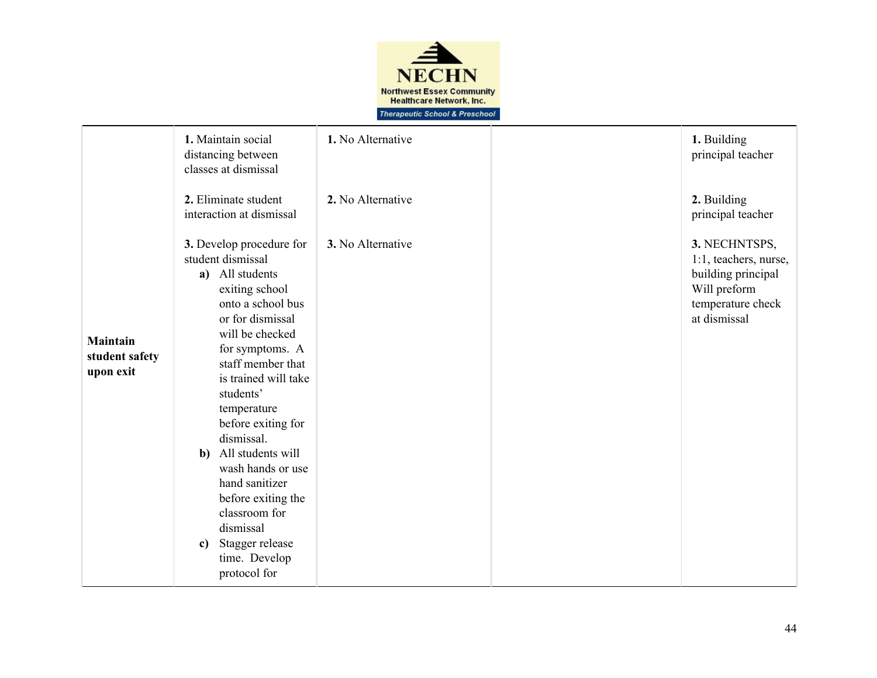

|                                                | 1. Maintain social<br>distancing between<br>classes at dismissal                                                                                                                                                                                                                                                                                                                                                                                                                   | 1. No Alternative | 1. Building<br>principal teacher                                                                                  |
|------------------------------------------------|------------------------------------------------------------------------------------------------------------------------------------------------------------------------------------------------------------------------------------------------------------------------------------------------------------------------------------------------------------------------------------------------------------------------------------------------------------------------------------|-------------------|-------------------------------------------------------------------------------------------------------------------|
|                                                | 2. Eliminate student<br>interaction at dismissal                                                                                                                                                                                                                                                                                                                                                                                                                                   | 2. No Alternative | 2. Building<br>principal teacher                                                                                  |
| <b>Maintain</b><br>student safety<br>upon exit | 3. Develop procedure for<br>student dismissal<br>a) All students<br>exiting school<br>onto a school bus<br>or for dismissal<br>will be checked<br>for symptoms. A<br>staff member that<br>is trained will take<br>students'<br>temperature<br>before exiting for<br>dismissal.<br>All students will<br>$\mathbf{b}$<br>wash hands or use<br>hand sanitizer<br>before exiting the<br>classroom for<br>dismissal<br>Stagger release<br>$\mathbf{c}$<br>time. Develop<br>protocol for | 3. No Alternative | 3. NECHNTSPS,<br>1:1, teachers, nurse,<br>building principal<br>Will preform<br>temperature check<br>at dismissal |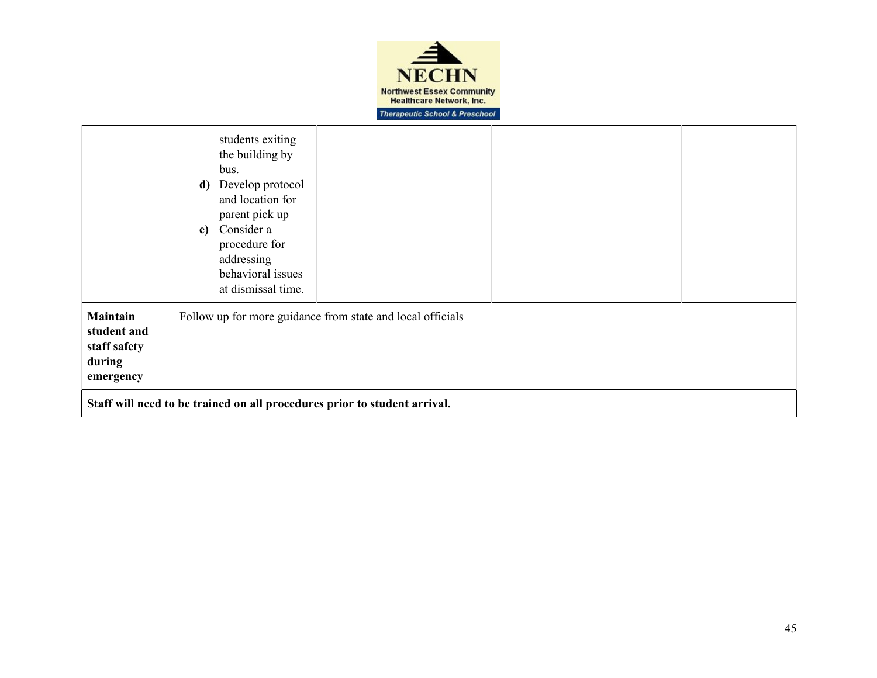

|                                                                       | students exiting<br>the building by<br>bus.<br>Develop protocol<br>d)<br>and location for<br>parent pick up<br>Consider a<br>e)<br>procedure for<br>addressing<br>behavioral issues<br>at dismissal time. |
|-----------------------------------------------------------------------|-----------------------------------------------------------------------------------------------------------------------------------------------------------------------------------------------------------|
| <b>Maintain</b><br>student and<br>staff safety<br>during<br>emergency | Follow up for more guidance from state and local officials                                                                                                                                                |
|                                                                       | Staff will need to be trained on all procedures prior to student arrival.                                                                                                                                 |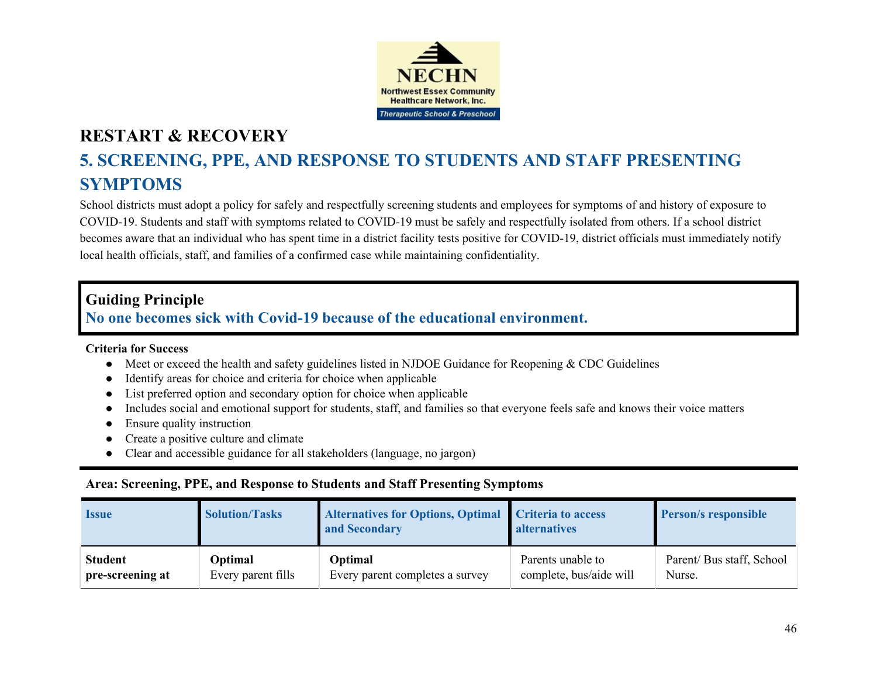

# **5. SCREENING, PPE, AND RESPONSE TO STUDENTS AND STAFF PRESENTING SYMPTOMS**

School districts must adopt a policy for safely and respectfully screening students and employees for symptoms of and history of exposure to COVID-19. Students and staff with symptoms related to COVID-19 must be safely and respectfully isolated from others. If a school district becomes aware that an individual who has spent time in a district facility tests positive for COVID-19, district officials must immediately notify local health officials, staff, and families of a confirmed case while maintaining confidentiality.

### **Guiding Principle**

### **No one becomes sick with Covid-19 because of the educational environment.**

#### **Criteria for Success**

- **●** Meet or exceed the health and safety guidelines listed in NJDOE Guidance for Reopening & CDC Guidelines
- **●** Identify areas for choice and criteria for choice when applicable
- **●** List preferred option and secondary option for choice when applicable
- Includes social and emotional support for students, staff, and families so that everyone feels safe and knows their voice matters
- **Ensure quality instruction**
- **●** Create a positive culture and climate
- **●** Clear and accessible guidance for all stakeholders (language, no jargon)

#### **Area: Screening, PPE, and Response to Students and Staff Presenting Symptoms**

| <i><u><b>Issue</b></u></i> | <b>Solution/Tasks</b> | <b>Alternatives for Options, Optimal</b><br>and Secondary | Criteria to access<br><b>alternatives</b> | <b>Person/s responsible</b> |
|----------------------------|-----------------------|-----------------------------------------------------------|-------------------------------------------|-----------------------------|
| <b>Student</b>             | Optimal               | <b>Optimal</b>                                            | Parents unable to                         | Parent/ Bus staff, School   |
| pre-screening at           | Every parent fills    | Every parent completes a survey                           | complete, bus/aide will                   | Nurse.                      |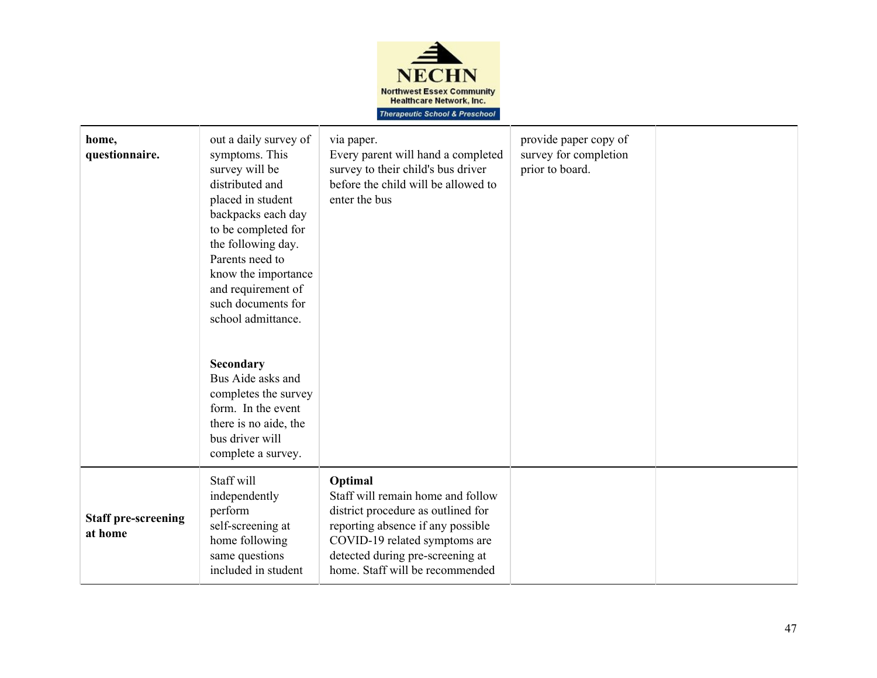

| home,<br>questionnaire.               | out a daily survey of<br>symptoms. This<br>survey will be<br>distributed and<br>placed in student<br>backpacks each day<br>to be completed for<br>the following day.<br>Parents need to<br>know the importance<br>and requirement of<br>such documents for<br>school admittance.<br>Secondary<br>Bus Aide asks and<br>completes the survey<br>form. In the event<br>there is no aide, the<br>bus driver will<br>complete a survey. | via paper.<br>Every parent will hand a completed<br>survey to their child's bus driver<br>before the child will be allowed to<br>enter the bus                                                                                  | provide paper copy of<br>survey for completion<br>prior to board. |  |
|---------------------------------------|------------------------------------------------------------------------------------------------------------------------------------------------------------------------------------------------------------------------------------------------------------------------------------------------------------------------------------------------------------------------------------------------------------------------------------|---------------------------------------------------------------------------------------------------------------------------------------------------------------------------------------------------------------------------------|-------------------------------------------------------------------|--|
| <b>Staff pre-screening</b><br>at home | Staff will<br>independently<br>perform<br>self-screening at<br>home following<br>same questions<br>included in student                                                                                                                                                                                                                                                                                                             | Optimal<br>Staff will remain home and follow<br>district procedure as outlined for<br>reporting absence if any possible<br>COVID-19 related symptoms are<br>detected during pre-screening at<br>home. Staff will be recommended |                                                                   |  |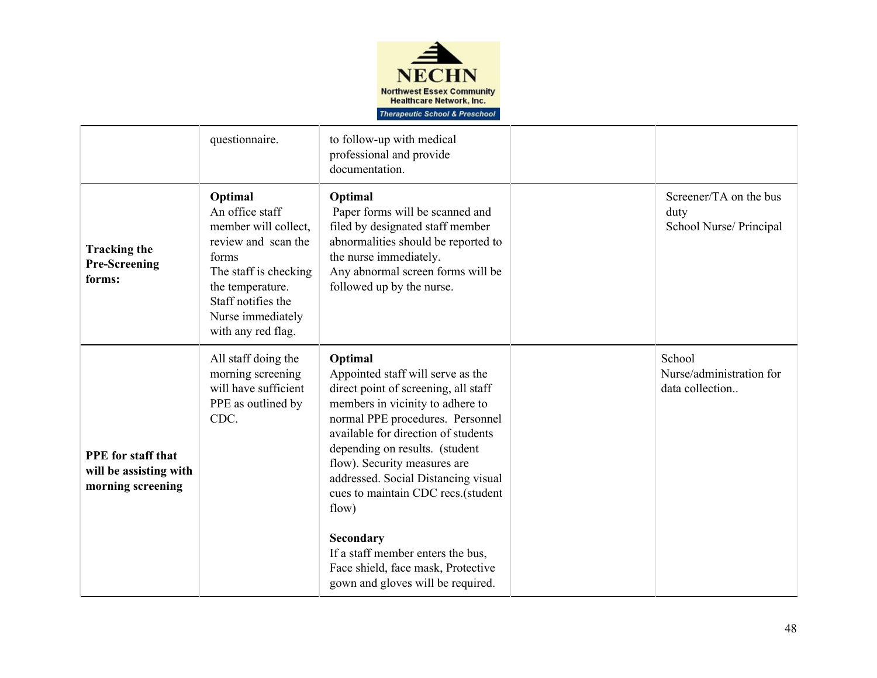

|                                                                          | questionnaire.                                                                                                                                                                                   | to follow-up with medical<br>professional and provide<br>documentation.                                                                                                                                                                                                                                                                                                                                                                                                                  |                                                           |
|--------------------------------------------------------------------------|--------------------------------------------------------------------------------------------------------------------------------------------------------------------------------------------------|------------------------------------------------------------------------------------------------------------------------------------------------------------------------------------------------------------------------------------------------------------------------------------------------------------------------------------------------------------------------------------------------------------------------------------------------------------------------------------------|-----------------------------------------------------------|
| <b>Tracking the</b><br><b>Pre-Screening</b><br>forms:                    | Optimal<br>An office staff<br>member will collect,<br>review and scan the<br>forms<br>The staff is checking<br>the temperature.<br>Staff notifies the<br>Nurse immediately<br>with any red flag. | Optimal<br>Paper forms will be scanned and<br>filed by designated staff member<br>abnormalities should be reported to<br>the nurse immediately.<br>Any abnormal screen forms will be<br>followed up by the nurse.                                                                                                                                                                                                                                                                        | Screener/TA on the bus<br>duty<br>School Nurse/ Principal |
| <b>PPE</b> for staff that<br>will be assisting with<br>morning screening | All staff doing the<br>morning screening<br>will have sufficient<br>PPE as outlined by<br>CDC.                                                                                                   | Optimal<br>Appointed staff will serve as the<br>direct point of screening, all staff<br>members in vicinity to adhere to<br>normal PPE procedures. Personnel<br>available for direction of students<br>depending on results. (student<br>flow). Security measures are<br>addressed. Social Distancing visual<br>cues to maintain CDC recs.(student<br>flow)<br>Secondary<br>If a staff member enters the bus,<br>Face shield, face mask, Protective<br>gown and gloves will be required. | School<br>Nurse/administration for<br>data collection     |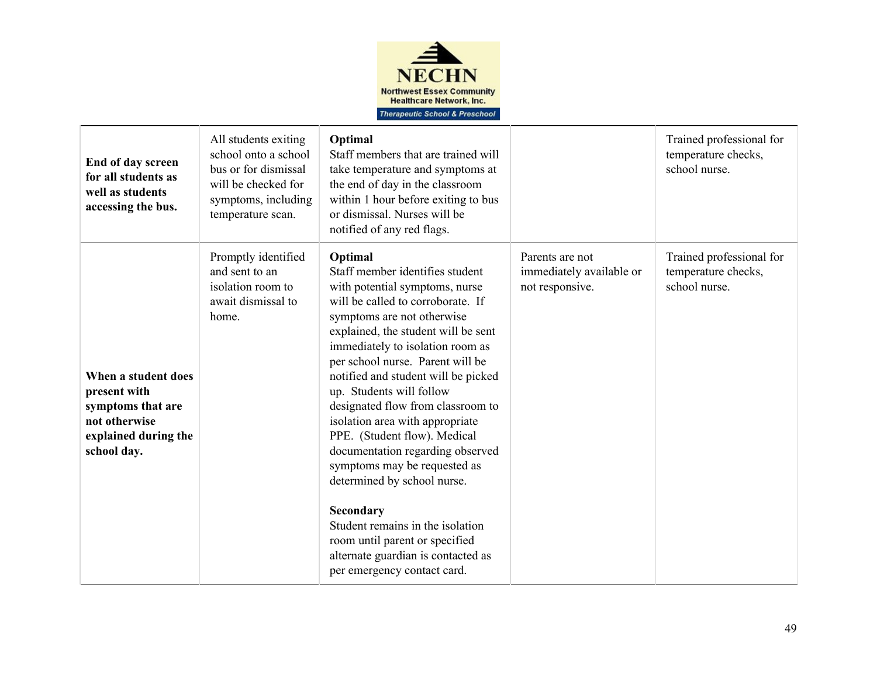

| End of day screen<br>for all students as<br>well as students<br>accessing the bus.                               | All students exiting<br>school onto a school<br>bus or for dismissal<br>will be checked for<br>symptoms, including<br>temperature scan. | Optimal<br>Staff members that are trained will<br>take temperature and symptoms at<br>the end of day in the classroom<br>within 1 hour before exiting to bus<br>or dismissal. Nurses will be<br>notified of any red flags.                                                                                                                                                                                                                                                                                                                                                                                                                                                                                  |                                                                | Trained professional for<br>temperature checks,<br>school nurse. |
|------------------------------------------------------------------------------------------------------------------|-----------------------------------------------------------------------------------------------------------------------------------------|-------------------------------------------------------------------------------------------------------------------------------------------------------------------------------------------------------------------------------------------------------------------------------------------------------------------------------------------------------------------------------------------------------------------------------------------------------------------------------------------------------------------------------------------------------------------------------------------------------------------------------------------------------------------------------------------------------------|----------------------------------------------------------------|------------------------------------------------------------------|
| When a student does<br>present with<br>symptoms that are<br>not otherwise<br>explained during the<br>school day. | Promptly identified<br>and sent to an<br>isolation room to<br>await dismissal to<br>home.                                               | Optimal<br>Staff member identifies student<br>with potential symptoms, nurse<br>will be called to corroborate. If<br>symptoms are not otherwise<br>explained, the student will be sent<br>immediately to isolation room as<br>per school nurse. Parent will be<br>notified and student will be picked<br>up. Students will follow<br>designated flow from classroom to<br>isolation area with appropriate<br>PPE. (Student flow). Medical<br>documentation regarding observed<br>symptoms may be requested as<br>determined by school nurse.<br><b>Secondary</b><br>Student remains in the isolation<br>room until parent or specified<br>alternate guardian is contacted as<br>per emergency contact card. | Parents are not<br>immediately available or<br>not responsive. | Trained professional for<br>temperature checks,<br>school nurse. |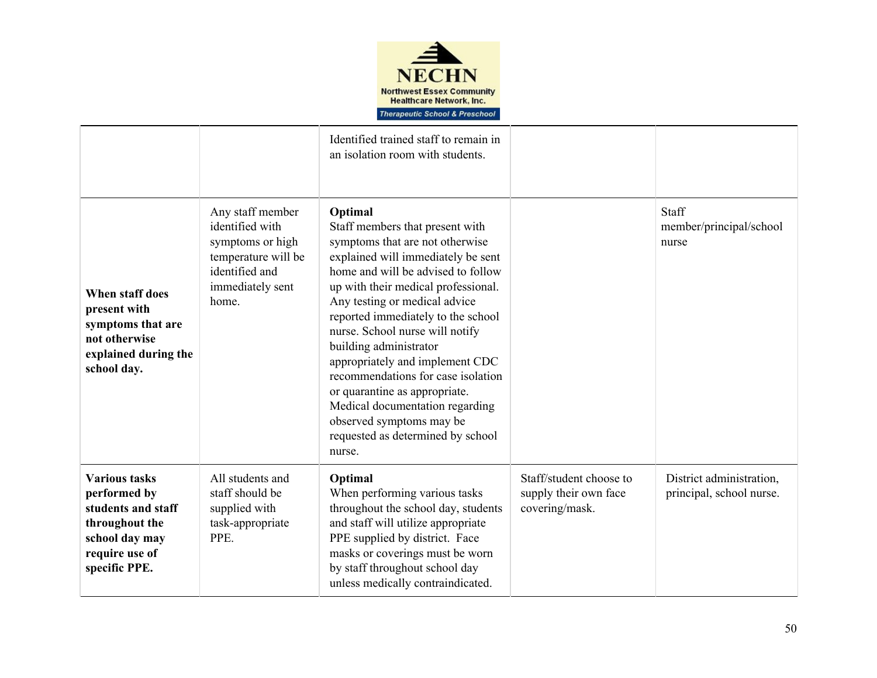

|                                                                                                                                   |                                                                                                                               | Identified trained staff to remain in<br>an isolation room with students.                                                                                                                                                                                                                                                                                                                                                                                                                                                                                    |                                                                    |                                                      |
|-----------------------------------------------------------------------------------------------------------------------------------|-------------------------------------------------------------------------------------------------------------------------------|--------------------------------------------------------------------------------------------------------------------------------------------------------------------------------------------------------------------------------------------------------------------------------------------------------------------------------------------------------------------------------------------------------------------------------------------------------------------------------------------------------------------------------------------------------------|--------------------------------------------------------------------|------------------------------------------------------|
| When staff does<br>present with<br>symptoms that are<br>not otherwise<br>explained during the<br>school day.                      | Any staff member<br>identified with<br>symptoms or high<br>temperature will be<br>identified and<br>immediately sent<br>home. | Optimal<br>Staff members that present with<br>symptoms that are not otherwise<br>explained will immediately be sent<br>home and will be advised to follow<br>up with their medical professional.<br>Any testing or medical advice<br>reported immediately to the school<br>nurse. School nurse will notify<br>building administrator<br>appropriately and implement CDC<br>recommendations for case isolation<br>or quarantine as appropriate.<br>Medical documentation regarding<br>observed symptoms may be<br>requested as determined by school<br>nurse. |                                                                    | Staff<br>member/principal/school<br>nurse            |
| <b>Various tasks</b><br>performed by<br>students and staff<br>throughout the<br>school day may<br>require use of<br>specific PPE. | All students and<br>staff should be<br>supplied with<br>task-appropriate<br>PPE.                                              | Optimal<br>When performing various tasks<br>throughout the school day, students<br>and staff will utilize appropriate<br>PPE supplied by district. Face<br>masks or coverings must be worn<br>by staff throughout school day<br>unless medically contraindicated.                                                                                                                                                                                                                                                                                            | Staff/student choose to<br>supply their own face<br>covering/mask. | District administration,<br>principal, school nurse. |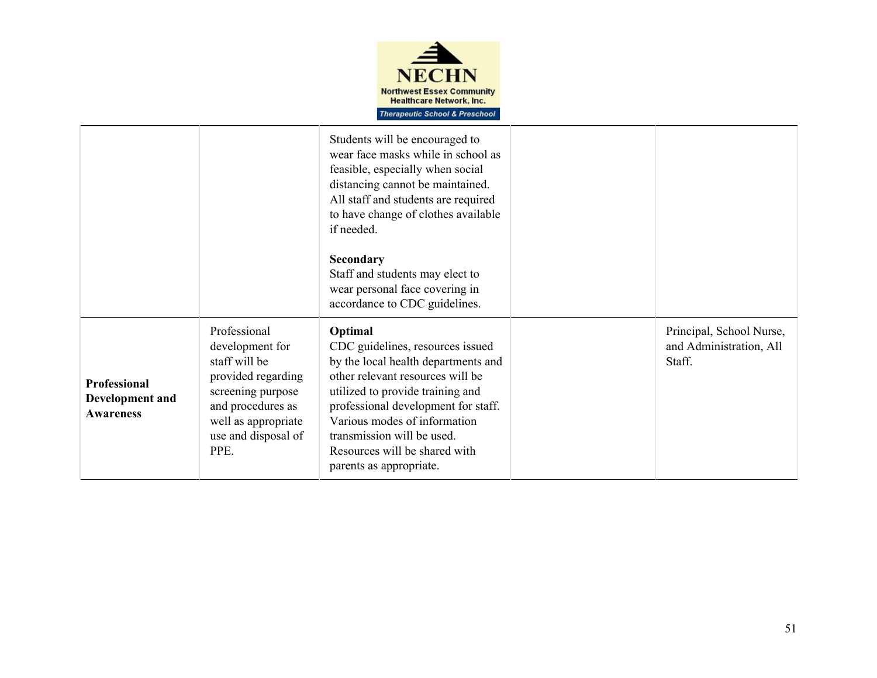

|                                                            |                                                                                                                                                                        | Students will be encouraged to<br>wear face masks while in school as<br>feasible, especially when social<br>distancing cannot be maintained.<br>All staff and students are required<br>to have change of clothes available<br>if needed.<br>Secondary<br>Staff and students may elect to<br>wear personal face covering in  |                                                               |
|------------------------------------------------------------|------------------------------------------------------------------------------------------------------------------------------------------------------------------------|-----------------------------------------------------------------------------------------------------------------------------------------------------------------------------------------------------------------------------------------------------------------------------------------------------------------------------|---------------------------------------------------------------|
|                                                            |                                                                                                                                                                        | accordance to CDC guidelines.                                                                                                                                                                                                                                                                                               |                                                               |
| <b>Professional</b><br>Development and<br><b>Awareness</b> | Professional<br>development for<br>staff will be<br>provided regarding<br>screening purpose<br>and procedures as<br>well as appropriate<br>use and disposal of<br>PPE. | Optimal<br>CDC guidelines, resources issued<br>by the local health departments and<br>other relevant resources will be<br>utilized to provide training and<br>professional development for staff.<br>Various modes of information<br>transmission will be used.<br>Resources will be shared with<br>parents as appropriate. | Principal, School Nurse,<br>and Administration, All<br>Staff. |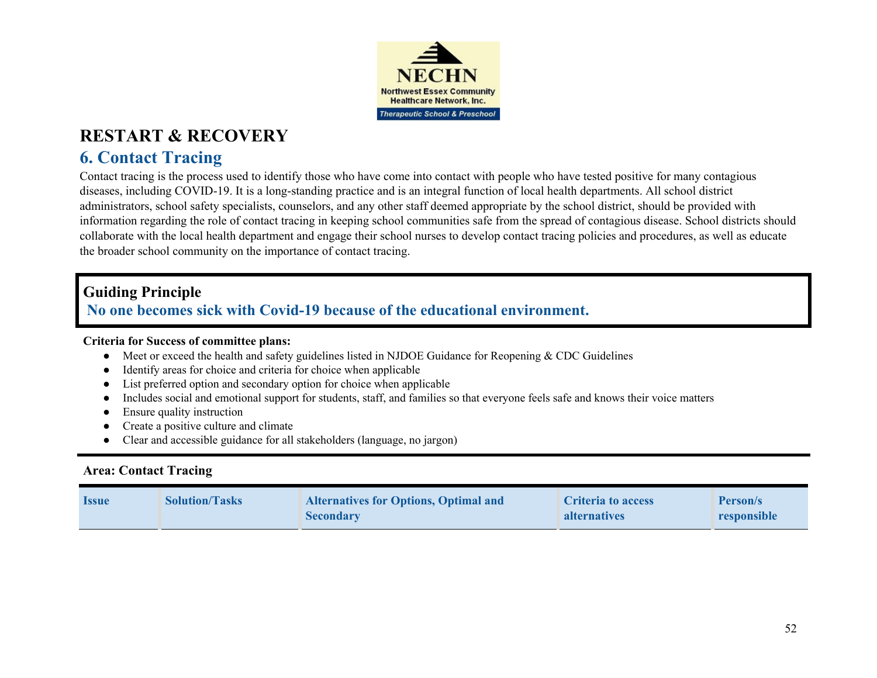

## **6. Contact Tracing**

Contact tracing is the process used to identify those who have come into contact with people who have tested positive for many contagious diseases, including COVID-19. It is a long-standing practice and is an integral function of local health departments. All school district administrators, school safety specialists, counselors, and any other staff deemed appropriate by the school district, should be provided with information regarding the role of contact tracing in keeping school communities safe from the spread of contagious disease. School districts should collaborate with the local health department and engage their school nurses to develop contact tracing policies and procedures, as well as educate the broader school community on the importance of contact tracing.

### **Guiding Principle**

**No one becomes sick with Covid-19 because of the educational environment.**

### **Criteria for Success of committee plans:**

- Meet or exceed the health and safety guidelines listed in NJDOE Guidance for Reopening & CDC Guidelines
- Identify areas for choice and criteria for choice when applicable
- List preferred option and secondary option for choice when applicable
- Includes social and emotional support for students, staff, and families so that everyone feels safe and knows their voice matters
- Ensure quality instruction
- Create a positive culture and climate
- Clear and accessible guidance for all stakeholders (language, no jargon)

### **Area: Contact Tracing**

| <i><u><b>Issue</b></u></i> | <b>Solution/Tasks</b> | <b>Alternatives for Options, Optimal and</b><br><b>Secondary</b> | Criteria to access<br>alternatives | <b>Person/s</b><br>responsible |
|----------------------------|-----------------------|------------------------------------------------------------------|------------------------------------|--------------------------------|
|----------------------------|-----------------------|------------------------------------------------------------------|------------------------------------|--------------------------------|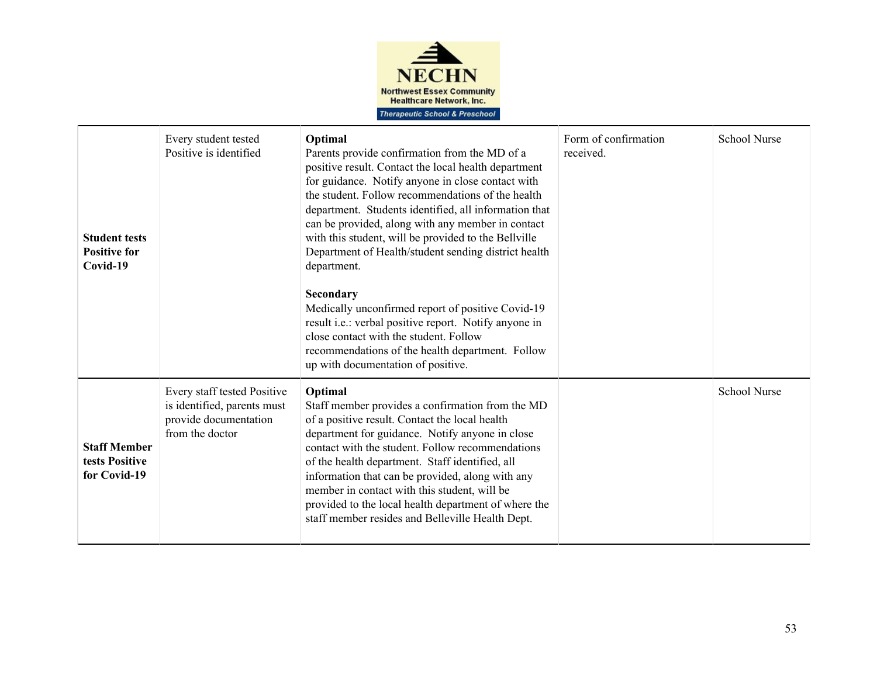

| <b>Student tests</b><br><b>Positive for</b><br>Covid-19 | Every student tested<br>Positive is identified                                                         | Optimal<br>Parents provide confirmation from the MD of a<br>positive result. Contact the local health department<br>for guidance. Notify anyone in close contact with<br>the student. Follow recommendations of the health<br>department. Students identified, all information that<br>can be provided, along with any member in contact<br>with this student, will be provided to the Bellville<br>Department of Health/student sending district health<br>department.<br>Secondary<br>Medically unconfirmed report of positive Covid-19<br>result i.e.: verbal positive report. Notify anyone in<br>close contact with the student. Follow<br>recommendations of the health department. Follow<br>up with documentation of positive. | Form of confirmation<br>received. | <b>School Nurse</b> |
|---------------------------------------------------------|--------------------------------------------------------------------------------------------------------|----------------------------------------------------------------------------------------------------------------------------------------------------------------------------------------------------------------------------------------------------------------------------------------------------------------------------------------------------------------------------------------------------------------------------------------------------------------------------------------------------------------------------------------------------------------------------------------------------------------------------------------------------------------------------------------------------------------------------------------|-----------------------------------|---------------------|
| <b>Staff Member</b><br>tests Positive<br>for Covid-19   | Every staff tested Positive<br>is identified, parents must<br>provide documentation<br>from the doctor | Optimal<br>Staff member provides a confirmation from the MD<br>of a positive result. Contact the local health<br>department for guidance. Notify anyone in close<br>contact with the student. Follow recommendations<br>of the health department. Staff identified, all<br>information that can be provided, along with any<br>member in contact with this student, will be<br>provided to the local health department of where the<br>staff member resides and Belleville Health Dept.                                                                                                                                                                                                                                                |                                   | <b>School Nurse</b> |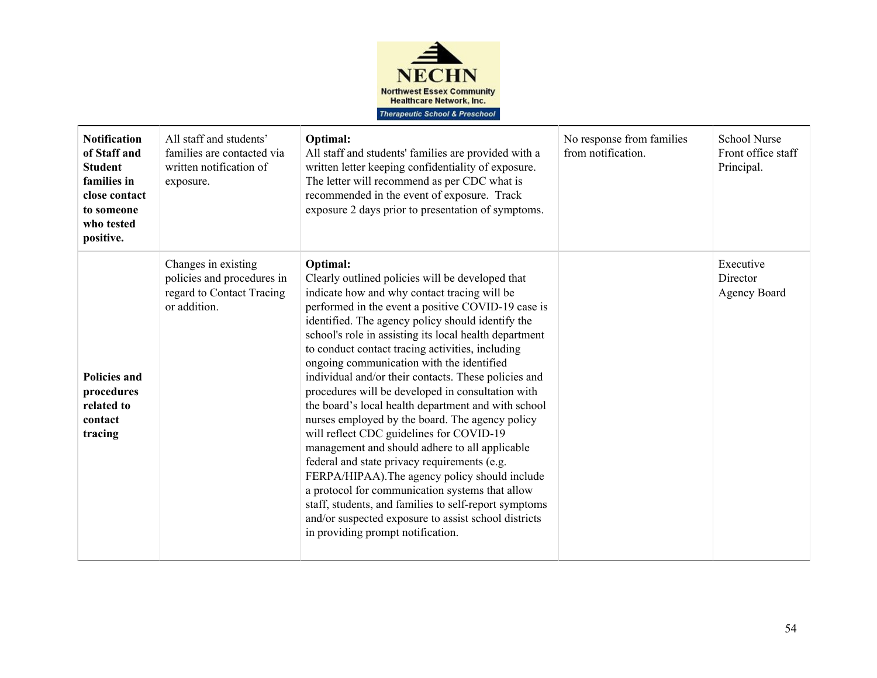

| <b>Notification</b><br>of Staff and<br><b>Student</b><br>families in<br>close contact<br>to someone<br>who tested<br>positive. | All staff and students'<br>families are contacted via<br>written notification of<br>exposure.  | Optimal:<br>All staff and students' families are provided with a<br>written letter keeping confidentiality of exposure.<br>The letter will recommend as per CDC what is<br>recommended in the event of exposure. Track<br>exposure 2 days prior to presentation of symptoms.                                                                                                                                                                                                                                                                                                                                                                                                                                                                                                                                                                                                                                                                                                                                       | No response from families<br>from notification. | <b>School Nurse</b><br>Front office staff<br>Principal. |
|--------------------------------------------------------------------------------------------------------------------------------|------------------------------------------------------------------------------------------------|--------------------------------------------------------------------------------------------------------------------------------------------------------------------------------------------------------------------------------------------------------------------------------------------------------------------------------------------------------------------------------------------------------------------------------------------------------------------------------------------------------------------------------------------------------------------------------------------------------------------------------------------------------------------------------------------------------------------------------------------------------------------------------------------------------------------------------------------------------------------------------------------------------------------------------------------------------------------------------------------------------------------|-------------------------------------------------|---------------------------------------------------------|
| <b>Policies and</b><br>procedures<br>related to<br>contact<br>tracing                                                          | Changes in existing<br>policies and procedures in<br>regard to Contact Tracing<br>or addition. | Optimal:<br>Clearly outlined policies will be developed that<br>indicate how and why contact tracing will be<br>performed in the event a positive COVID-19 case is<br>identified. The agency policy should identify the<br>school's role in assisting its local health department<br>to conduct contact tracing activities, including<br>ongoing communication with the identified<br>individual and/or their contacts. These policies and<br>procedures will be developed in consultation with<br>the board's local health department and with school<br>nurses employed by the board. The agency policy<br>will reflect CDC guidelines for COVID-19<br>management and should adhere to all applicable<br>federal and state privacy requirements (e.g.<br>FERPA/HIPAA). The agency policy should include<br>a protocol for communication systems that allow<br>staff, students, and families to self-report symptoms<br>and/or suspected exposure to assist school districts<br>in providing prompt notification. |                                                 | Executive<br>Director<br><b>Agency Board</b>            |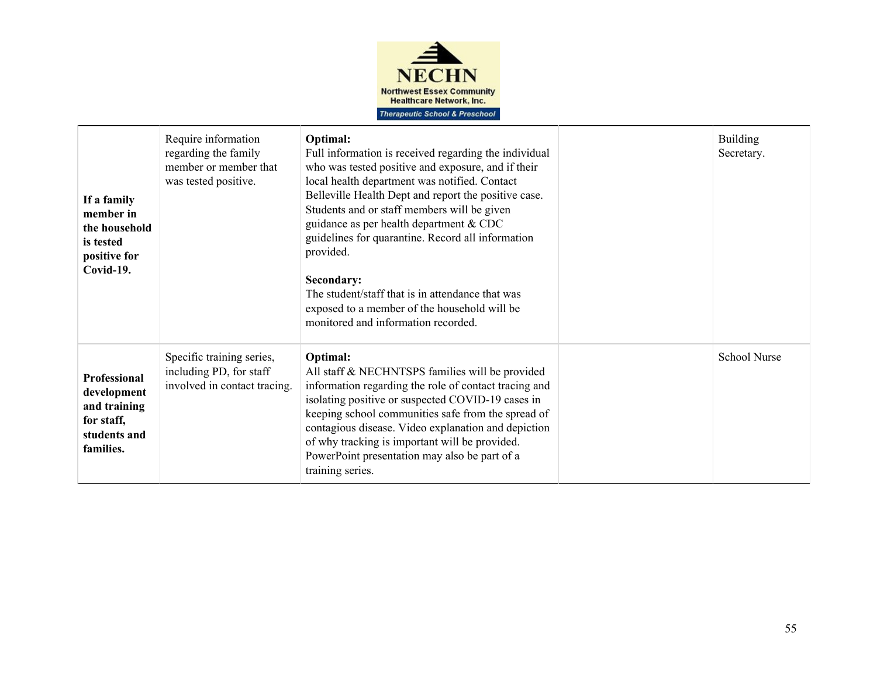

| If a family<br>member in<br>the household<br>is tested<br>positive for<br>Covid-19.    | Require information<br>regarding the family<br>member or member that<br>was tested positive. | Optimal:<br>Full information is received regarding the individual<br>who was tested positive and exposure, and if their<br>local health department was notified. Contact<br>Belleville Health Dept and report the positive case.<br>Students and or staff members will be given<br>guidance as per health department & CDC<br>guidelines for quarantine. Record all information<br>provided.<br>Secondary:<br>The student/staff that is in attendance that was<br>exposed to a member of the household will be<br>monitored and information recorded. | <b>Building</b><br>Secretary. |
|----------------------------------------------------------------------------------------|----------------------------------------------------------------------------------------------|-------------------------------------------------------------------------------------------------------------------------------------------------------------------------------------------------------------------------------------------------------------------------------------------------------------------------------------------------------------------------------------------------------------------------------------------------------------------------------------------------------------------------------------------------------|-------------------------------|
| Professional<br>development<br>and training<br>for staff,<br>students and<br>families. | Specific training series,<br>including PD, for staff<br>involved in contact tracing.         | Optimal:<br>All staff & NECHNTSPS families will be provided<br>information regarding the role of contact tracing and<br>isolating positive or suspected COVID-19 cases in<br>keeping school communities safe from the spread of<br>contagious disease. Video explanation and depiction<br>of why tracking is important will be provided.<br>PowerPoint presentation may also be part of a<br>training series.                                                                                                                                         | <b>School Nurse</b>           |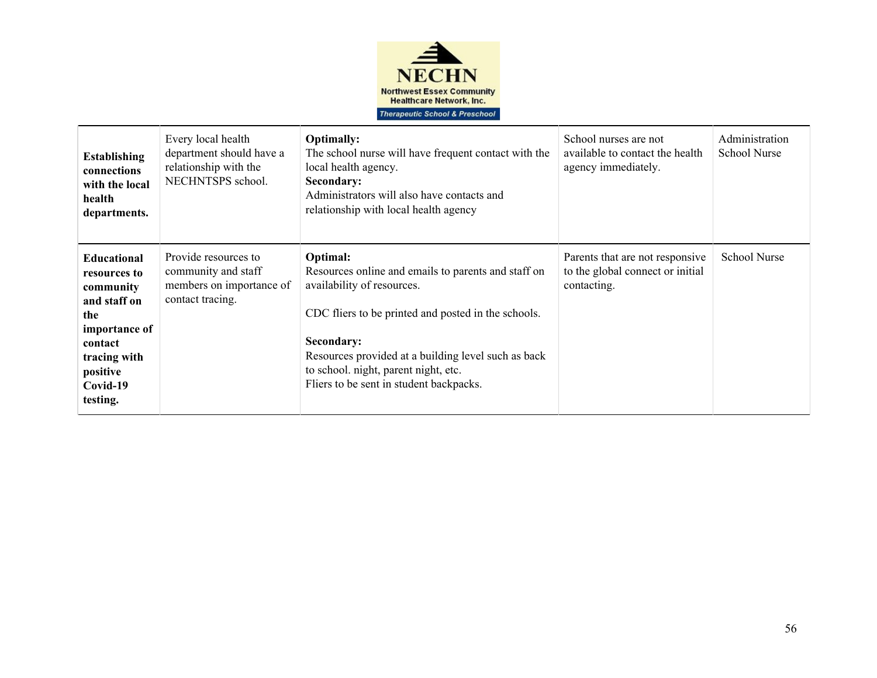

| <b>Establishing</b><br>connections<br>with the local<br>health<br>departments.                                                                         | Every local health<br>department should have a<br>relationship with the<br>NECHNTSPS school. | <b>Optimally:</b><br>The school nurse will have frequent contact with the<br>local health agency.<br>Secondary:<br>Administrators will also have contacts and<br>relationship with local health agency                                                                                                       | School nurses are not<br>available to contact the health<br>agency immediately.    | Administration<br><b>School Nurse</b> |
|--------------------------------------------------------------------------------------------------------------------------------------------------------|----------------------------------------------------------------------------------------------|--------------------------------------------------------------------------------------------------------------------------------------------------------------------------------------------------------------------------------------------------------------------------------------------------------------|------------------------------------------------------------------------------------|---------------------------------------|
| <b>Educational</b><br>resources to<br>community<br>and staff on<br>the<br>importance of<br>contact<br>tracing with<br>positive<br>Covid-19<br>testing. | Provide resources to<br>community and staff<br>members on importance of<br>contact tracing.  | Optimal:<br>Resources online and emails to parents and staff on<br>availability of resources.<br>CDC fliers to be printed and posted in the schools.<br>Secondary:<br>Resources provided at a building level such as back<br>to school. night, parent night, etc.<br>Fliers to be sent in student backpacks. | Parents that are not responsive<br>to the global connect or initial<br>contacting. | <b>School Nurse</b>                   |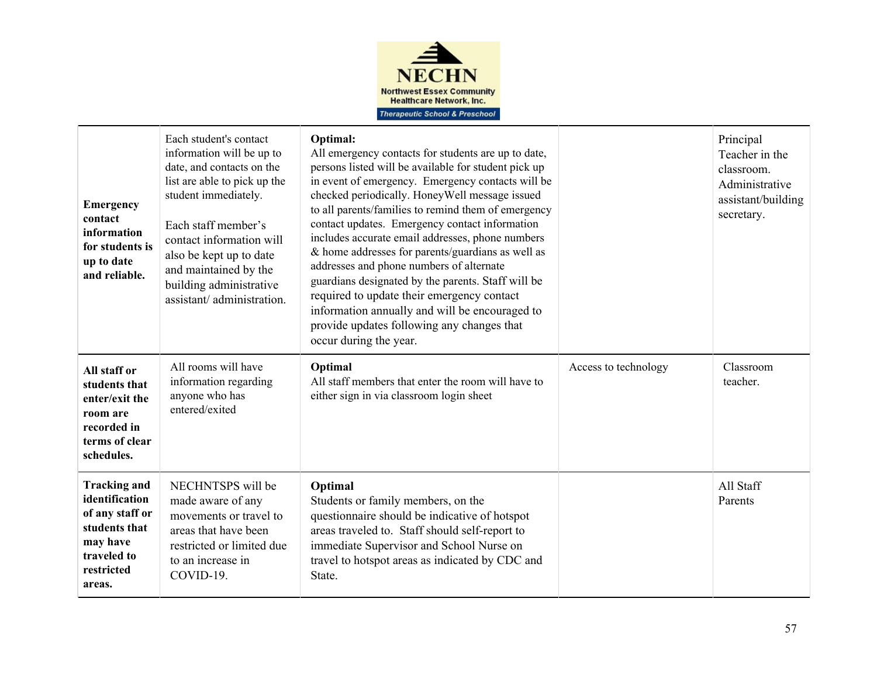

| <b>Emergency</b><br>contact<br>information<br>for students is<br>up to date<br>and reliable.                                 | Each student's contact<br>information will be up to<br>date, and contacts on the<br>list are able to pick up the<br>student immediately.<br>Each staff member's<br>contact information will<br>also be kept up to date<br>and maintained by the<br>building administrative<br>assistant/administration. | Optimal:<br>All emergency contacts for students are up to date,<br>persons listed will be available for student pick up<br>in event of emergency. Emergency contacts will be<br>checked periodically. Honey Well message issued<br>to all parents/families to remind them of emergency<br>contact updates. Emergency contact information<br>includes accurate email addresses, phone numbers<br>& home addresses for parents/guardians as well as<br>addresses and phone numbers of alternate<br>guardians designated by the parents. Staff will be<br>required to update their emergency contact<br>information annually and will be encouraged to<br>provide updates following any changes that<br>occur during the year. |                      | Principal<br>Teacher in the<br>classroom.<br>Administrative<br>assistant/building<br>secretary. |
|------------------------------------------------------------------------------------------------------------------------------|---------------------------------------------------------------------------------------------------------------------------------------------------------------------------------------------------------------------------------------------------------------------------------------------------------|-----------------------------------------------------------------------------------------------------------------------------------------------------------------------------------------------------------------------------------------------------------------------------------------------------------------------------------------------------------------------------------------------------------------------------------------------------------------------------------------------------------------------------------------------------------------------------------------------------------------------------------------------------------------------------------------------------------------------------|----------------------|-------------------------------------------------------------------------------------------------|
| All staff or<br>students that<br>enter/exit the<br>room are<br>recorded in<br>terms of clear<br>schedules.                   | All rooms will have<br>information regarding<br>anyone who has<br>entered/exited                                                                                                                                                                                                                        | Optimal<br>All staff members that enter the room will have to<br>either sign in via classroom login sheet                                                                                                                                                                                                                                                                                                                                                                                                                                                                                                                                                                                                                   | Access to technology | Classroom<br>teacher.                                                                           |
| <b>Tracking and</b><br>identification<br>of any staff or<br>students that<br>may have<br>traveled to<br>restricted<br>areas. | NECHNTSPS will be<br>made aware of any<br>movements or travel to<br>areas that have been<br>restricted or limited due<br>to an increase in<br>COVID-19.                                                                                                                                                 | Optimal<br>Students or family members, on the<br>questionnaire should be indicative of hotspot<br>areas traveled to. Staff should self-report to<br>immediate Supervisor and School Nurse on<br>travel to hotspot areas as indicated by CDC and<br>State.                                                                                                                                                                                                                                                                                                                                                                                                                                                                   |                      | All Staff<br>Parents                                                                            |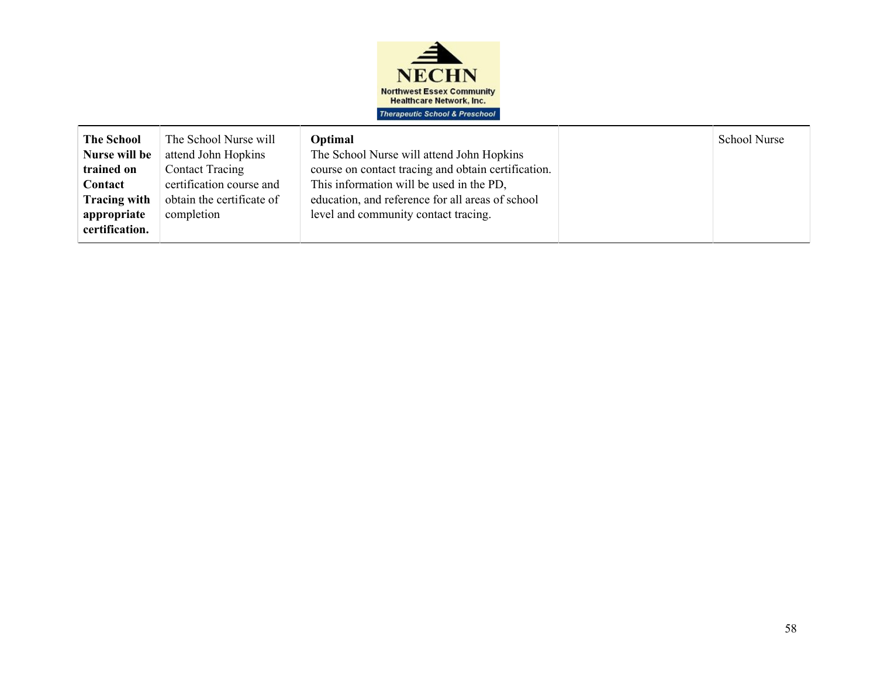

| attend John Hopkins<br>The School Nurse will attend John Hopkins<br>Nurse will be<br>course on contact tracing and obtain certification.<br><b>Contact Tracing</b><br>This information will be used in the PD,<br>certification course and<br>obtain the certificate of<br>education, and reference for all areas of school<br>level and community contact tracing.<br>completion |
|-----------------------------------------------------------------------------------------------------------------------------------------------------------------------------------------------------------------------------------------------------------------------------------------------------------------------------------------------------------------------------------|
| trained on<br>Contact<br><b>Tracing with</b><br>appropriate<br>certification.                                                                                                                                                                                                                                                                                                     |
|                                                                                                                                                                                                                                                                                                                                                                                   |
|                                                                                                                                                                                                                                                                                                                                                                                   |
|                                                                                                                                                                                                                                                                                                                                                                                   |
|                                                                                                                                                                                                                                                                                                                                                                                   |
|                                                                                                                                                                                                                                                                                                                                                                                   |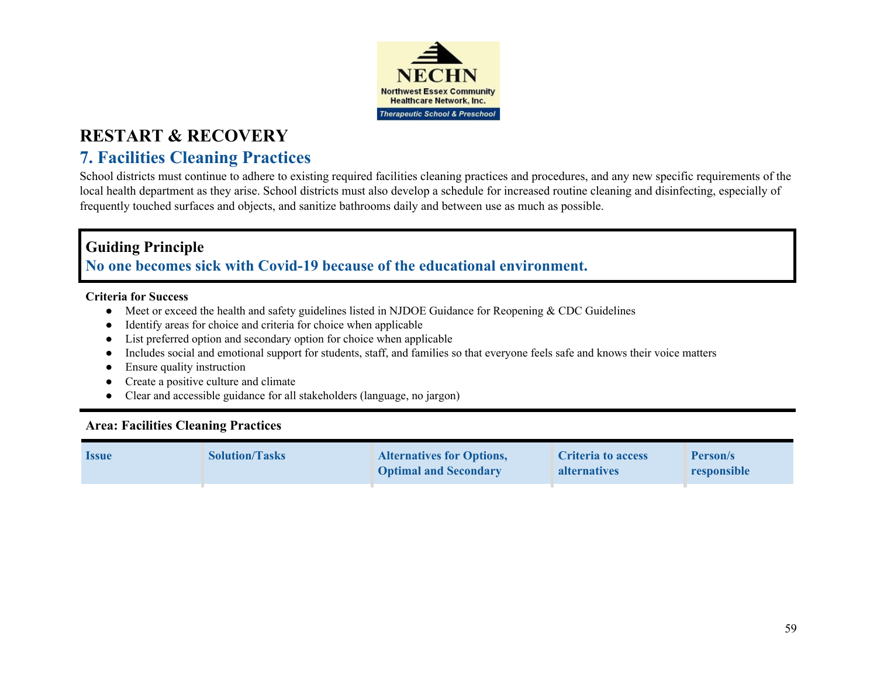

# **7. Facilities Cleaning Practices**

School districts must continue to adhere to existing required facilities cleaning practices and procedures, and any new specific requirements of the local health department as they arise. School districts must also develop a schedule for increased routine cleaning and disinfecting, especially of frequently touched surfaces and objects, and sanitize bathrooms daily and between use as much as possible.

### **Guiding Principle**

### **No one becomes sick with Covid-19 because of the educational environment.**

#### **Criteria for Success**

- Meet or exceed the health and safety guidelines listed in NJDOE Guidance for Reopening & CDC Guidelines
- Identify areas for choice and criteria for choice when applicable
- List preferred option and secondary option for choice when applicable
- Includes social and emotional support for students, staff, and families so that everyone feels safe and knows their voice matters
- Ensure quality instruction
- Create a positive culture and climate
- Clear and accessible guidance for all stakeholders (language, no jargon)

### **Area: Facilities Cleaning Practices**

| <b>Issue</b> | <b>Solution/Tasks</b> | <b>Alternatives for Options,</b><br><b>Optimal and Secondary</b> | Criteria to access<br><b>alternatives</b> | Person/s<br>responsible |
|--------------|-----------------------|------------------------------------------------------------------|-------------------------------------------|-------------------------|
|              |                       |                                                                  |                                           |                         |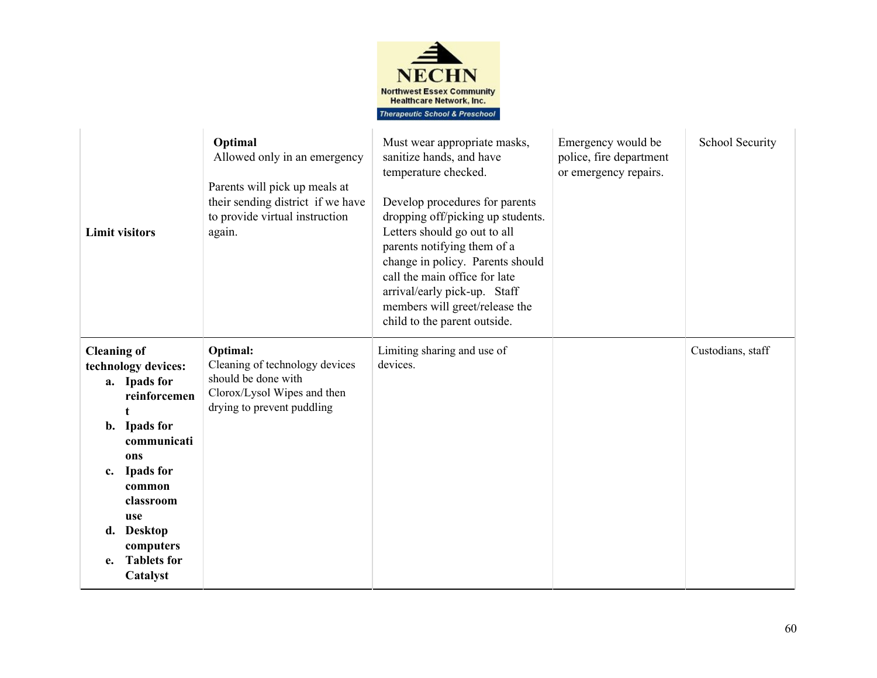

| <b>Limit visitors</b>                                                                                                                                                                                                                                         | Optimal<br>Allowed only in an emergency<br>Parents will pick up meals at<br>their sending district if we have<br>to provide virtual instruction<br>again. | Must wear appropriate masks,<br>sanitize hands, and have<br>temperature checked.<br>Develop procedures for parents<br>dropping off/picking up students.<br>Letters should go out to all<br>parents notifying them of a<br>change in policy. Parents should<br>call the main office for late<br>arrival/early pick-up. Staff<br>members will greet/release the<br>child to the parent outside. | Emergency would be<br>police, fire department<br>or emergency repairs. | School Security   |
|---------------------------------------------------------------------------------------------------------------------------------------------------------------------------------------------------------------------------------------------------------------|-----------------------------------------------------------------------------------------------------------------------------------------------------------|-----------------------------------------------------------------------------------------------------------------------------------------------------------------------------------------------------------------------------------------------------------------------------------------------------------------------------------------------------------------------------------------------|------------------------------------------------------------------------|-------------------|
| <b>Cleaning of</b><br>technology devices:<br>a. Ipads for<br>reinforcemen<br>b. Ipads for<br>communicati<br>ons<br><b>Ipads for</b><br>$c_{\cdot}$<br>common<br>classroom<br>use<br><b>Desktop</b><br>d.<br>computers<br><b>Tablets for</b><br>e.<br>Catalyst | Optimal:<br>Cleaning of technology devices<br>should be done with<br>Clorox/Lysol Wipes and then<br>drying to prevent puddling                            | Limiting sharing and use of<br>devices.                                                                                                                                                                                                                                                                                                                                                       |                                                                        | Custodians, staff |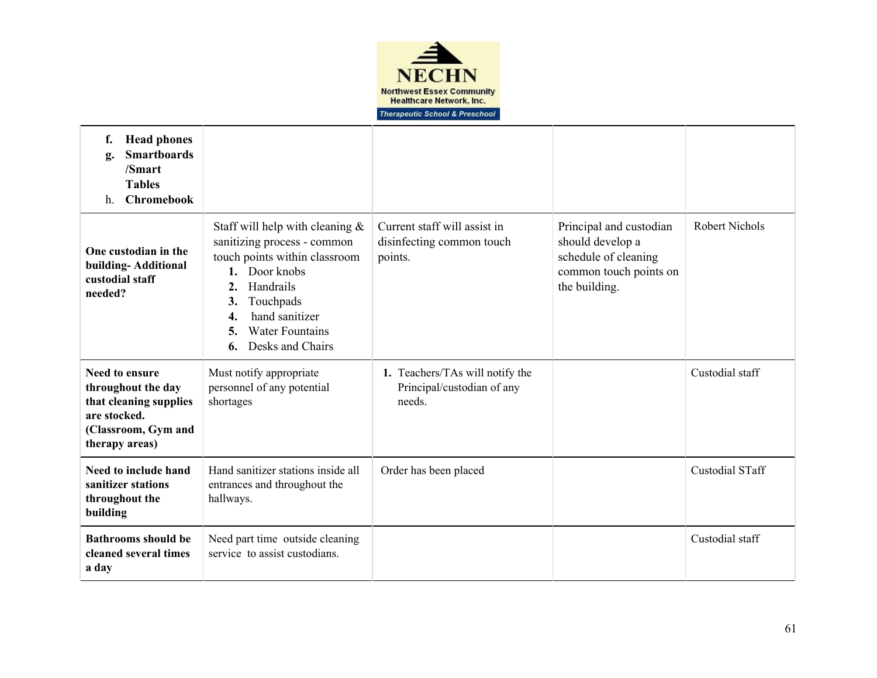

| <b>Head phones</b><br>f.<br><b>Smartboards</b><br>g.<br>/Smart<br><b>Tables</b><br><b>Chromebook</b><br>$h_{\cdot}$            |                                                                                                                                                                                                                                             |                                                                         |                                                                                                                |                        |
|--------------------------------------------------------------------------------------------------------------------------------|---------------------------------------------------------------------------------------------------------------------------------------------------------------------------------------------------------------------------------------------|-------------------------------------------------------------------------|----------------------------------------------------------------------------------------------------------------|------------------------|
| One custodian in the<br>building-Additional<br>custodial staff<br>needed?                                                      | Staff will help with cleaning $\&$<br>sanitizing process - common<br>touch points within classroom<br>1. Door knobs<br>Handrails<br>2.<br>Touchpads<br>3.<br>hand sanitizer<br>4.<br><b>Water Fountains</b><br>5.<br>Desks and Chairs<br>6. | Current staff will assist in<br>disinfecting common touch<br>points.    | Principal and custodian<br>should develop a<br>schedule of cleaning<br>common touch points on<br>the building. | <b>Robert Nichols</b>  |
| <b>Need to ensure</b><br>throughout the day<br>that cleaning supplies<br>are stocked.<br>(Classroom, Gym and<br>therapy areas) | Must notify appropriate<br>personnel of any potential<br>shortages                                                                                                                                                                          | 1. Teachers/TAs will notify the<br>Principal/custodian of any<br>needs. |                                                                                                                | Custodial staff        |
| Need to include hand<br>sanitizer stations<br>throughout the<br>building                                                       | Hand sanitizer stations inside all<br>entrances and throughout the<br>hallways.                                                                                                                                                             | Order has been placed                                                   |                                                                                                                | <b>Custodial STaff</b> |
| <b>Bathrooms should be</b><br>cleaned several times<br>a day                                                                   | Need part time outside cleaning<br>service to assist custodians.                                                                                                                                                                            |                                                                         |                                                                                                                | Custodial staff        |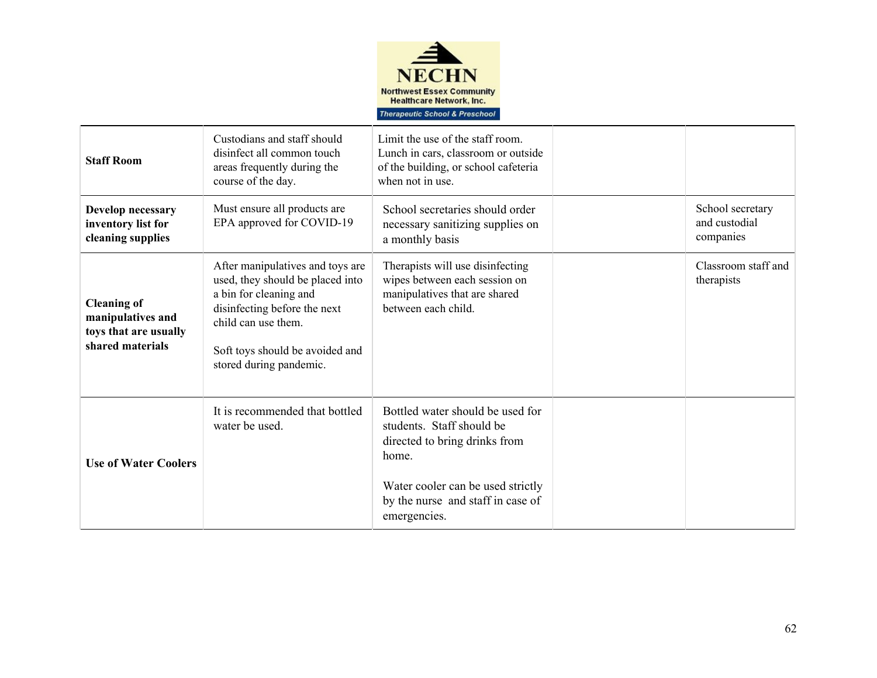

| <b>Staff Room</b>                                                                    | Custodians and staff should<br>disinfect all common touch<br>areas frequently during the<br>course of the day.                                                                                                      | Limit the use of the staff room.<br>Lunch in cars, classroom or outside<br>of the building, or school cafeteria<br>when not in use.                                                               |                                                |
|--------------------------------------------------------------------------------------|---------------------------------------------------------------------------------------------------------------------------------------------------------------------------------------------------------------------|---------------------------------------------------------------------------------------------------------------------------------------------------------------------------------------------------|------------------------------------------------|
| Develop necessary<br>inventory list for<br>cleaning supplies                         | Must ensure all products are<br>EPA approved for COVID-19                                                                                                                                                           | School secretaries should order<br>necessary sanitizing supplies on<br>a monthly basis                                                                                                            | School secretary<br>and custodial<br>companies |
| <b>Cleaning of</b><br>manipulatives and<br>toys that are usually<br>shared materials | After manipulatives and toys are<br>used, they should be placed into<br>a bin for cleaning and<br>disinfecting before the next<br>child can use them.<br>Soft toys should be avoided and<br>stored during pandemic. | Therapists will use disinfecting<br>wipes between each session on<br>manipulatives that are shared<br>between each child.                                                                         | Classroom staff and<br>therapists              |
| <b>Use of Water Coolers</b>                                                          | It is recommended that bottled<br>water be used.                                                                                                                                                                    | Bottled water should be used for<br>students. Staff should be<br>directed to bring drinks from<br>home.<br>Water cooler can be used strictly<br>by the nurse and staff in case of<br>emergencies. |                                                |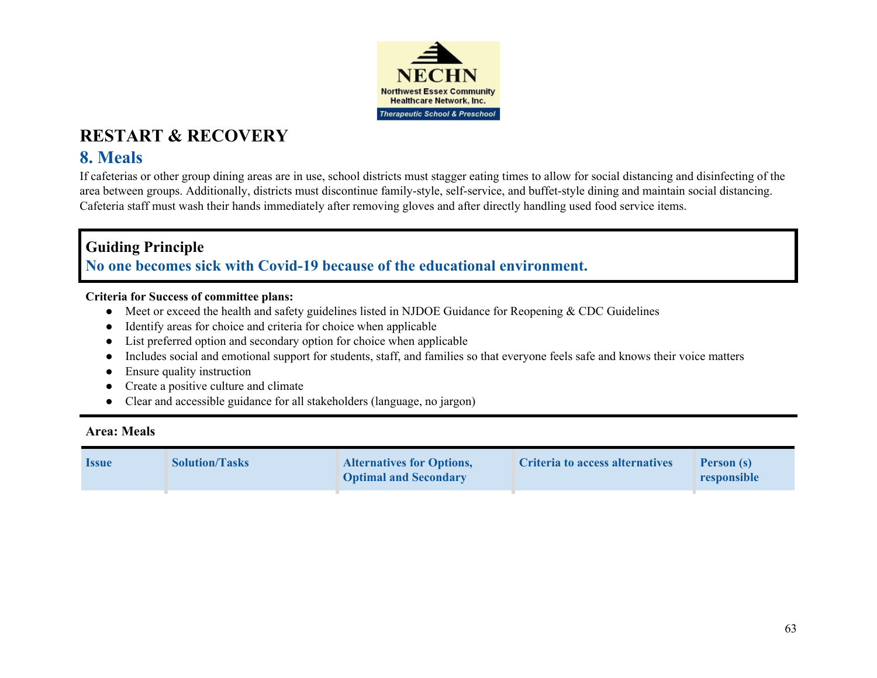

## **8. Meals**

If cafeterias or other group dining areas are in use, school districts must stagger eating times to allow for social distancing and disinfecting of the area between groups. Additionally, districts must discontinue family-style, self-service, and buffet-style dining and maintain social distancing. Cafeteria staff must wash their hands immediately after removing gloves and after directly handling used food service items.

### **Guiding Principle No one becomes sick with Covid-19 because of the educational environment.**

#### **Criteria for Success of committee plans:**

- Meet or exceed the health and safety guidelines listed in NJDOE Guidance for Reopening & CDC Guidelines
- Identify areas for choice and criteria for choice when applicable
- List preferred option and secondary option for choice when applicable
- Includes social and emotional support for students, staff, and families so that everyone feels safe and knows their voice matters
- Ensure quality instruction
- Create a positive culture and climate
- Clear and accessible guidance for all stakeholders (language, no jargon)

#### **Area: Meals**

| <b>Issue</b> | <b>Solution/Tasks</b> | <b>Alternatives for Options,</b><br><b>Optimal and Secondary</b> | Criteria to access alternatives | Person (s)<br>responsible |
|--------------|-----------------------|------------------------------------------------------------------|---------------------------------|---------------------------|
|              |                       |                                                                  |                                 |                           |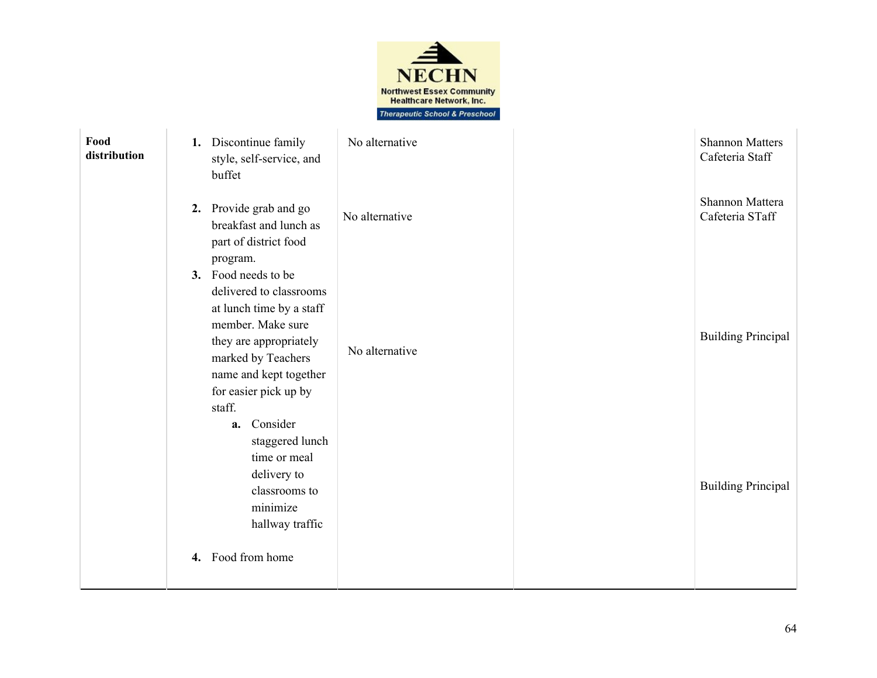

| Food<br>distribution | 1. Discontinue family<br>style, self-service, and<br>buffet                                                                                                                                                                    | No alternative | <b>Shannon Matters</b><br>Cafeteria Staff |
|----------------------|--------------------------------------------------------------------------------------------------------------------------------------------------------------------------------------------------------------------------------|----------------|-------------------------------------------|
|                      | 2. Provide grab and go<br>breakfast and lunch as<br>part of district food<br>program.                                                                                                                                          | No alternative | Shannon Mattera<br>Cafeteria STaff        |
|                      | 3. Food needs to be<br>delivered to classrooms<br>at lunch time by a staff<br>member. Make sure<br>they are appropriately<br>marked by Teachers<br>name and kept together<br>for easier pick up by<br>staff.<br>Consider<br>a. | No alternative | <b>Building Principal</b>                 |
|                      | staggered lunch<br>time or meal<br>delivery to<br>classrooms to<br>minimize<br>hallway traffic<br>4. Food from home                                                                                                            |                | <b>Building Principal</b>                 |
|                      |                                                                                                                                                                                                                                |                |                                           |
|                      |                                                                                                                                                                                                                                |                | 64                                        |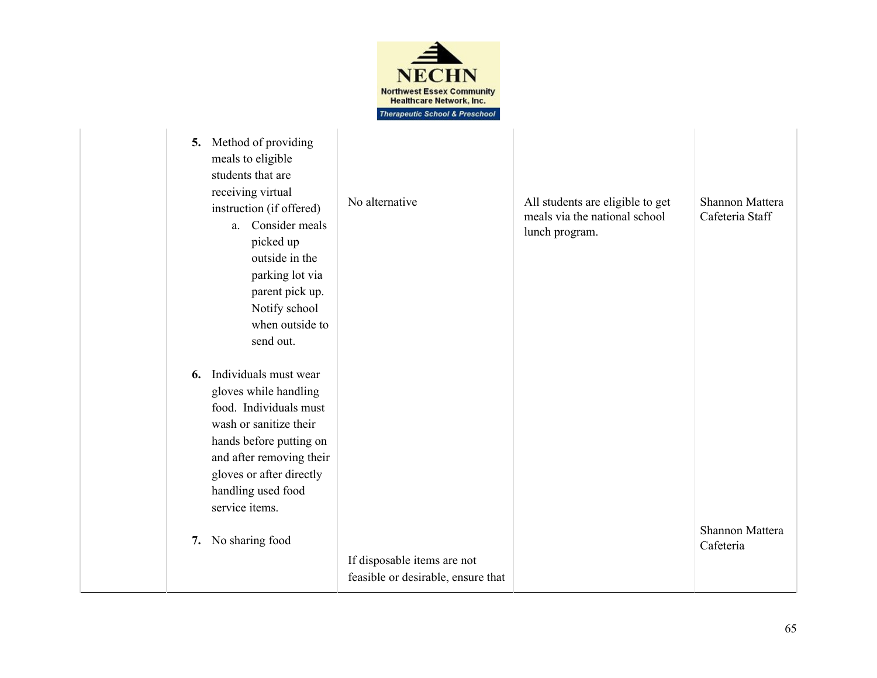

| Method of providing<br>5.<br>meals to eligible<br>students that are<br>receiving virtual<br>instruction (if offered)<br>a. Consider meals<br>picked up<br>outside in the<br>parking lot via<br>parent pick up.<br>Notify school<br>when outside to<br>send out. | No alternative                                                    | All students are eligible to get<br>meals via the national school<br>lunch program. | Shannon Mattera<br>Cafeteria Staff |
|-----------------------------------------------------------------------------------------------------------------------------------------------------------------------------------------------------------------------------------------------------------------|-------------------------------------------------------------------|-------------------------------------------------------------------------------------|------------------------------------|
| Individuals must wear<br>6.<br>gloves while handling<br>food. Individuals must<br>wash or sanitize their<br>hands before putting on<br>and after removing their<br>gloves or after directly<br>handling used food<br>service items.<br>No sharing food<br>7.    | If disposable items are not<br>feasible or desirable, ensure that |                                                                                     | Shannon Mattera<br>Cafeteria       |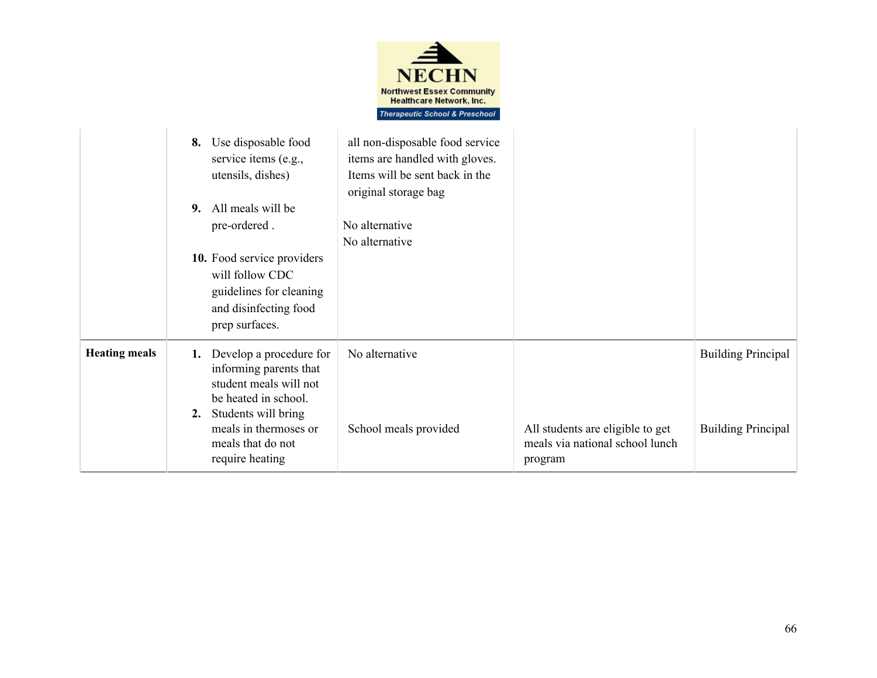

|                      | Use disposable food<br>8.<br>service items (e.g.,<br>utensils, dishes)<br>All meals will be<br>9.<br>pre-ordered.<br>10. Food service providers<br>will follow CDC<br>guidelines for cleaning<br>and disinfecting food<br>prep surfaces. | all non-disposable food service<br>items are handled with gloves.<br>Items will be sent back in the<br>original storage bag<br>No alternative<br>No alternative |                                                                                |                                                        |
|----------------------|------------------------------------------------------------------------------------------------------------------------------------------------------------------------------------------------------------------------------------------|-----------------------------------------------------------------------------------------------------------------------------------------------------------------|--------------------------------------------------------------------------------|--------------------------------------------------------|
| <b>Heating meals</b> | Develop a procedure for<br>1.<br>informing parents that<br>student meals will not<br>be heated in school.<br>Students will bring<br>2.<br>meals in thermoses or<br>meals that do not<br>require heating                                  | No alternative<br>School meals provided                                                                                                                         | All students are eligible to get<br>meals via national school lunch<br>program | <b>Building Principal</b><br><b>Building Principal</b> |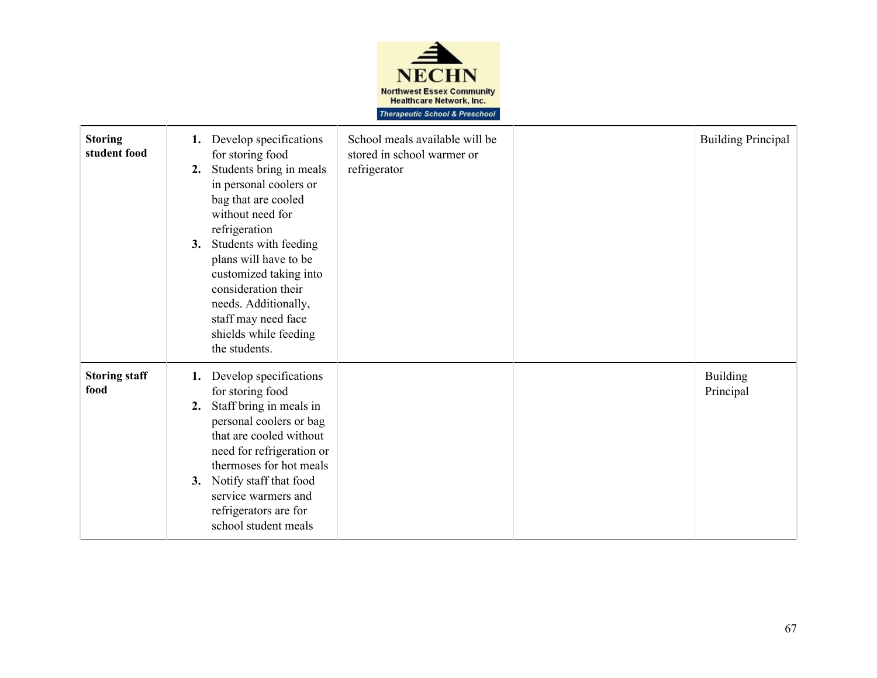

| <b>Storing</b><br>student food | Develop specifications<br>1.<br>for storing food<br>Students bring in meals<br>2.<br>in personal coolers or<br>bag that are cooled<br>without need for<br>refrigeration<br>Students with feeding<br>3.<br>plans will have to be<br>customized taking into<br>consideration their<br>needs. Additionally,<br>staff may need face<br>shields while feeding<br>the students. | School meals available will be<br>stored in school warmer or<br>refrigerator | <b>Building Principal</b>    |
|--------------------------------|---------------------------------------------------------------------------------------------------------------------------------------------------------------------------------------------------------------------------------------------------------------------------------------------------------------------------------------------------------------------------|------------------------------------------------------------------------------|------------------------------|
| <b>Storing staff</b><br>food   | Develop specifications<br>1.<br>for storing food<br>Staff bring in meals in<br>2.<br>personal coolers or bag<br>that are cooled without<br>need for refrigeration or<br>thermoses for hot meals<br>Notify staff that food<br>3.<br>service warmers and<br>refrigerators are for<br>school student meals                                                                   |                                                                              | <b>Building</b><br>Principal |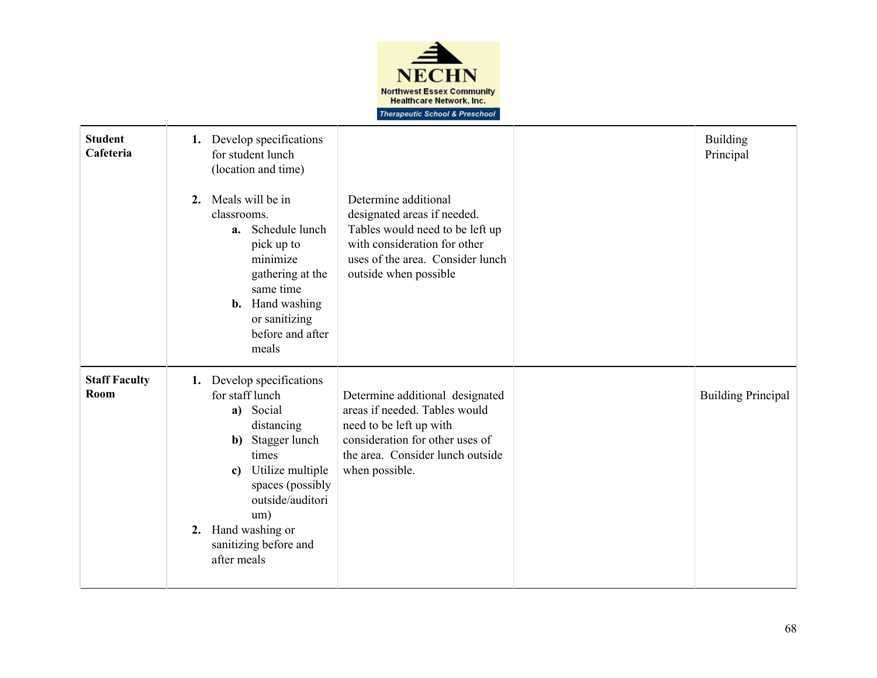

| <b>Student</b><br>Cafeteria  | 1. Develop specifications<br>for student lunch<br>(location and time)<br>Meals will be in<br>2.<br>classrooms.<br>Schedule lunch<br>a.<br>pick up to<br>minimize<br>gathering at the<br>same time<br><b>b.</b> Hand washing<br>or sanitizing<br>before and after<br>meals | Determine additional<br>designated areas if needed.<br>Tables would need to be left up<br>with consideration for other<br>uses of the area. Consider lunch<br>outside when possible  | <b>Building</b><br>Principal |
|------------------------------|---------------------------------------------------------------------------------------------------------------------------------------------------------------------------------------------------------------------------------------------------------------------------|--------------------------------------------------------------------------------------------------------------------------------------------------------------------------------------|------------------------------|
| <b>Staff Faculty</b><br>Room | 1. Develop specifications<br>for staff lunch<br>a) Social<br>distancing<br>Stagger lunch<br>b)<br>times<br>Utilize multiple<br>c)<br>spaces (possibly<br>outside/auditori<br>um)<br>2. Hand washing or<br>sanitizing before and<br>after meals                            | Determine additional designated<br>areas if needed. Tables would<br>need to be left up with<br>consideration for other uses of<br>the area. Consider lunch outside<br>when possible. | <b>Building Principal</b>    |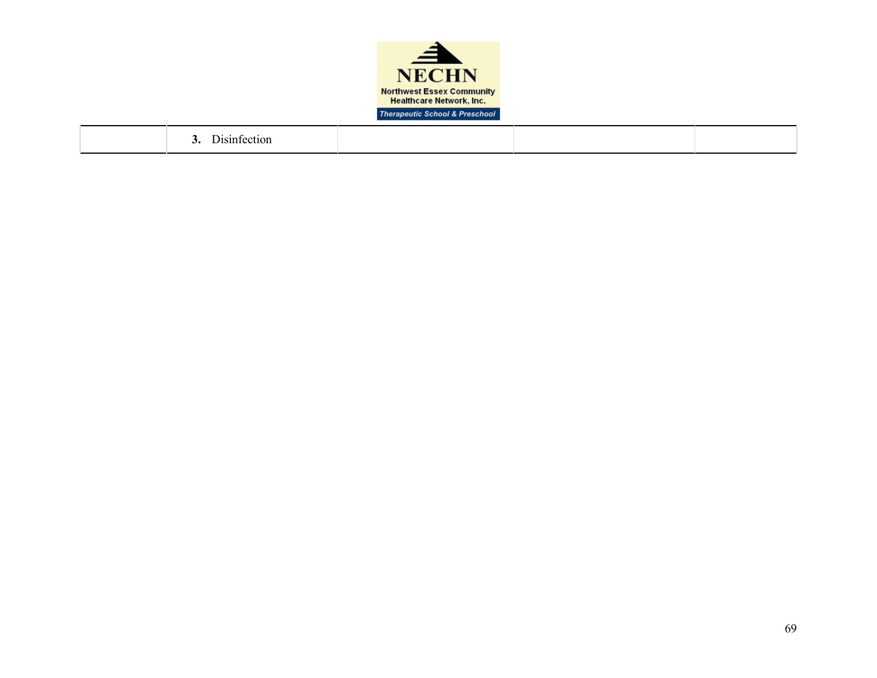

|  | $\mathbf{r}$ . $\mathbf{r}$<br>Disintection<br>$\sim$ . |  |  |  |
|--|---------------------------------------------------------|--|--|--|
|--|---------------------------------------------------------|--|--|--|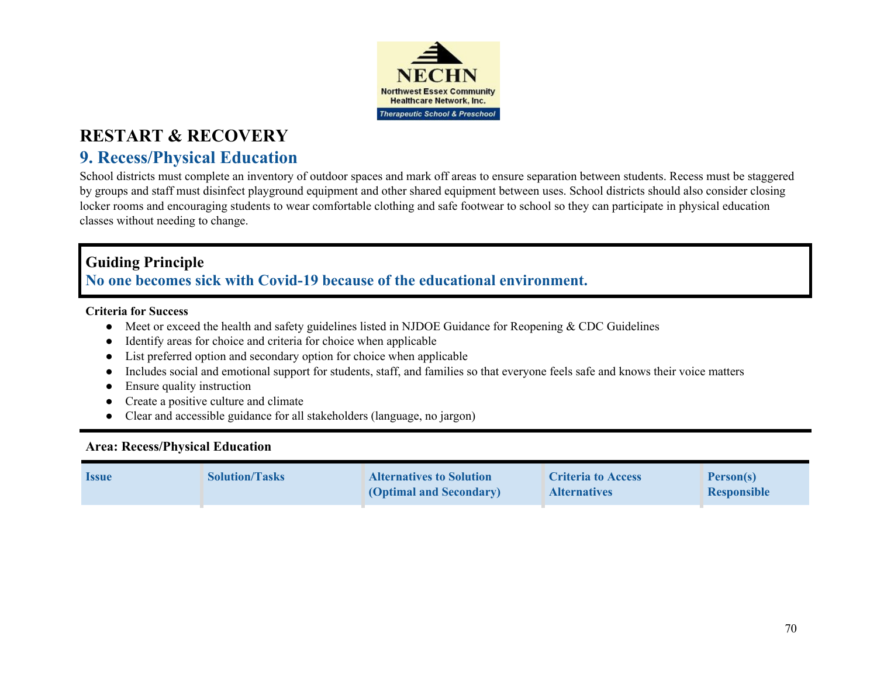

# **9. Recess/Physical Education**

School districts must complete an inventory of outdoor spaces and mark off areas to ensure separation between students. Recess must be staggered by groups and staff must disinfect playground equipment and other shared equipment between uses. School districts should also consider closing locker rooms and encouraging students to wear comfortable clothing and safe footwear to school so they can participate in physical education classes without needing to change.

## **Guiding Principle**

**No one becomes sick with Covid-19 because of the educational environment.**

#### **Criteria for Success**

- Meet or exceed the health and safety guidelines listed in NJDOE Guidance for Reopening & CDC Guidelines
- Identify areas for choice and criteria for choice when applicable
- List preferred option and secondary option for choice when applicable
- Includes social and emotional support for students, staff, and families so that everyone feels safe and knows their voice matters
- Ensure quality instruction
- Create a positive culture and climate
- Clear and accessible guidance for all stakeholders (language, no jargon)

### **Area: Recess/Physical Education**

| <b>Issue</b> | <b>Solution/Tasks</b> | <b>Alternatives to Solution</b><br><b>(Optimal and Secondary)</b> | <b>Criteria to Access</b><br><b>Alternatives</b> | Person(s)<br><b>Responsible</b> |
|--------------|-----------------------|-------------------------------------------------------------------|--------------------------------------------------|---------------------------------|
|              |                       |                                                                   |                                                  |                                 |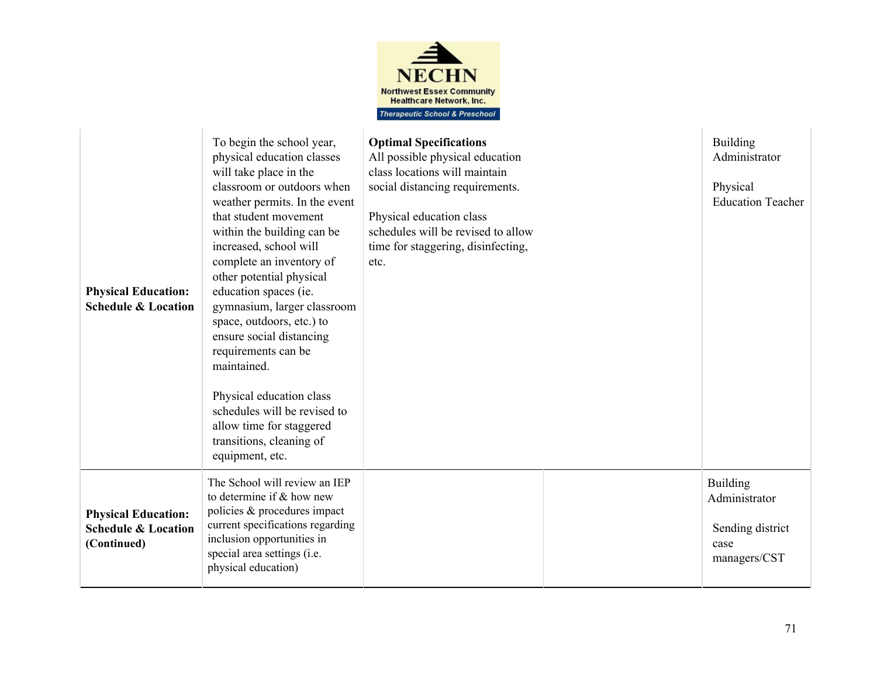

| <b>Physical Education:</b><br><b>Schedule &amp; Location</b>                | To begin the school year,<br>physical education classes<br>will take place in the<br>classroom or outdoors when<br>weather permits. In the event<br>that student movement<br>within the building can be<br>increased, school will<br>complete an inventory of<br>other potential physical<br>education spaces (ie.<br>gymnasium, larger classroom<br>space, outdoors, etc.) to<br>ensure social distancing<br>requirements can be<br>maintained.<br>Physical education class<br>schedules will be revised to<br>allow time for staggered<br>transitions, cleaning of<br>equipment, etc. | <b>Optimal Specifications</b><br>All possible physical education<br>class locations will maintain<br>social distancing requirements.<br>Physical education class<br>schedules will be revised to allow<br>time for staggering, disinfecting,<br>etc. | <b>Building</b><br>Administrator<br>Physical<br><b>Education Teacher</b>     |
|-----------------------------------------------------------------------------|-----------------------------------------------------------------------------------------------------------------------------------------------------------------------------------------------------------------------------------------------------------------------------------------------------------------------------------------------------------------------------------------------------------------------------------------------------------------------------------------------------------------------------------------------------------------------------------------|------------------------------------------------------------------------------------------------------------------------------------------------------------------------------------------------------------------------------------------------------|------------------------------------------------------------------------------|
| <b>Physical Education:</b><br><b>Schedule &amp; Location</b><br>(Continued) | The School will review an IEP<br>to determine if $&$ how new<br>policies & procedures impact<br>current specifications regarding<br>inclusion opportunities in<br>special area settings (i.e.<br>physical education)                                                                                                                                                                                                                                                                                                                                                                    |                                                                                                                                                                                                                                                      | <b>Building</b><br>Administrator<br>Sending district<br>case<br>managers/CST |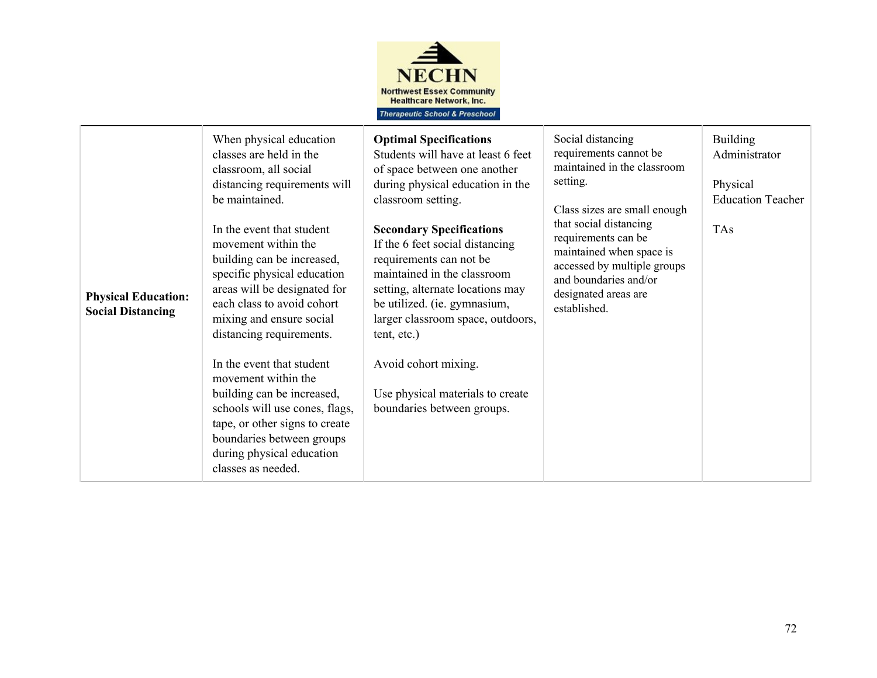

| <b>Physical Education:</b><br><b>Social Distancing</b> | When physical education<br>classes are held in the<br>classroom, all social<br>distancing requirements will<br>be maintained.<br>In the event that student<br>movement within the<br>building can be increased,<br>specific physical education<br>areas will be designated for<br>each class to avoid cohort<br>mixing and ensure social<br>distancing requirements.<br>In the event that student<br>movement within the<br>building can be increased,<br>schools will use cones, flags,<br>tape, or other signs to create<br>boundaries between groups<br>during physical education<br>classes as needed. | <b>Optimal Specifications</b><br>Students will have at least 6 feet<br>of space between one another<br>during physical education in the<br>classroom setting.<br><b>Secondary Specifications</b><br>If the 6 feet social distancing<br>requirements can not be<br>maintained in the classroom<br>setting, alternate locations may<br>be utilized. (ie. gymnasium,<br>larger classroom space, outdoors,<br>tent, etc.)<br>Avoid cohort mixing.<br>Use physical materials to create<br>boundaries between groups. | Social distancing<br>requirements cannot be<br>maintained in the classroom<br>setting.<br>Class sizes are small enough<br>that social distancing<br>requirements can be<br>maintained when space is<br>accessed by multiple groups<br>and boundaries and/or<br>designated areas are<br>established. | <b>Building</b><br>Administrator<br>Physical<br><b>Education Teacher</b><br><b>TAs</b> |
|--------------------------------------------------------|------------------------------------------------------------------------------------------------------------------------------------------------------------------------------------------------------------------------------------------------------------------------------------------------------------------------------------------------------------------------------------------------------------------------------------------------------------------------------------------------------------------------------------------------------------------------------------------------------------|-----------------------------------------------------------------------------------------------------------------------------------------------------------------------------------------------------------------------------------------------------------------------------------------------------------------------------------------------------------------------------------------------------------------------------------------------------------------------------------------------------------------|-----------------------------------------------------------------------------------------------------------------------------------------------------------------------------------------------------------------------------------------------------------------------------------------------------|----------------------------------------------------------------------------------------|
|--------------------------------------------------------|------------------------------------------------------------------------------------------------------------------------------------------------------------------------------------------------------------------------------------------------------------------------------------------------------------------------------------------------------------------------------------------------------------------------------------------------------------------------------------------------------------------------------------------------------------------------------------------------------------|-----------------------------------------------------------------------------------------------------------------------------------------------------------------------------------------------------------------------------------------------------------------------------------------------------------------------------------------------------------------------------------------------------------------------------------------------------------------------------------------------------------------|-----------------------------------------------------------------------------------------------------------------------------------------------------------------------------------------------------------------------------------------------------------------------------------------------------|----------------------------------------------------------------------------------------|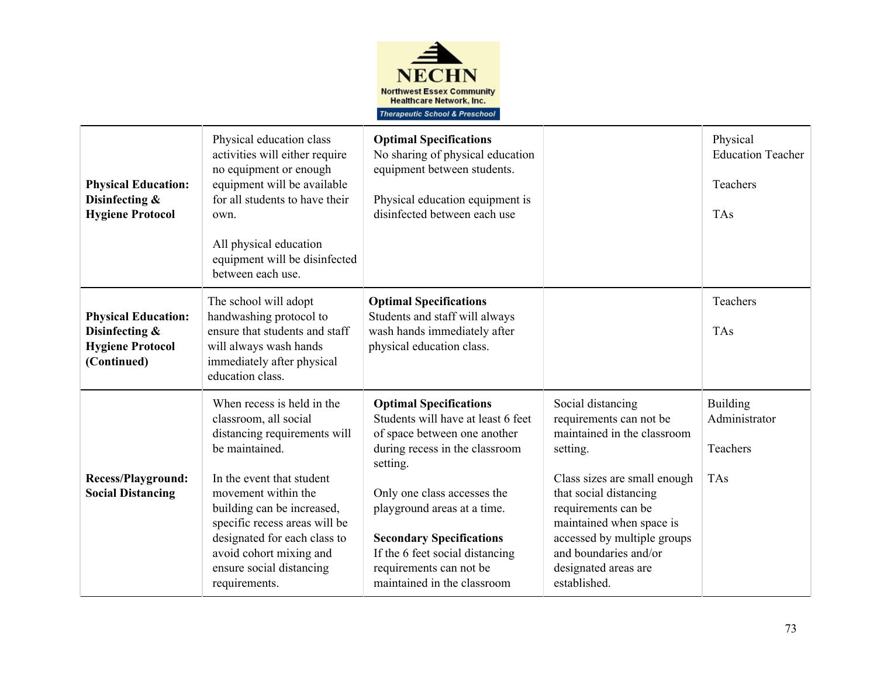

| <b>Physical Education:</b><br>Disinfecting &<br><b>Hygiene Protocol</b>                | Physical education class<br>activities will either require<br>no equipment or enough<br>equipment will be available<br>for all students to have their<br>own.<br>All physical education<br>equipment will be disinfected<br>between each use.                                                                                    | <b>Optimal Specifications</b><br>No sharing of physical education<br>equipment between students.<br>Physical education equipment is<br>disinfected between each use                                                                                                                                                                             |                                                                                                                                                                                                                                                                                                      | Physical<br><b>Education Teacher</b><br>Teachers<br>TAs    |
|----------------------------------------------------------------------------------------|----------------------------------------------------------------------------------------------------------------------------------------------------------------------------------------------------------------------------------------------------------------------------------------------------------------------------------|-------------------------------------------------------------------------------------------------------------------------------------------------------------------------------------------------------------------------------------------------------------------------------------------------------------------------------------------------|------------------------------------------------------------------------------------------------------------------------------------------------------------------------------------------------------------------------------------------------------------------------------------------------------|------------------------------------------------------------|
| <b>Physical Education:</b><br>Disinfecting &<br><b>Hygiene Protocol</b><br>(Continued) | The school will adopt<br>handwashing protocol to<br>ensure that students and staff<br>will always wash hands<br>immediately after physical<br>education class.                                                                                                                                                                   | <b>Optimal Specifications</b><br>Students and staff will always<br>wash hands immediately after<br>physical education class.                                                                                                                                                                                                                    |                                                                                                                                                                                                                                                                                                      | Teachers<br><b>TAs</b>                                     |
| <b>Recess/Playground:</b><br><b>Social Distancing</b>                                  | When recess is held in the<br>classroom, all social<br>distancing requirements will<br>be maintained.<br>In the event that student<br>movement within the<br>building can be increased,<br>specific recess areas will be<br>designated for each class to<br>avoid cohort mixing and<br>ensure social distancing<br>requirements. | <b>Optimal Specifications</b><br>Students will have at least 6 feet<br>of space between one another<br>during recess in the classroom<br>setting.<br>Only one class accesses the<br>playground areas at a time.<br><b>Secondary Specifications</b><br>If the 6 feet social distancing<br>requirements can not be<br>maintained in the classroom | Social distancing<br>requirements can not be<br>maintained in the classroom<br>setting.<br>Class sizes are small enough<br>that social distancing<br>requirements can be<br>maintained when space is<br>accessed by multiple groups<br>and boundaries and/or<br>designated areas are<br>established. | <b>Building</b><br>Administrator<br>Teachers<br><b>TAs</b> |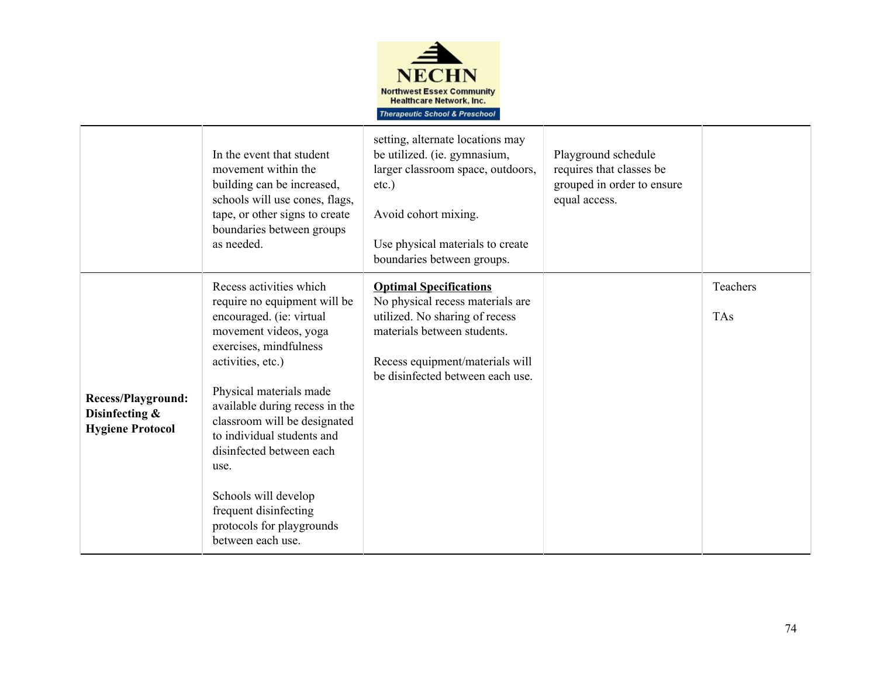

|                                                                        | In the event that student<br>movement within the<br>building can be increased,<br>schools will use cones, flags,<br>tape, or other signs to create<br>boundaries between groups<br>as needed.                                                                                                                                                                                                                                 | setting, alternate locations may<br>be utilized. (ie. gymnasium,<br>larger classroom space, outdoors,<br>$etc.$ )<br>Avoid cohort mixing.<br>Use physical materials to create<br>boundaries between groups. | Playground schedule<br>requires that classes be<br>grouped in order to ensure<br>equal access. |                        |
|------------------------------------------------------------------------|-------------------------------------------------------------------------------------------------------------------------------------------------------------------------------------------------------------------------------------------------------------------------------------------------------------------------------------------------------------------------------------------------------------------------------|-------------------------------------------------------------------------------------------------------------------------------------------------------------------------------------------------------------|------------------------------------------------------------------------------------------------|------------------------|
| <b>Recess/Playground:</b><br>Disinfecting &<br><b>Hygiene Protocol</b> | Recess activities which<br>require no equipment will be<br>encouraged. (ie: virtual<br>movement videos, yoga<br>exercises, mindfulness<br>activities, etc.)<br>Physical materials made<br>available during recess in the<br>classroom will be designated<br>to individual students and<br>disinfected between each<br>use.<br>Schools will develop<br>frequent disinfecting<br>protocols for playgrounds<br>between each use. | <b>Optimal Specifications</b><br>No physical recess materials are<br>utilized. No sharing of recess<br>materials between students.<br>Recess equipment/materials will<br>be disinfected between each use.   |                                                                                                | Teachers<br><b>TAs</b> |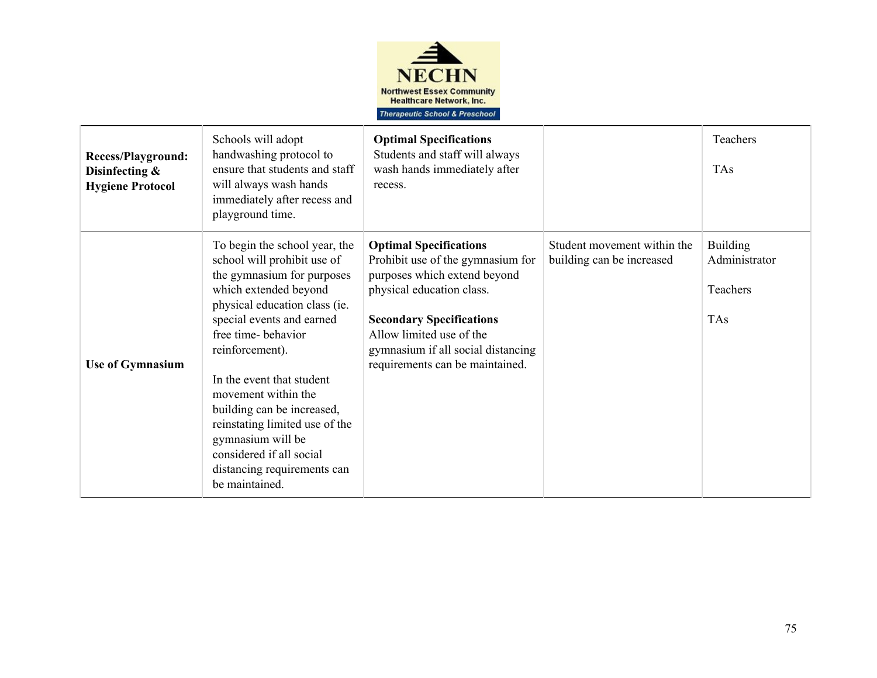

| Recess/Playground:<br>Disinfecting &<br><b>Hygiene Protocol</b> | Schools will adopt<br>handwashing protocol to<br>ensure that students and staff<br>will always wash hands<br>immediately after recess and<br>playground time.                                                                                                                                                                                                                                                                                    | <b>Optimal Specifications</b><br>Students and staff will always<br>wash hands immediately after<br>recess.                                                                                                                                                              |                                                          | Teachers<br><b>TAs</b>                                     |
|-----------------------------------------------------------------|--------------------------------------------------------------------------------------------------------------------------------------------------------------------------------------------------------------------------------------------------------------------------------------------------------------------------------------------------------------------------------------------------------------------------------------------------|-------------------------------------------------------------------------------------------------------------------------------------------------------------------------------------------------------------------------------------------------------------------------|----------------------------------------------------------|------------------------------------------------------------|
| <b>Use of Gymnasium</b>                                         | To begin the school year, the<br>school will prohibit use of<br>the gymnasium for purposes<br>which extended beyond<br>physical education class (ie.<br>special events and earned<br>free time-behavior<br>reinforcement).<br>In the event that student<br>movement within the<br>building can be increased,<br>reinstating limited use of the<br>gymnasium will be<br>considered if all social<br>distancing requirements can<br>be maintained. | <b>Optimal Specifications</b><br>Prohibit use of the gymnasium for<br>purposes which extend beyond<br>physical education class.<br><b>Secondary Specifications</b><br>Allow limited use of the<br>gymnasium if all social distancing<br>requirements can be maintained. | Student movement within the<br>building can be increased | <b>Building</b><br>Administrator<br>Teachers<br><b>TAs</b> |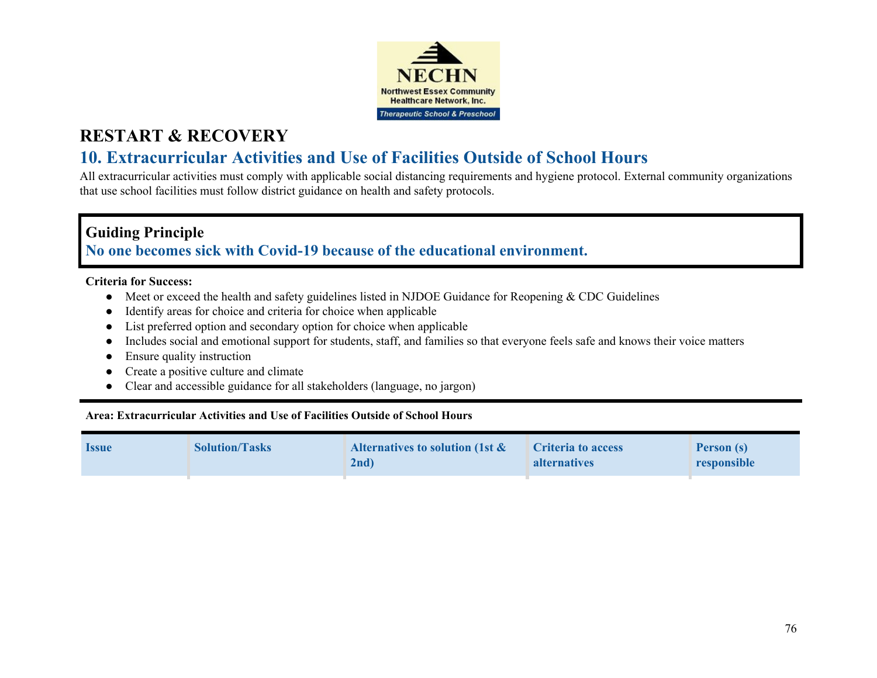

## **RESTART & RECOVERY**

## **10. Extracurricular Activities and Use of Facilities Outside of School Hours**

All extracurricular activities must comply with applicable social distancing requirements and hygiene protocol. External community organizations that use school facilities must follow district guidance on health and safety protocols.

## **Guiding Principle No one becomes sick with Covid-19 because of the educational environment.**

### **Criteria for Success:**

- **●** Meet or exceed the health and safety guidelines listed in NJDOE Guidance for Reopening & CDC Guidelines
- **●** Identify areas for choice and criteria for choice when applicable
- **●** List preferred option and secondary option for choice when applicable
- **●** Includes social and emotional support for students, staff, and families so that everyone feels safe and knows their voice matters
- **●** Ensure quality instruction
- **●** Create a positive culture and climate
- **●** Clear and accessible guidance for all stakeholders (language, no jargon)

## **Area: Extracurricular Activities and Use of Facilities Outside of School Hours**

| <b>Issue</b> | <b>Solution/Tasks</b> | Alternatives to solution (1st $\&$<br>$2nd$ ) | <b>Criteria to access</b><br><b>alternatives</b> | <b>Person (s)</b><br>responsible |
|--------------|-----------------------|-----------------------------------------------|--------------------------------------------------|----------------------------------|
|              |                       |                                               |                                                  |                                  |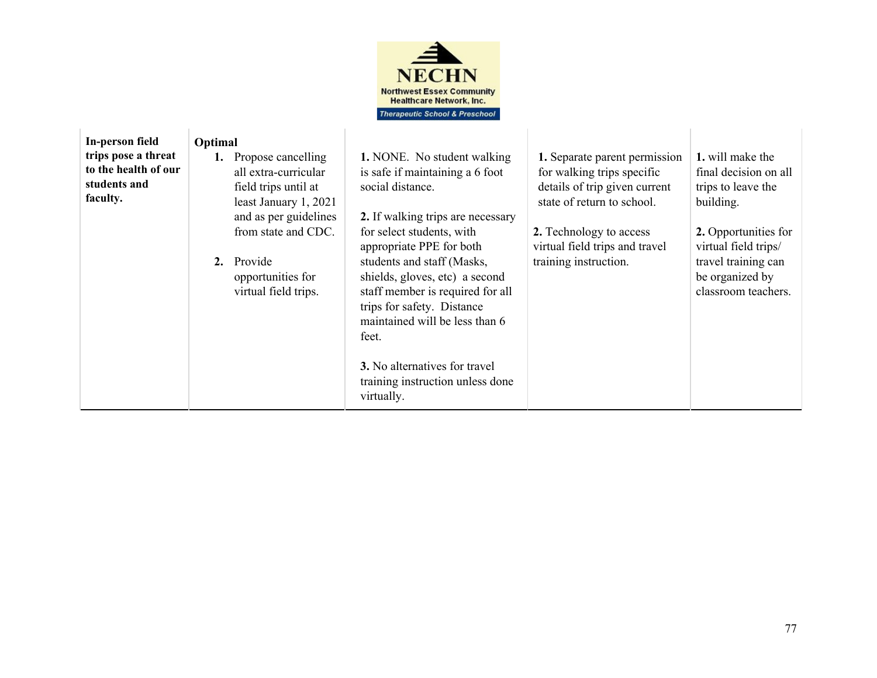

| In-person field<br>trips pose a threat<br>to the health of our<br>students and<br>faculty. | Optimal<br>Propose cancelling<br>all extra-curricular<br>field trips until at<br>least January 1, 2021<br>and as per guidelines<br>from state and CDC.<br>2. Provide<br>opportunities for<br>virtual field trips. | <b>1.</b> NONE. No student walking<br>is safe if maintaining a 6 foot<br>social distance.<br>2. If walking trips are necessary<br>for select students, with<br>appropriate PPE for both<br>students and staff (Masks,<br>shields, gloves, etc) a second<br>staff member is required for all<br>trips for safety. Distance<br>maintained will be less than 6<br>feet.<br><b>3.</b> No alternatives for travel<br>training instruction unless done<br>virtually. | 1. Separate parent permission<br>for walking trips specific<br>details of trip given current<br>state of return to school.<br>2. Technology to access<br>virtual field trips and travel<br>training instruction. | 1. will make the<br>final decision on all<br>trips to leave the<br>building.<br>2. Opportunities for<br>virtual field trips/<br>travel training can<br>be organized by<br>classroom teachers. |
|--------------------------------------------------------------------------------------------|-------------------------------------------------------------------------------------------------------------------------------------------------------------------------------------------------------------------|----------------------------------------------------------------------------------------------------------------------------------------------------------------------------------------------------------------------------------------------------------------------------------------------------------------------------------------------------------------------------------------------------------------------------------------------------------------|------------------------------------------------------------------------------------------------------------------------------------------------------------------------------------------------------------------|-----------------------------------------------------------------------------------------------------------------------------------------------------------------------------------------------|
|--------------------------------------------------------------------------------------------|-------------------------------------------------------------------------------------------------------------------------------------------------------------------------------------------------------------------|----------------------------------------------------------------------------------------------------------------------------------------------------------------------------------------------------------------------------------------------------------------------------------------------------------------------------------------------------------------------------------------------------------------------------------------------------------------|------------------------------------------------------------------------------------------------------------------------------------------------------------------------------------------------------------------|-----------------------------------------------------------------------------------------------------------------------------------------------------------------------------------------------|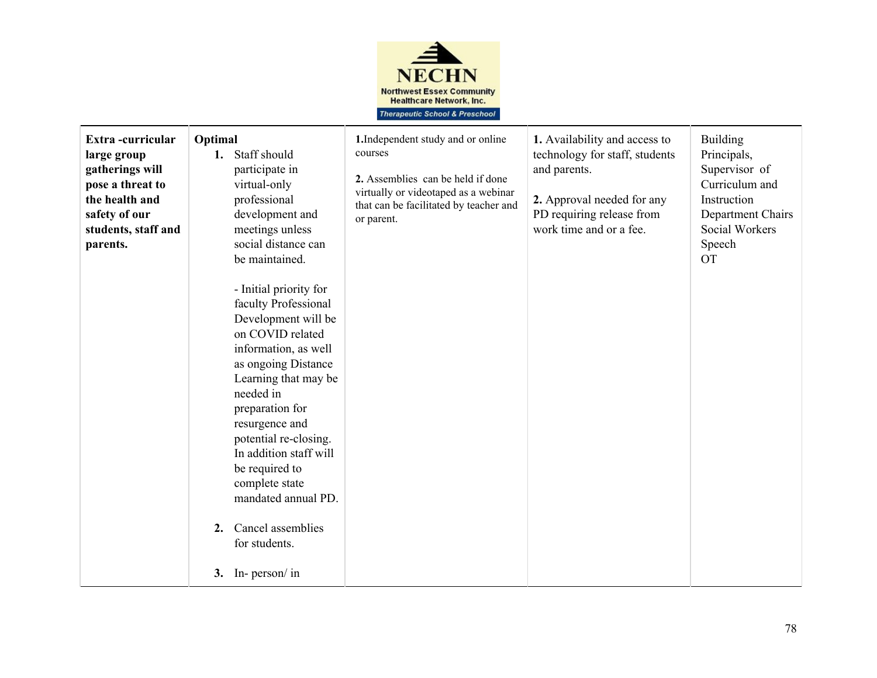

| Extra-curricular<br>large group<br>gatherings will<br>pose a threat to<br>the health and<br>safety of our<br>students, staff and<br>parents. | Optimal<br>1. Staff should<br>participate in<br>virtual-only<br>professional<br>development and<br>meetings unless<br>social distance can<br>be maintained.<br>- Initial priority for<br>faculty Professional<br>Development will be<br>on COVID related<br>information, as well<br>as ongoing Distance<br>Learning that may be<br>needed in<br>preparation for<br>resurgence and | 1. Independent study and or online<br>courses<br>2. Assemblies can be held if done<br>virtually or videotaped as a webinar<br>that can be facilitated by teacher and<br>or parent. | 1. Availability and access to<br>technology for staff, students<br>and parents.<br>2. Approval needed for any<br>PD requiring release from<br>work time and or a fee. | <b>Building</b><br>Principals,<br>Supervisor of<br>Curriculum and<br>Instruction<br>Department Chairs<br>Social Workers<br>Speech<br><b>OT</b> |
|----------------------------------------------------------------------------------------------------------------------------------------------|-----------------------------------------------------------------------------------------------------------------------------------------------------------------------------------------------------------------------------------------------------------------------------------------------------------------------------------------------------------------------------------|------------------------------------------------------------------------------------------------------------------------------------------------------------------------------------|-----------------------------------------------------------------------------------------------------------------------------------------------------------------------|------------------------------------------------------------------------------------------------------------------------------------------------|
|                                                                                                                                              | potential re-closing.<br>In addition staff will<br>be required to<br>complete state<br>mandated annual PD.                                                                                                                                                                                                                                                                        |                                                                                                                                                                                    |                                                                                                                                                                       |                                                                                                                                                |
|                                                                                                                                              | Cancel assemblies<br>2.<br>for students.<br>3. In- person/ in                                                                                                                                                                                                                                                                                                                     |                                                                                                                                                                                    |                                                                                                                                                                       |                                                                                                                                                |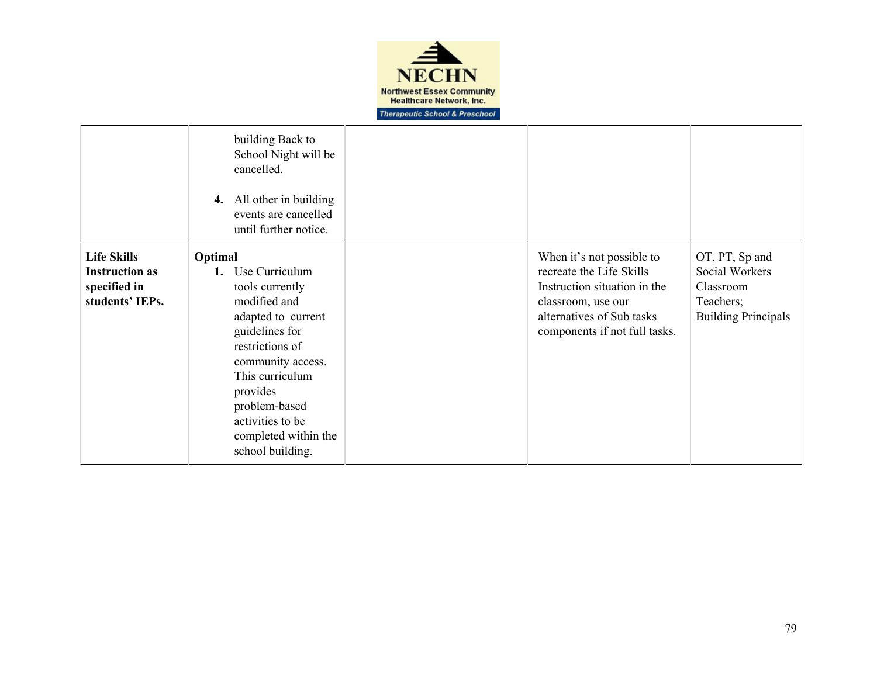

|                                                                                | building Back to<br>School Night will be<br>cancelled.<br>All other in building<br>4.<br>events are cancelled<br>until further notice.                                                                                                                             |                                                                                                                                                                           |                                                                                          |
|--------------------------------------------------------------------------------|--------------------------------------------------------------------------------------------------------------------------------------------------------------------------------------------------------------------------------------------------------------------|---------------------------------------------------------------------------------------------------------------------------------------------------------------------------|------------------------------------------------------------------------------------------|
| <b>Life Skills</b><br><b>Instruction as</b><br>specified in<br>students' IEPs. | Optimal<br>Use Curriculum<br>1.<br>tools currently<br>modified and<br>adapted to current<br>guidelines for<br>restrictions of<br>community access.<br>This curriculum<br>provides<br>problem-based<br>activities to be<br>completed within the<br>school building. | When it's not possible to<br>recreate the Life Skills<br>Instruction situation in the<br>classroom, use our<br>alternatives of Sub tasks<br>components if not full tasks. | OT, PT, Sp and<br>Social Workers<br>Classroom<br>Teachers;<br><b>Building Principals</b> |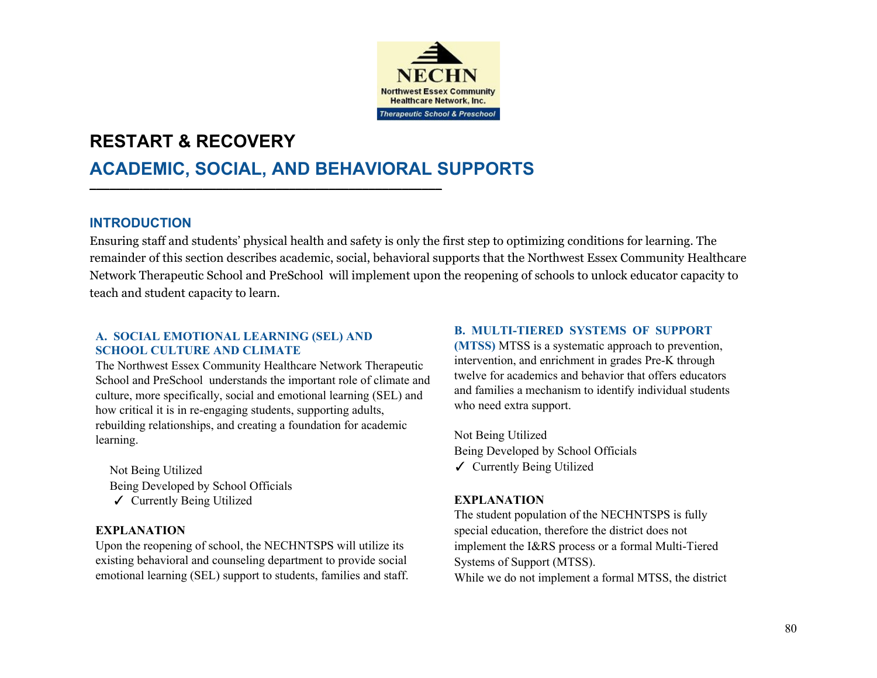

## **RESTART & RECOVERY**

## **ACADEMIC, SOCIAL, AND BEHAVIORAL SUPPORTS**

## **INTRODUCTION**

Ensuring staff and students' physical health and safety is only the first step to optimizing conditions for learning. The remainder of this section describes academic, social, behavioral supports that the Northwest Essex Community Healthcare Network Therapeutic School and PreSchool will implement upon the reopening of schools to unlock educator capacity to teach and student capacity to learn.

### **A. SOCIAL EMOTIONAL LEARNING (SEL) AND SCHOOL CULTURE AND CLIMATE**

The Northwest Essex Community Healthcare Network Therapeutic School and PreSchool understands the important role of climate and culture, more specifically, social and emotional learning (SEL) and how critical it is in re-engaging students, supporting adults, rebuilding relationships, and creating a foundation for academic learning.

<u>▬▬←←</u>

Not Being Utilized Being Developed by School Officials ✓ Currently Being Utilized

## **EXPLANATION**

Upon the reopening of school, the NECHNTSPS will utilize its existing behavioral and counseling department to provide social emotional learning (SEL) support to students, families and staff.

### **B. MULTI-TIERED SYSTEMS OF SUPPORT**

**(MTSS)** MTSS is a systematic approach to prevention, intervention, and enrichment in grades Pre-K through twelve for academics and behavior that offers educators and families a mechanism to identify individual students who need extra support.

Not Being Utilized Being Developed by School Officials ✓ Currently Being Utilized

## **EXPLANATION**

The student population of the NECHNTSPS is fully special education, therefore the district does not implement the I&RS process or a formal Multi-Tiered Systems of Support (MTSS). While we do not implement a formal MTSS, the district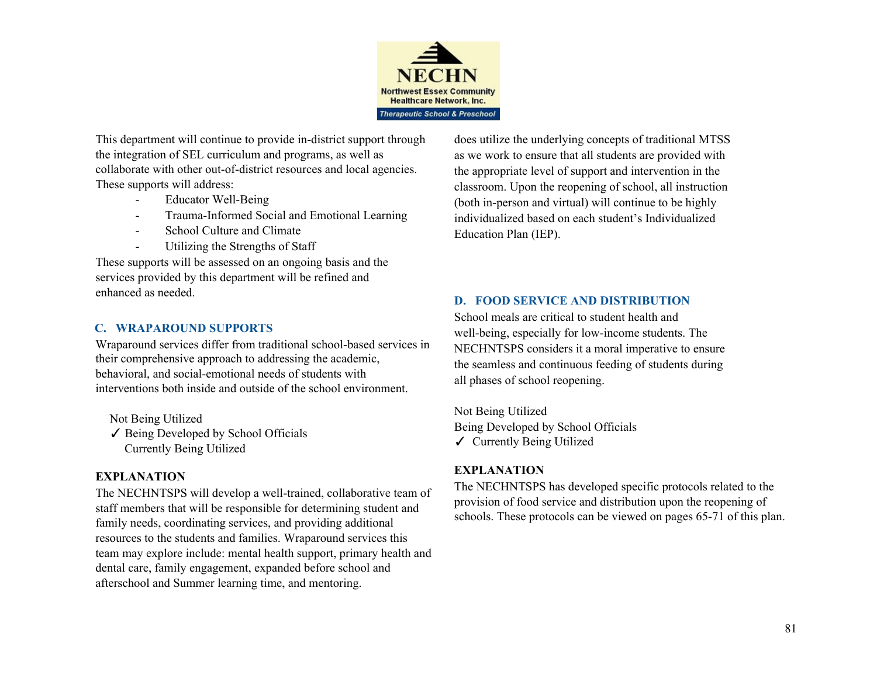

This department will continue to provide in-district support through the integration of SEL curriculum and programs, as well as collaborate with other out-of-district resources and local agencies. These supports will address:

- Educator Well-Being
- Trauma-Informed Social and Emotional Learning
- School Culture and Climate
- Utilizing the Strengths of Staff

These supports will be assessed on an ongoing basis and the services provided by this department will be refined and enhanced as needed.

## **C. WRAPAROUND SUPPORTS**

Wraparound services differ from traditional school-based services in their comprehensive approach to addressing the academic, behavioral, and social-emotional needs of students with interventions both inside and outside of the school environment.

Not Being Utilized ✓ Being Developed by School Officials Currently Being Utilized

## **EXPLANATION**

The NECHNTSPS will develop a well-trained, collaborative team of staff members that will be responsible for determining student and family needs, coordinating services, and providing additional resources to the students and families. Wraparound services this team may explore include: mental health support, primary health and dental care, family engagement, expanded before school and afterschool and Summer learning time, and mentoring.

does utilize the underlying concepts of traditional MTSS as we work to ensure that all students are provided with the appropriate level of support and intervention in the classroom. Upon the reopening of school, all instruction (both in-person and virtual) will continue to be highly individualized based on each student's Individualized Education Plan (IEP).

## **D. FOOD SERVICE AND DISTRIBUTION**

School meals are critical to student health and well-being, especially for low-income students. The NECHNTSPS considers it a moral imperative to ensure the seamless and continuous feeding of students during all phases of school reopening.

Not Being Utilized Being Developed by School Officials ✓ Currently Being Utilized

## **EXPLANATION**

The NECHNTSPS has developed specific protocols related to the provision of food service and distribution upon the reopening of schools. These protocols can be viewed on pages 65-71 of this plan.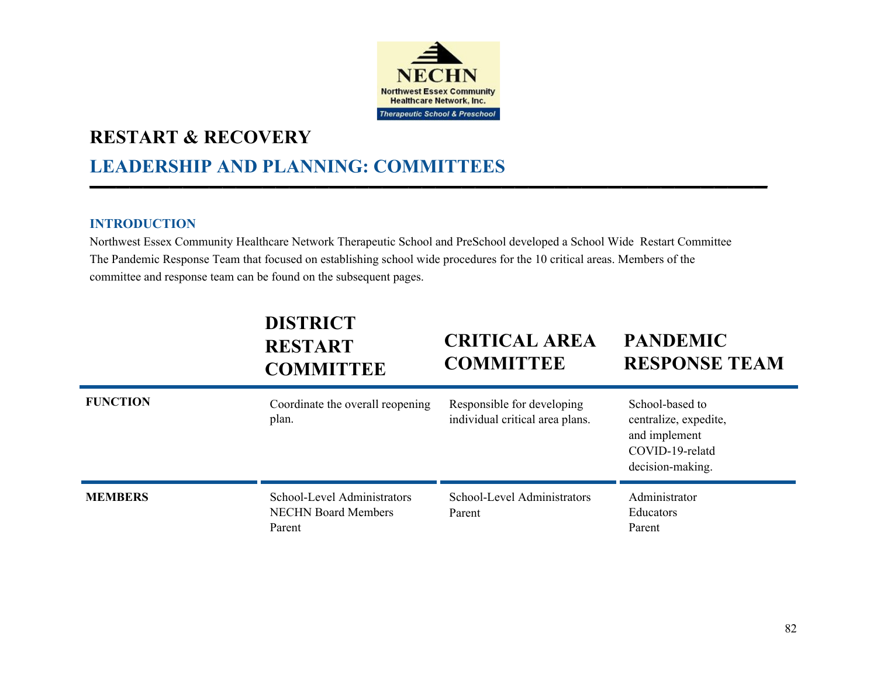

<u>►</u>

## **RESTART & RECOVERY**

# **LEADERSHIP AND PLANNING: COMMITTEES**

## **INTRODUCTION**

Northwest Essex Community Healthcare Network Therapeutic School and PreSchool developed a School Wide Restart Committee The Pandemic Response Team that focused on establishing school wide procedures for the 10 critical areas. Members of the committee and response team can be found on the subsequent pages.

|                 | <b>DISTRICT</b><br><b>RESTART</b><br><b>COMMITTEE</b>               | <b>CRITICAL AREA</b><br><b>COMMITTEE</b>                      | <b>PANDEMIC</b><br><b>RESPONSE TEAM</b>                                                          |
|-----------------|---------------------------------------------------------------------|---------------------------------------------------------------|--------------------------------------------------------------------------------------------------|
| <b>FUNCTION</b> | Coordinate the overall reopening<br>plan.                           | Responsible for developing<br>individual critical area plans. | School-based to<br>centralize, expedite,<br>and implement<br>COVID-19-relatd<br>decision-making. |
| <b>MEMBERS</b>  | School-Level Administrators<br><b>NECHN Board Members</b><br>Parent | School-Level Administrators<br>Parent                         | Administrator<br>Educators<br>Parent                                                             |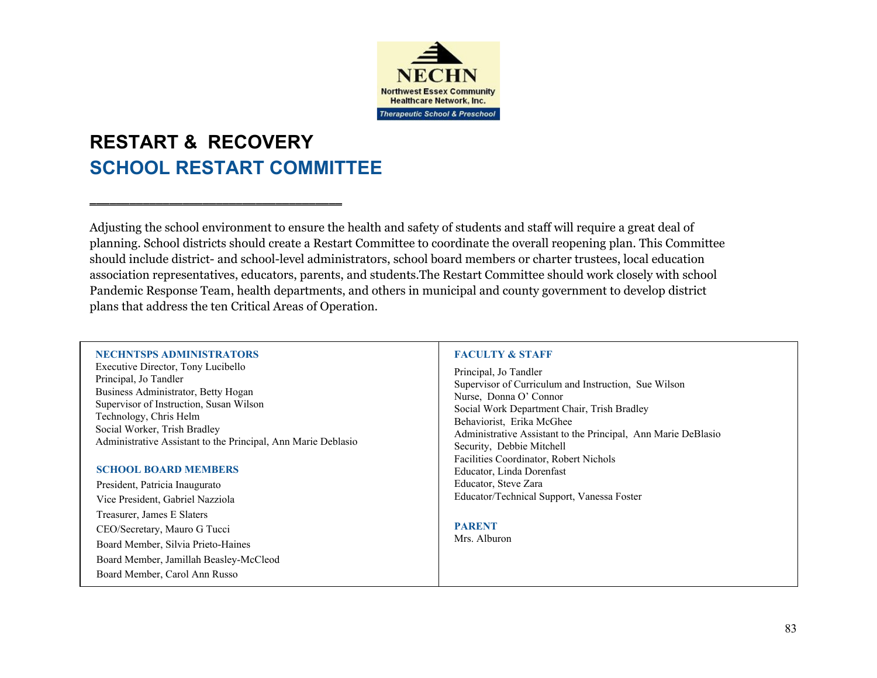

# **RESTART & RECOVERY SCHOOL RESTART COMMITTEE**

▬▬▬▬▬▬▬▬▬▬▬▬▬▬▬▬▬▬▬▬▬▬▬▬▬▬▬▬▬▬▬▬▬▬▬▬▬▬

Adjusting the school environment to ensure the health and safety of students and staff will require a great deal of planning. School districts should create a Restart Committee to coordinate the overall reopening plan. This Committee should include district- and school-level administrators, school board members or charter trustees, local education association representatives, educators, parents, and students.The Restart Committee should work closely with school Pandemic Response Team, health departments, and others in municipal and county government to develop district plans that address the ten Critical Areas of Operation.

#### **NECHNTSPS ADMINISTRATORS**

Executive Director, Tony Lucibello Principal, Jo Tandler Business Administrator, Betty Hogan Supervisor of Instruction, Susan Wilson Technology, Chris Helm Social Worker, Trish Bradley Administrative Assistant to the Principal, Ann Marie Deblasio

#### **SCHOOL BOARD MEMBERS**

President, Patricia Inaugurato Vice President, Gabriel Nazziola Treasurer, James E Slaters CEO/Secretary, Mauro G Tucci Board Member, Silvia Prieto-Haines Board Member, Jamillah Beasley-McCleod Board Member, Carol Ann Russo

#### **FACULTY & STAFF**

Principal, Jo Tandler Supervisor of Curriculum and Instruction, Sue Wilson Nurse, Donna O' Connor Social Work Department Chair, Trish Bradley Behaviorist, Erika McGhee Administrative Assistant to the Principal, Ann Marie DeBlasio Security, Debbie Mitchell Facilities Coordinator, Robert Nichols Educator, Linda Dorenfast Educator, Steve Zara Educator/Technical Support, Vanessa Foster

#### **PARENT**

Mrs. Alburon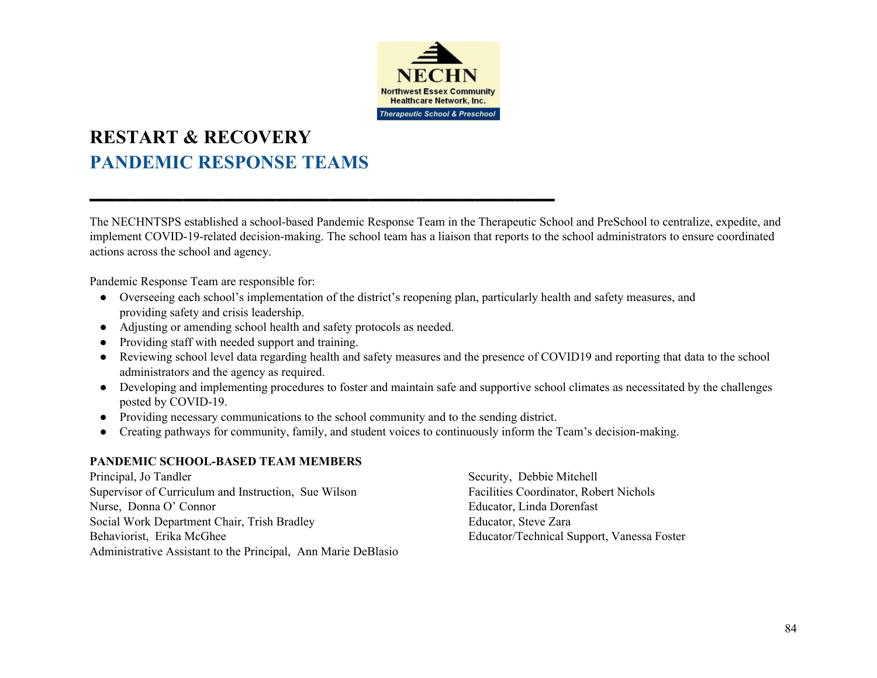

## **RESTART & RECOVERY PANDEMIC RESPONSE TEAMS**

The NECHNTSPS established a school-based Pandemic Response Team in the Therapeutic School and PreSchool to centralize, expedite, and implement COVID-19-related decision-making. The school team has a liaison that reports to the school administrators to ensure coordinated actions across the school and agency.

Pandemic Response Team are responsible for:

- Overseeing each school's implementation of the district's reopening plan, particularly health and safety measures, and providing safety and crisis leadership.
- Adjusting or amending school health and safety protocols as needed.
- Providing staff with needed support and training.
- Reviewing school level data regarding health and safety measures and the presence of COVID19 and reporting that data to the school administrators and the agency as required.
- Developing and implementing procedures to foster and maintain safe and supportive school climates as necessitated by the challenges posted by COVID-19.
- Providing necessary communications to the school community and to the sending district.

▬▬▬▬▬▬▬▬▬▬▬▬▬▬▬▬▬▬▬▬▬▬▬▬▬▬▬▬▬▬▬▬▬▬▬

• Creating pathways for community, family, and student voices to continuously inform the Team's decision-making.

## **PANDEMIC SCHOOL-BASED TEAM MEMBERS**

Principal, Jo Tandler Supervisor of Curriculum and Instruction, Sue Wilson Nurse, Donna O' Connor Social Work Department Chair, Trish Bradley Behaviorist, Erika McGhee Administrative Assistant to the Principal, Ann Marie DeBlasio

Security, Debbie Mitchell Facilities Coordinator, Robert Nichols Educator, Linda Dorenfast Educator, Steve Zara Educator/Technical Support, Vanessa Foster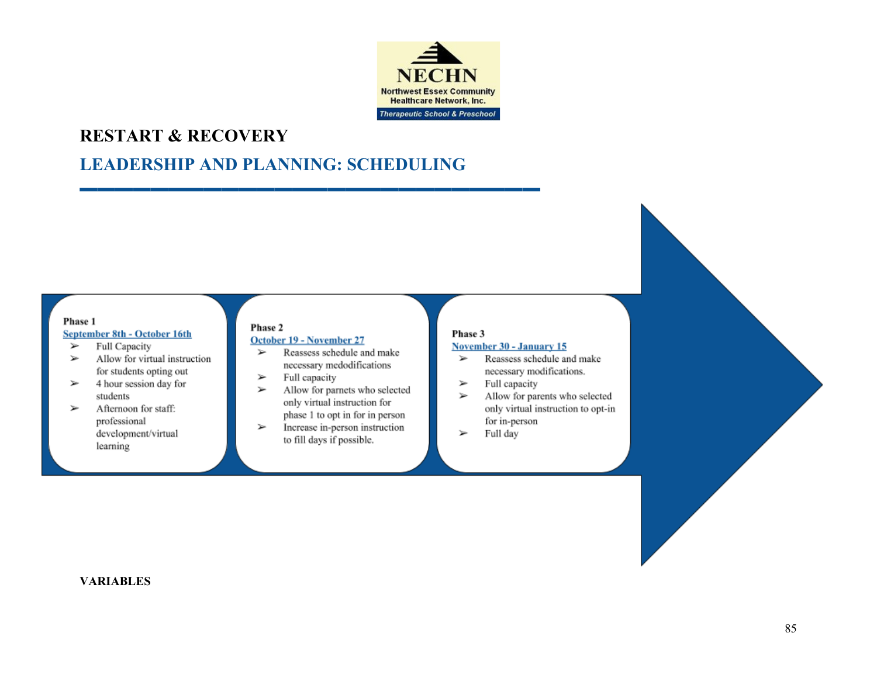

## **RESTART & RECOVERY**

## **LEADERSHIP AND PLANNING: SCHEDULING**

**▬▬▬▬▬▬▬▬▬▬▬▬▬▬▬▬▬▬▬▬▬▬▬▬▬▬**

#### Phase 1

#### September 8th - October 16th

- Full Capacity ⋗
- $\geq$ Allow for virtual instruction for students opting out
- 4 hour session day for students
- Afternoon for staff:  $\geq$ professional development/virtual learning

#### Phase 2 October 19 - November 27

- Reassess schedule and make  $\rightarrow$ necessary medodifications
- Full capacity ⋗
- $\geq$ Allow for parnets who selected only virtual instruction for phase 1 to opt in for in person
- Increase in-person instruction  $\geq$ to fill days if possible.

#### Phase 3

#### **November 30 - January 15**

- Reassess schedule and make ⋗ necessary modifications.
- Full capacity
- Allow for parents who selected ⋗ only virtual instruction to opt-in for in-person
- Full day ⋗

### **VARIABLES**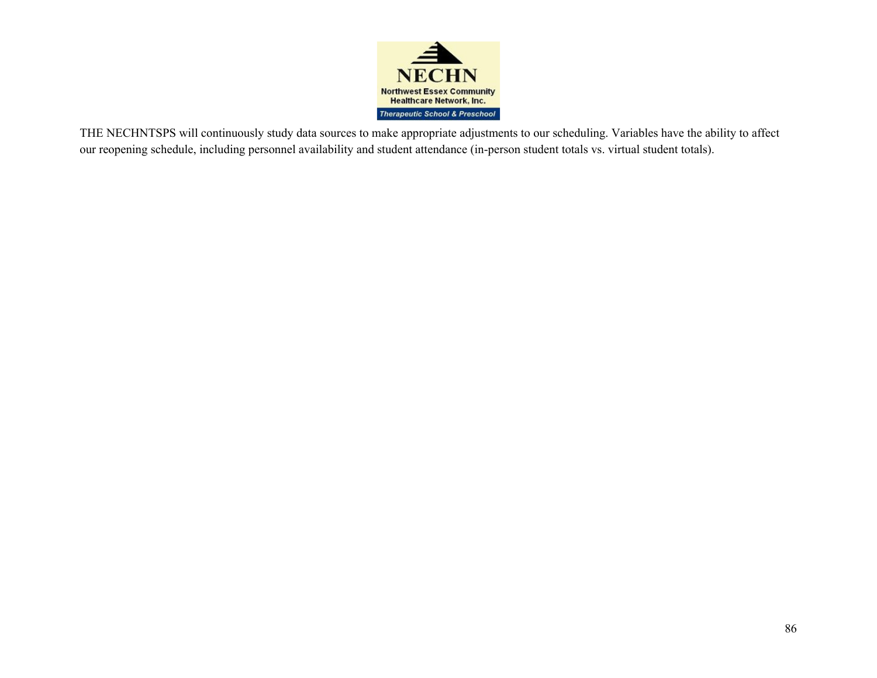

THE NECHNTSPS will continuously study data sources to make appropriate adjustments to our scheduling. Variables have the ability to affect our reopening schedule, including personnel availability and student attendance (in-person student totals vs. virtual student totals).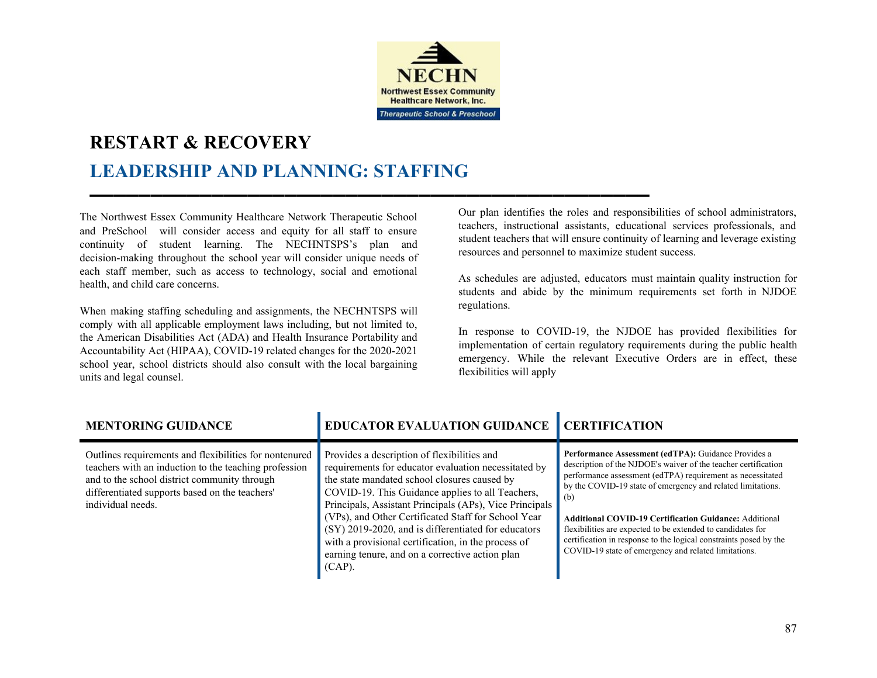

▬▬▬▬▬▬▬▬▬▬▬▬▬▬▬▬▬▬▬▬▬▬▬▬▬▬▬▬▬▬▬▬▬▬▬▬▬▬▬▬▬▬▬▬▬▬

# **RESTART & RECOVERY LEADERSHIP AND PLANNING: STAFFING**

The Northwest Essex Community Healthcare Network Therapeutic School and PreSchool will consider access and equity for all staff to ensure continuity of student learning. The NECHNTSPS's plan and decision-making throughout the school year will consider unique needs of each staff member, such as access to technology, social and emotional health, and child care concerns.

When making staffing scheduling and assignments, the NECHNTSPS will comply with all applicable employment laws including, but not limited to, the American Disabilities Act (ADA) and Health Insurance Portability and Accountability Act (HIPAA), COVID-19 related changes for the 2020-2021 school year, school districts should also consult with the local bargaining units and legal counsel.

Our plan identifies the roles and responsibilities of school administrators, teachers, instructional assistants, educational services professionals, and student teachers that will ensure continuity of learning and leverage existing resources and personnel to maximize student success.

As schedules are adjusted, educators must maintain quality instruction for students and abide by the minimum requirements set forth in NJDOE regulations.

In response to COVID-19, the NJDOE has provided flexibilities for implementation of certain regulatory requirements during the public health emergency. While the relevant Executive Orders are in effect, these flexibilities will apply

| <b>MENTORING GUIDANCE</b>                                                                                                                                                                                                              | <b>EDUCATOR EVALUATION GUIDANCE CERTIFICATION</b>                                                                                                                                                                                                                                                                                                                                                                                                                                                       |                                                                                                                                                                                                                                                                                                                                                                                                                                                                                                                        |
|----------------------------------------------------------------------------------------------------------------------------------------------------------------------------------------------------------------------------------------|---------------------------------------------------------------------------------------------------------------------------------------------------------------------------------------------------------------------------------------------------------------------------------------------------------------------------------------------------------------------------------------------------------------------------------------------------------------------------------------------------------|------------------------------------------------------------------------------------------------------------------------------------------------------------------------------------------------------------------------------------------------------------------------------------------------------------------------------------------------------------------------------------------------------------------------------------------------------------------------------------------------------------------------|
| Outlines requirements and flexibilities for nontenured<br>teachers with an induction to the teaching profession<br>and to the school district community through<br>differentiated supports based on the teachers'<br>individual needs. | Provides a description of flexibilities and<br>requirements for educator evaluation necessitated by<br>the state mandated school closures caused by<br>COVID-19. This Guidance applies to all Teachers,<br>Principals, Assistant Principals (APs), Vice Principals<br>(VPs), and Other Certificated Staff for School Year<br>(SY) 2019-2020, and is differentiated for educators<br>with a provisional certification, in the process of<br>earning tenure, and on a corrective action plan<br>$(CAP)$ . | Performance Assessment (edTPA): Guidance Provides a<br>description of the NJDOE's waiver of the teacher certification<br>performance assessment (edTPA) requirement as necessitated<br>by the COVID-19 state of emergency and related limitations.<br>(b)<br><b>Additional COVID-19 Certification Guidance: Additional</b><br>flexibilities are expected to be extended to candidates for<br>certification in response to the logical constraints posed by the<br>COVID-19 state of emergency and related limitations. |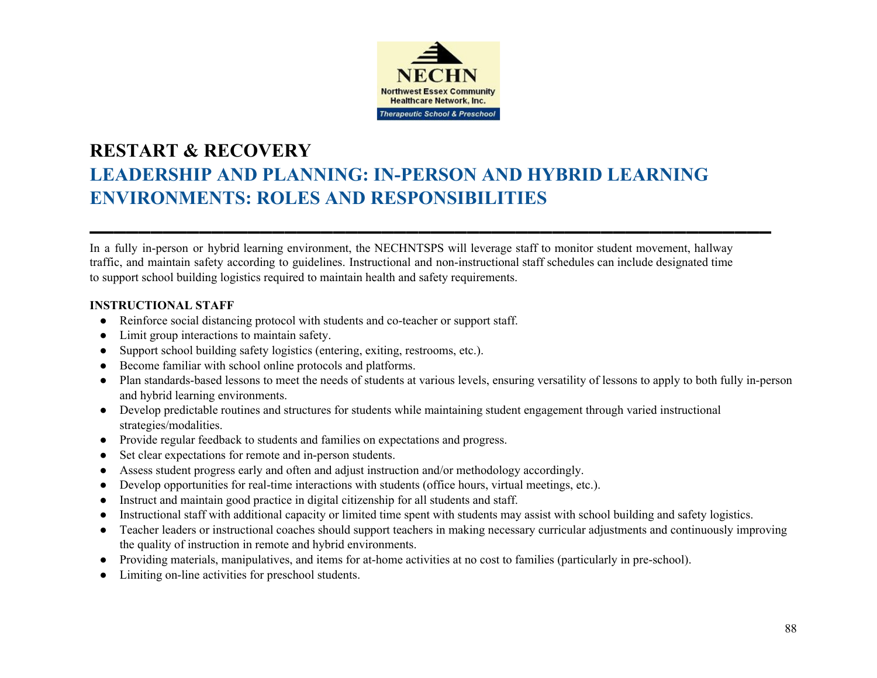

## **RESTART & RECOVERY LEADERSHIP AND PLANNING: IN-PERSON AND HYBRID LEARNING ENVIRONMENTS: ROLES AND RESPONSIBILITIES**

In a fully in-person or hybrid learning environment, the NECHNTSPS will leverage staff to monitor student movement, hallway traffic, and maintain safety according to guidelines. Instructional and non-instructional staff schedules can include designated time to support school building logistics required to maintain health and safety requirements.

▬▬▬▬▬▬▬▬▬▬▬▬▬▬▬▬▬▬▬▬▬▬▬▬▬▬▬▬▬▬▬▬▬▬▬▬▬▬▬▬▬▬▬▬▬▬▬▬▬▬▬▬▬▬▬▬

### **INSTRUCTIONAL STAFF**

- Reinforce social distancing protocol with students and co-teacher or support staff.
- Limit group interactions to maintain safety.
- Support school building safety logistics (entering, exiting, restrooms, etc.).
- Become familiar with school online protocols and platforms.
- Plan standards-based lessons to meet the needs of students at various levels, ensuring versatility of lessons to apply to both fully in-person and hybrid learning environments.
- Develop predictable routines and structures for students while maintaining student engagement through varied instructional strategies/modalities.
- Provide regular feedback to students and families on expectations and progress.
- Set clear expectations for remote and in-person students.
- Assess student progress early and often and adjust instruction and/or methodology accordingly.
- Develop opportunities for real-time interactions with students (office hours, virtual meetings, etc.).
- Instruct and maintain good practice in digital citizenship for all students and staff.
- Instructional staff with additional capacity or limited time spent with students may assist with school building and safety logistics.
- Teacher leaders or instructional coaches should support teachers in making necessary curricular adjustments and continuously improving the quality of instruction in remote and hybrid environments.
- Providing materials, manipulatives, and items for at-home activities at no cost to families (particularly in pre-school).
- Limiting on-line activities for preschool students.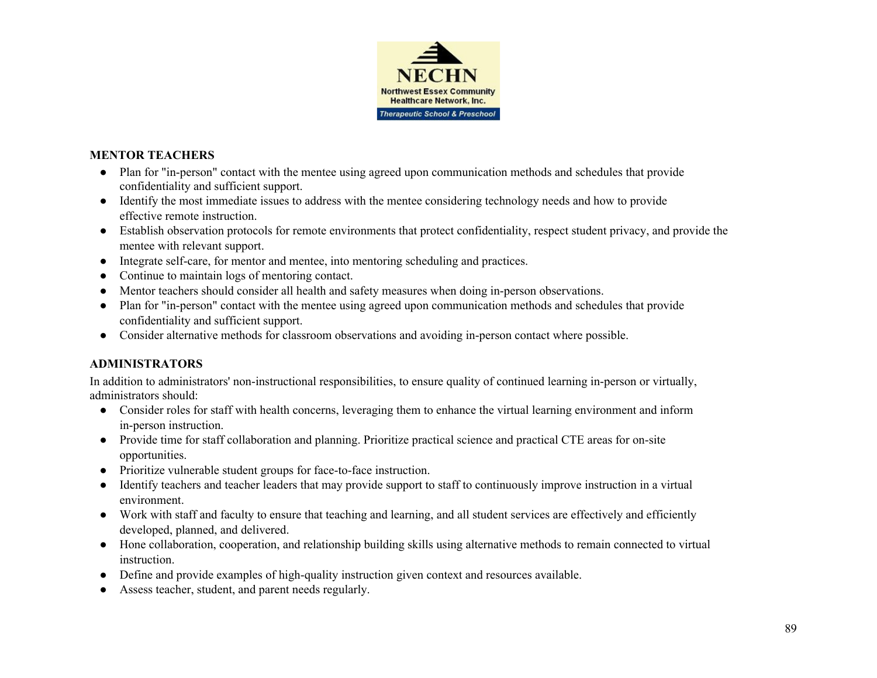

### **MENTOR TEACHERS**

- Plan for "in-person" contact with the mentee using agreed upon communication methods and schedules that provide confidentiality and sufficient support.
- Identify the most immediate issues to address with the mentee considering technology needs and how to provide effective remote instruction.
- Establish observation protocols for remote environments that protect confidentiality, respect student privacy, and provide the mentee with relevant support.
- Integrate self-care, for mentor and mentee, into mentoring scheduling and practices.
- Continue to maintain logs of mentoring contact.
- Mentor teachers should consider all health and safety measures when doing in-person observations.
- Plan for "in-person" contact with the mentee using agreed upon communication methods and schedules that provide confidentiality and sufficient support.
- Consider alternative methods for classroom observations and avoiding in-person contact where possible.

## **ADMINISTRATORS**

In addition to administrators' non-instructional responsibilities, to ensure quality of continued learning in-person or virtually, administrators should:

- Consider roles for staff with health concerns, leveraging them to enhance the virtual learning environment and inform in-person instruction.
- Provide time for staff collaboration and planning. Prioritize practical science and practical CTE areas for on-site opportunities.
- Prioritize vulnerable student groups for face-to-face instruction.
- Identify teachers and teacher leaders that may provide support to staff to continuously improve instruction in a virtual environment.
- Work with staff and faculty to ensure that teaching and learning, and all student services are effectively and efficiently developed, planned, and delivered.
- Hone collaboration, cooperation, and relationship building skills using alternative methods to remain connected to virtual instruction.
- Define and provide examples of high-quality instruction given context and resources available.
- Assess teacher, student, and parent needs regularly.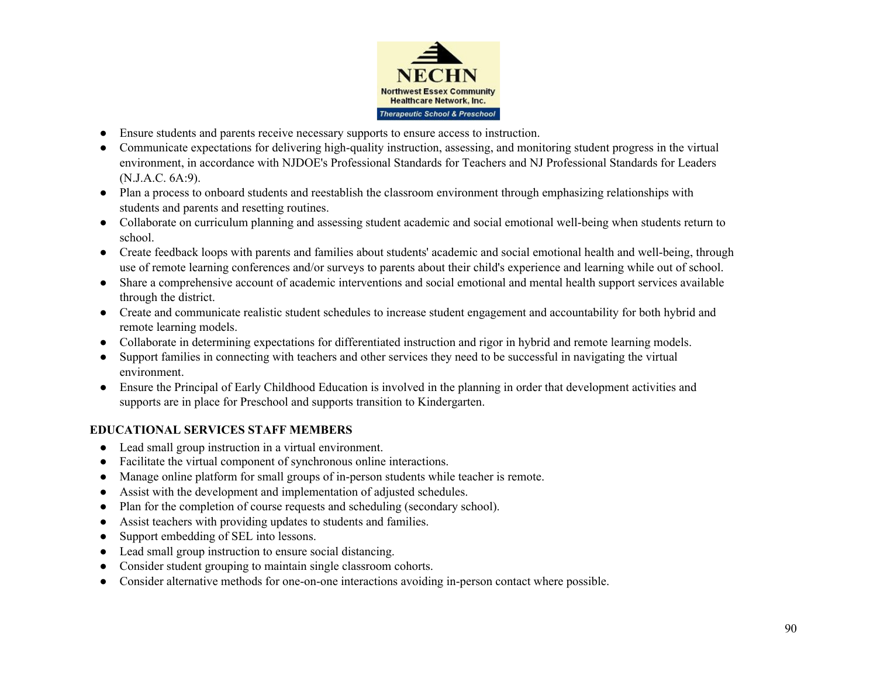

- Ensure students and parents receive necessary supports to ensure access to instruction.
- Communicate expectations for delivering high-quality instruction, assessing, and monitoring student progress in the virtual environment, in accordance with NJDOE's Professional Standards for Teachers and NJ Professional Standards for Leaders (N.J.A.C. 6A:9).
- Plan a process to onboard students and reestablish the classroom environment through emphasizing relationships with students and parents and resetting routines.
- Collaborate on curriculum planning and assessing student academic and social emotional well-being when students return to school.
- Create feedback loops with parents and families about students' academic and social emotional health and well-being, through use of remote learning conferences and/or surveys to parents about their child's experience and learning while out of school.
- Share a comprehensive account of academic interventions and social emotional and mental health support services available through the district.
- Create and communicate realistic student schedules to increase student engagement and accountability for both hybrid and remote learning models.
- Collaborate in determining expectations for differentiated instruction and rigor in hybrid and remote learning models.
- Support families in connecting with teachers and other services they need to be successful in navigating the virtual environment.
- Ensure the Principal of Early Childhood Education is involved in the planning in order that development activities and supports are in place for Preschool and supports transition to Kindergarten.

## **EDUCATIONAL SERVICES STAFF MEMBERS**

- Lead small group instruction in a virtual environment.
- Facilitate the virtual component of synchronous online interactions.
- Manage online platform for small groups of in-person students while teacher is remote.
- Assist with the development and implementation of adjusted schedules.
- Plan for the completion of course requests and scheduling (secondary school).
- Assist teachers with providing updates to students and families.
- Support embedding of SEL into lessons.
- Lead small group instruction to ensure social distancing.
- Consider student grouping to maintain single classroom cohorts.
- Consider alternative methods for one-on-one interactions avoiding in-person contact where possible.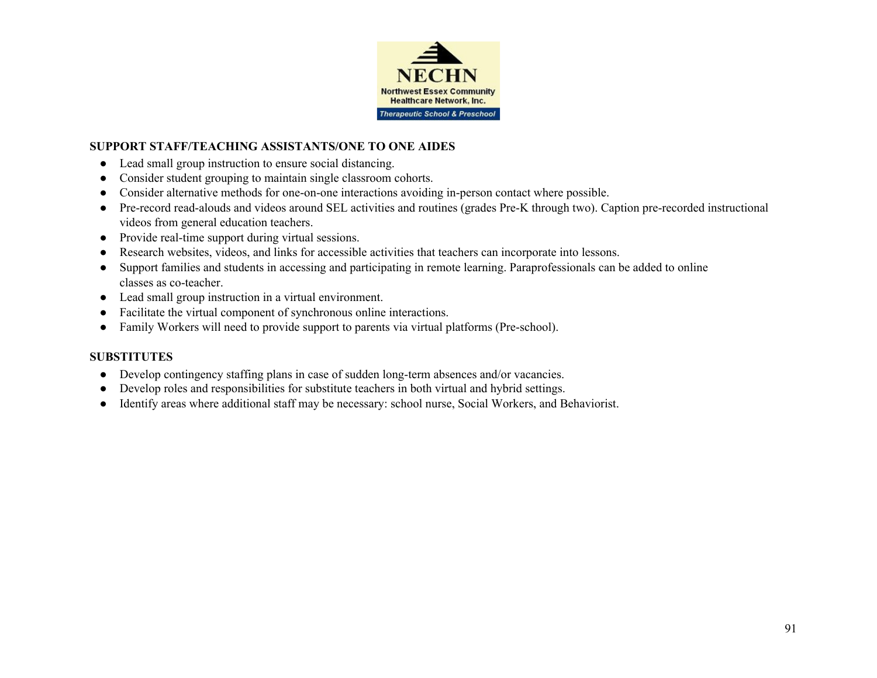

### **SUPPORT STAFF/TEACHING ASSISTANTS/ONE TO ONE AIDES**

- Lead small group instruction to ensure social distancing.
- Consider student grouping to maintain single classroom cohorts.
- Consider alternative methods for one-on-one interactions avoiding in-person contact where possible.
- Pre-record read-alouds and videos around SEL activities and routines (grades Pre-K through two). Caption pre-recorded instructional videos from general education teachers.
- Provide real-time support during virtual sessions.
- Research websites, videos, and links for accessible activities that teachers can incorporate into lessons.
- Support families and students in accessing and participating in remote learning. Paraprofessionals can be added to online classes as co-teacher.
- Lead small group instruction in a virtual environment.
- Facilitate the virtual component of synchronous online interactions.
- Family Workers will need to provide support to parents via virtual platforms (Pre-school).

## **SUBSTITUTES**

- Develop contingency staffing plans in case of sudden long-term absences and/or vacancies.
- Develop roles and responsibilities for substitute teachers in both virtual and hybrid settings.
- Identify areas where additional staff may be necessary: school nurse, Social Workers, and Behaviorist.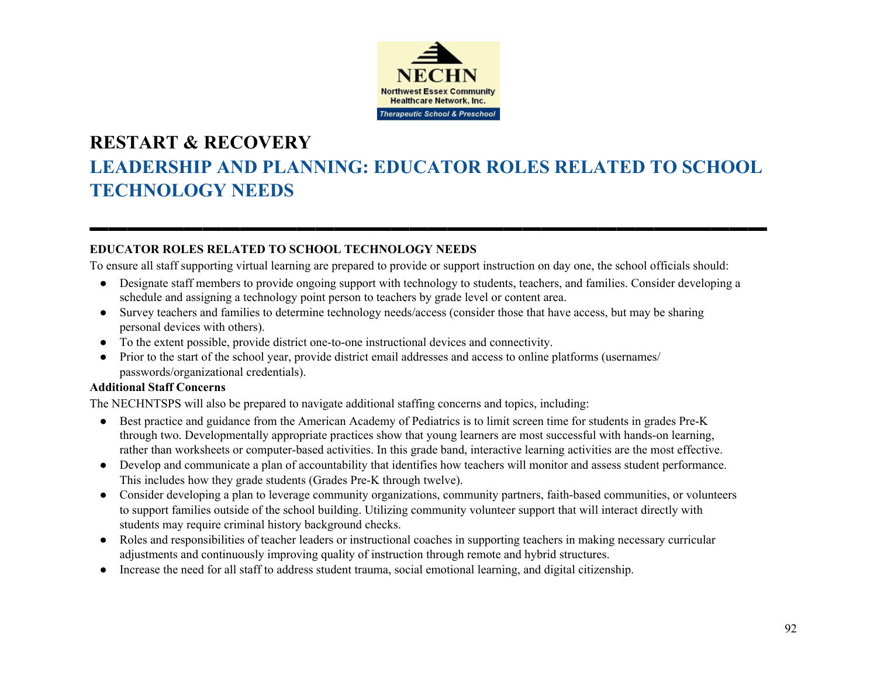

# **RESTART & RECOVERY LEADERSHIP AND PLANNING: EDUCATOR ROLES RELATED TO SCHOOL TECHNOLOGY NEEDS**

<u>▬▬▬▬▬▬▬▬▬▬▬▬▬▬▬▬▬▬▬▬▬</u>

## **EDUCATOR ROLES RELATED TO SCHOOL TECHNOLOGY NEEDS**

To ensure all staff supporting virtual learning are prepared to provide or support instruction on day one, the school officials should:

- Designate staff members to provide ongoing support with technology to students, teachers, and families. Consider developing a schedule and assigning a technology point person to teachers by grade level or content area.
- Survey teachers and families to determine technology needs/access (consider those that have access, but may be sharing personal devices with others).
- To the extent possible, provide district one-to-one instructional devices and connectivity.
- Prior to the start of the school year, provide district email addresses and access to online platforms (usernames/ passwords/organizational credentials).

### **Additional Staff Concerns**

The NECHNTSPS will also be prepared to navigate additional staffing concerns and topics, including:

- Best practice and guidance from the American Academy of Pediatrics is to limit screen time for students in grades Pre-K through two. Developmentally appropriate practices show that young learners are most successful with hands-on learning, rather than worksheets or computer-based activities. In this grade band, interactive learning activities are the most effective.
- Develop and communicate a plan of accountability that identifies how teachers will monitor and assess student performance. This includes how they grade students (Grades Pre-K through twelve).
- Consider developing a plan to leverage community organizations, community partners, faith-based communities, or volunteers to support families outside of the school building. Utilizing community volunteer support that will interact directly with students may require criminal history background checks.
- Roles and responsibilities of teacher leaders or instructional coaches in supporting teachers in making necessary curricular adjustments and continuously improving quality of instruction through remote and hybrid structures.
- Increase the need for all staff to address student trauma, social emotional learning, and digital citizenship.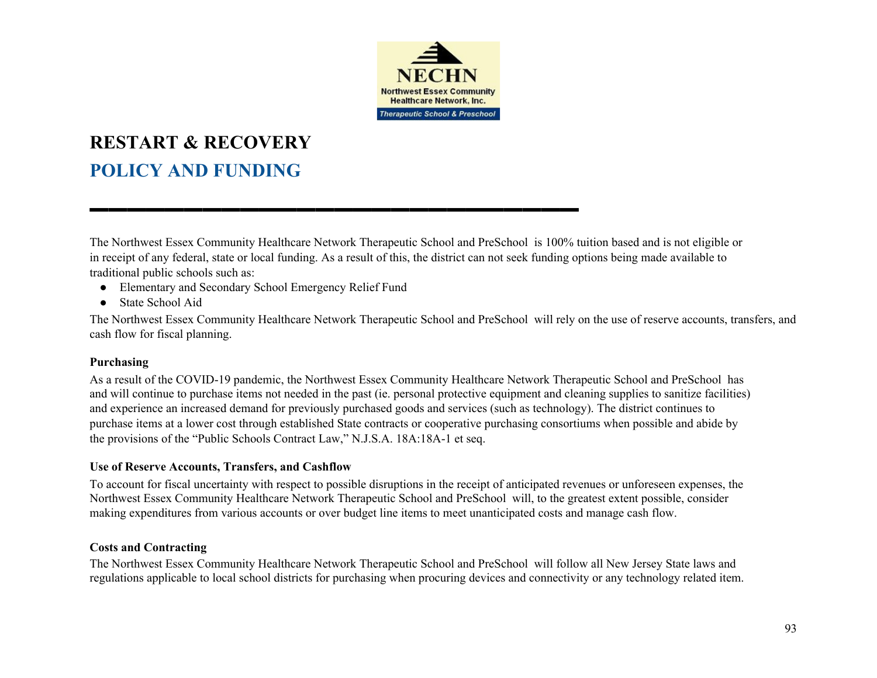

# **RESTART & RECOVERY POLICY AND FUNDING**

The Northwest Essex Community Healthcare Network Therapeutic School and PreSchool is 100% tuition based and is not eligible or in receipt of any federal, state or local funding. As a result of this, the district can not seek funding options being made available to traditional public schools such as:

**▬▬▬▬▬▬▬▬▬▬▬▬▬▬▬▬▬▬▬▬▬▬▬▬▬▬**

- Elementary and Secondary School Emergency Relief Fund
- State School Aid

The Northwest Essex Community Healthcare Network Therapeutic School and PreSchool will rely on the use of reserve accounts, transfers, and cash flow for fiscal planning.

## **Purchasing**

As a result of the COVID-19 pandemic, the Northwest Essex Community Healthcare Network Therapeutic School and PreSchool has and will continue to purchase items not needed in the past (ie. personal protective equipment and cleaning supplies to sanitize facilities) and experience an increased demand for previously purchased goods and services (such as technology). The district continues to purchase items at a lower cost through established State contracts or cooperative purchasing consortiums when possible and abide by the provisions of the "Public Schools Contract Law," N.J.S.A. 18A:18A-1 et seq.

## **Use of Reserve Accounts, Transfers, and Cashflow**

To account for fiscal uncertainty with respect to possible disruptions in the receipt of anticipated revenues or unforeseen expenses, the Northwest Essex Community Healthcare Network Therapeutic School and PreSchool will, to the greatest extent possible, consider making expenditures from various accounts or over budget line items to meet unanticipated costs and manage cash flow.

## **Costs and Contracting**

The Northwest Essex Community Healthcare Network Therapeutic School and PreSchool will follow all New Jersey State laws and regulations applicable to local school districts for purchasing when procuring devices and connectivity or any technology related item.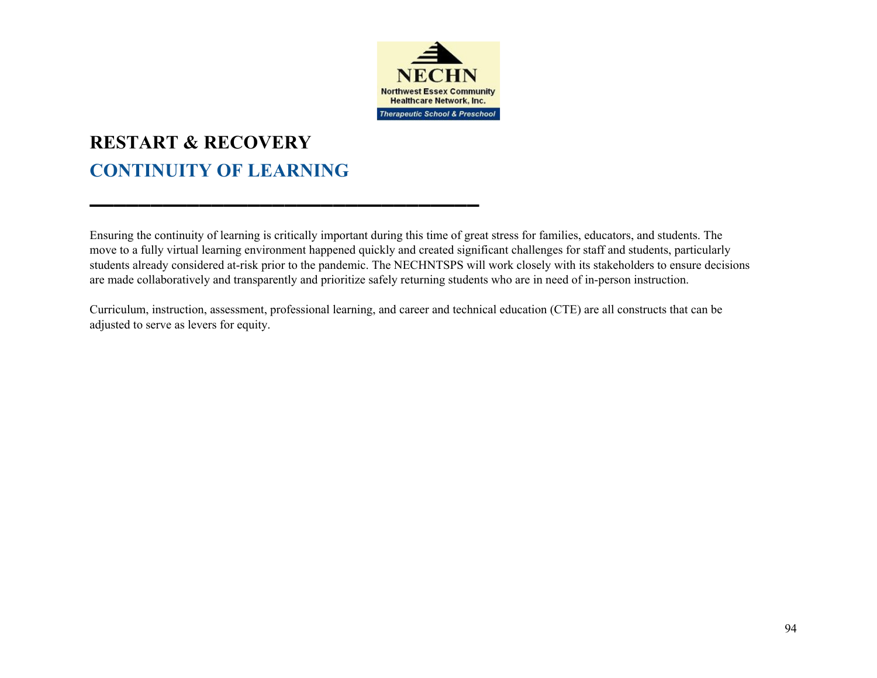

# **RESTART & RECOVERY CONTINUITY OF LEARNING**

▬▬▬▬▬▬▬▬▬▬▬▬▬▬▬▬▬▬▬▬▬▬▬▬▬▬▬▬▬▬▬▬

Ensuring the continuity of learning is critically important during this time of great stress for families, educators, and students. The move to a fully virtual learning environment happened quickly and created significant challenges for staff and students, particularly students already considered at-risk prior to the pandemic. The NECHNTSPS will work closely with its stakeholders to ensure decisions are made collaboratively and transparently and prioritize safely returning students who are in need of in-person instruction.

Curriculum, instruction, assessment, professional learning, and career and technical education (CTE) are all constructs that can be adjusted to serve as levers for equity.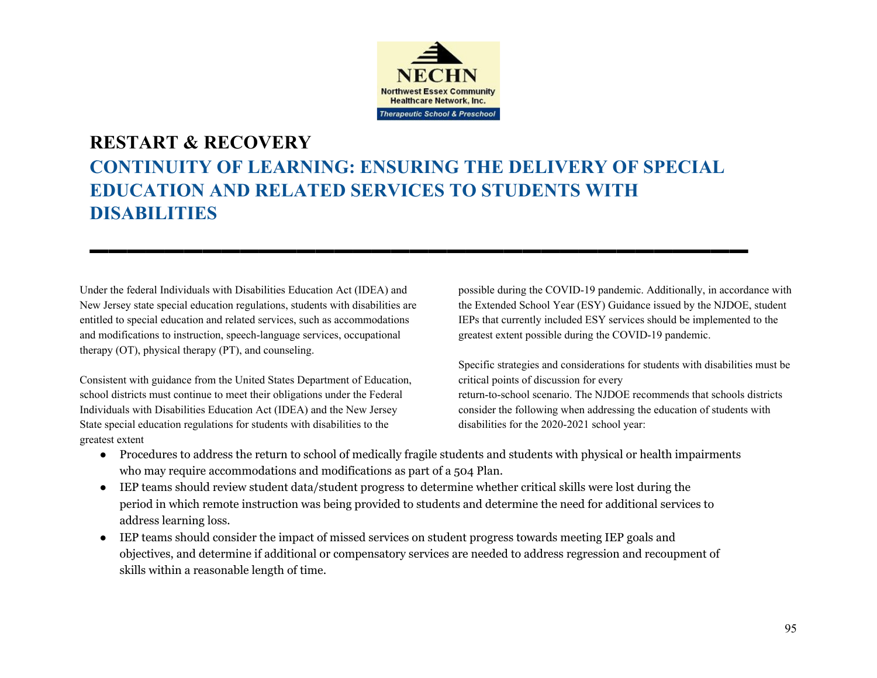

## **RESTART & RECOVERY CONTINUITY OF LEARNING: ENSURING THE DELIVERY OF SPECIAL EDUCATION AND RELATED SERVICES TO STUDENTS WITH DISABILITIES**

<u>▬▬◾▬▬▬▬▬▬▬▬▬▬▬▬▬▬▬▬▬▬▬▬▬▬</u>

Under the federal Individuals with Disabilities Education Act (IDEA) and New Jersey state special education regulations, students with disabilities are entitled to special education and related services, such as accommodations and modifications to instruction, speech-language services, occupational therapy (OT), physical therapy (PT), and counseling.

Consistent with guidance from the United States Department of Education, school districts must continue to meet their obligations under the Federal Individuals with Disabilities Education Act (IDEA) and the New Jersey State special education regulations for students with disabilities to the greatest extent

possible during the COVID-19 pandemic. Additionally, in accordance with the Extended School Year (ESY) Guidance issued by the NJDOE, student IEPs that currently included ESY services should be implemented to the greatest extent possible during the COVID-19 pandemic.

Specific strategies and considerations for students with disabilities must be critical points of discussion for every return-to-school scenario. The NJDOE recommends that schools districts consider the following when addressing the education of students with disabilities for the 2020-2021 school year:

- Procedures to address the return to school of medically fragile students and students with physical or health impairments who may require accommodations and modifications as part of a 504 Plan.
- IEP teams should review student data/student progress to determine whether critical skills were lost during the period in which remote instruction was being provided to students and determine the need for additional services to address learning loss.
- IEP teams should consider the impact of missed services on student progress towards meeting IEP goals and objectives, and determine if additional or compensatory services are needed to address regression and recoupment of skills within a reasonable length of time.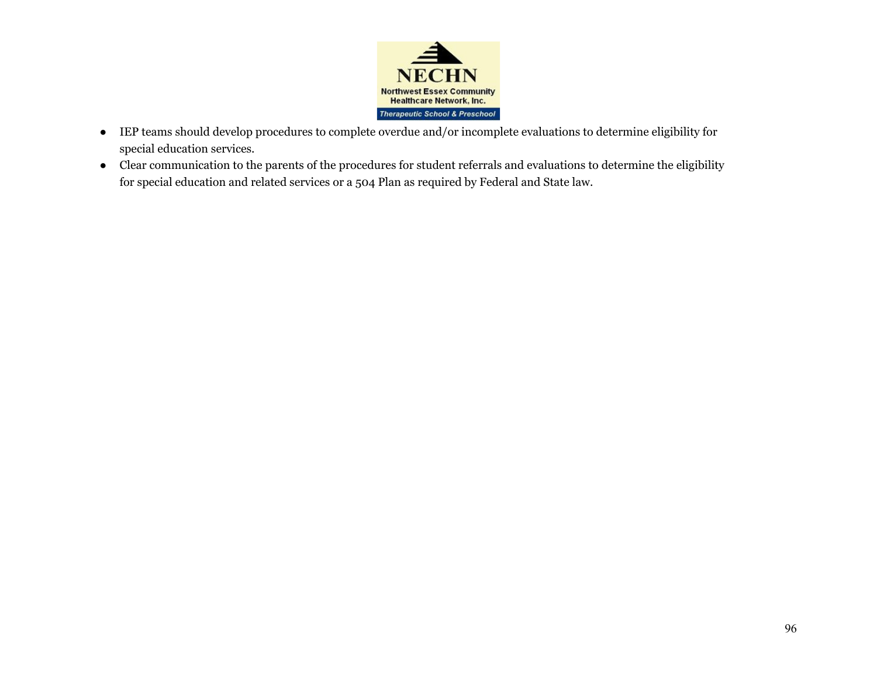

- IEP teams should develop procedures to complete overdue and/or incomplete evaluations to determine eligibility for special education services.
- Clear communication to the parents of the procedures for student referrals and evaluations to determine the eligibility for special education and related services or a 504 Plan as required by Federal and State law.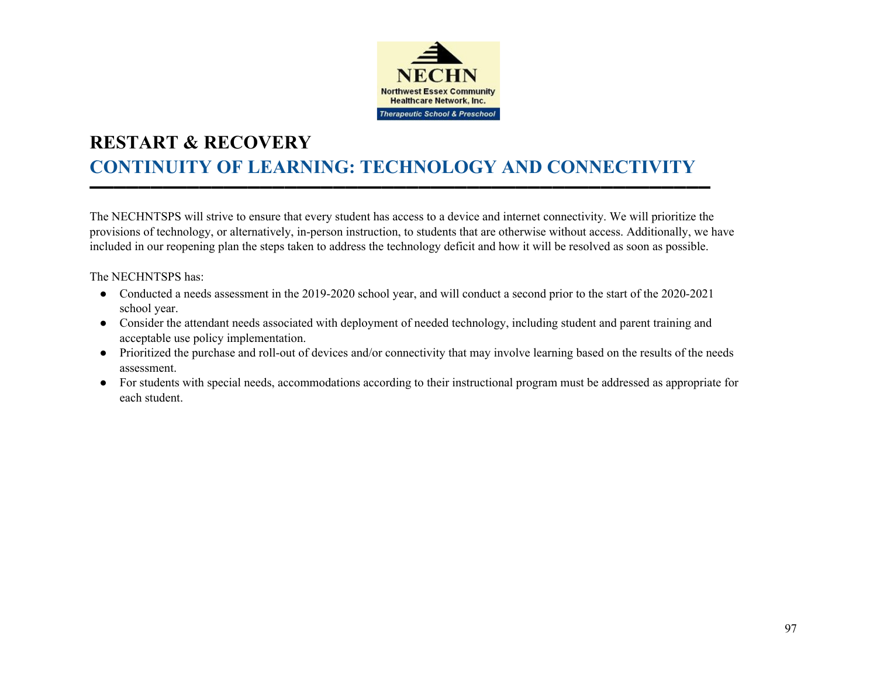

# **RESTART & RECOVERY CONTINUITY OF LEARNING: TECHNOLOGY AND CONNECTIVITY**

▬▬▬▬▬▬▬▬▬▬▬▬▬▬▬▬▬▬▬▬▬▬▬▬▬▬▬▬▬▬▬▬▬▬▬▬▬▬▬▬▬▬▬▬▬▬▬▬▬▬▬

The NECHNTSPS will strive to ensure that every student has access to a device and internet connectivity. We will prioritize the provisions of technology, or alternatively, in-person instruction, to students that are otherwise without access. Additionally, we have included in our reopening plan the steps taken to address the technology deficit and how it will be resolved as soon as possible.

The NECHNTSPS has:

- Conducted a needs assessment in the 2019-2020 school year, and will conduct a second prior to the start of the 2020-2021 school year.
- Consider the attendant needs associated with deployment of needed technology, including student and parent training and acceptable use policy implementation.
- Prioritized the purchase and roll-out of devices and/or connectivity that may involve learning based on the results of the needs assessment.
- For students with special needs, accommodations according to their instructional program must be addressed as appropriate for each student.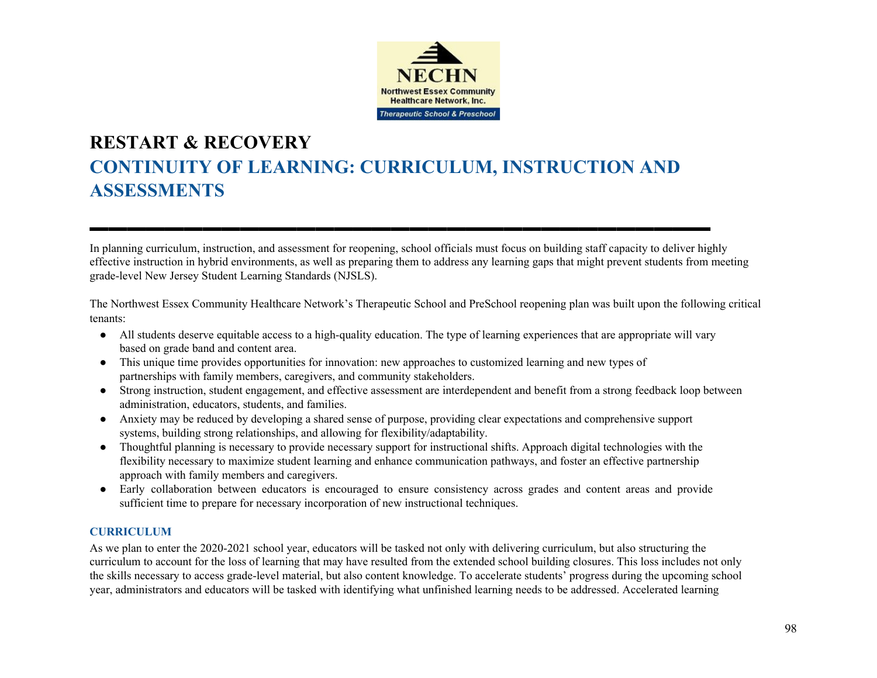

# **RESTART & RECOVERY CONTINUITY OF LEARNING: CURRICULUM, INSTRUCTION AND ASSESSMENTS**

In planning curriculum, instruction, and assessment for reopening, school officials must focus on building staff capacity to deliver highly effective instruction in hybrid environments, as well as preparing them to address any learning gaps that might prevent students from meeting grade-level New Jersey Student Learning Standards (NJSLS).

<u>▬▬▬▬▬▬▬▬▬▬▬▬▬▬▬▬▬▬▬▬▬▬</u>

The Northwest Essex Community Healthcare Network's Therapeutic School and PreSchool reopening plan was built upon the following critical tenants:

- All students deserve equitable access to a high-quality education. The type of learning experiences that are appropriate will vary based on grade band and content area.
- This unique time provides opportunities for innovation: new approaches to customized learning and new types of partnerships with family members, caregivers, and community stakeholders.
- Strong instruction, student engagement, and effective assessment are interdependent and benefit from a strong feedback loop between administration, educators, students, and families.
- Anxiety may be reduced by developing a shared sense of purpose, providing clear expectations and comprehensive support systems, building strong relationships, and allowing for flexibility/adaptability.
- Thoughtful planning is necessary to provide necessary support for instructional shifts. Approach digital technologies with the flexibility necessary to maximize student learning and enhance communication pathways, and foster an effective partnership approach with family members and caregivers.
- Early collaboration between educators is encouraged to ensure consistency across grades and content areas and provide sufficient time to prepare for necessary incorporation of new instructional techniques.

### **CURRICULUM**

As we plan to enter the 2020-2021 school year, educators will be tasked not only with delivering curriculum, but also structuring the curriculum to account for the loss of learning that may have resulted from the extended school building closures. This loss includes not only the skills necessary to access grade-level material, but also content knowledge. To accelerate students' progress during the upcoming school year, administrators and educators will be tasked with identifying what unfinished learning needs to be addressed. Accelerated learning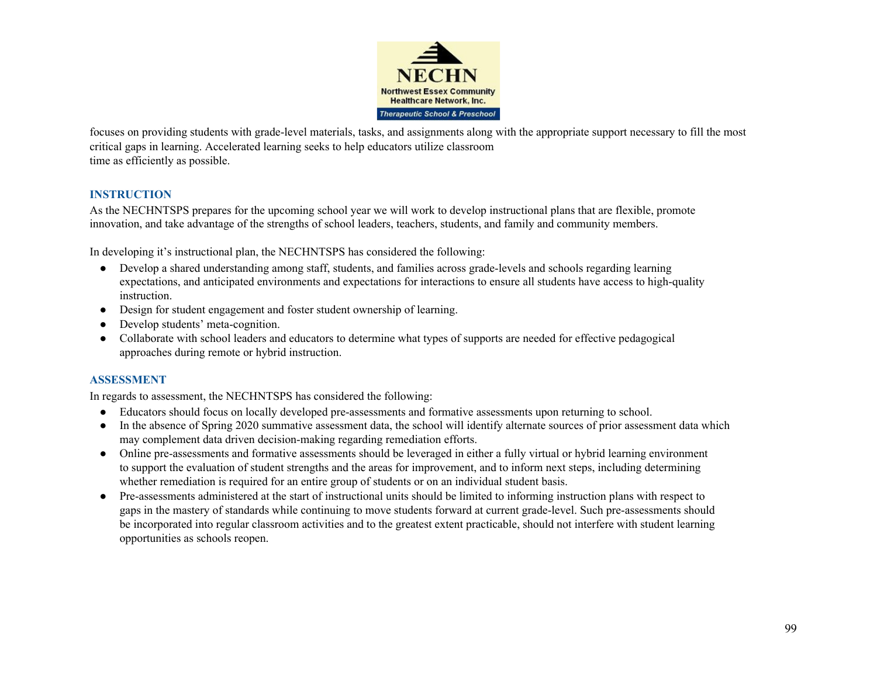

focuses on providing students with grade-level materials, tasks, and assignments along with the appropriate support necessary to fill the most critical gaps in learning. Accelerated learning seeks to help educators utilize classroom time as efficiently as possible.

### **INSTRUCTION**

As the NECHNTSPS prepares for the upcoming school year we will work to develop instructional plans that are flexible, promote innovation, and take advantage of the strengths of school leaders, teachers, students, and family and community members.

In developing it's instructional plan, the NECHNTSPS has considered the following:

- Develop a shared understanding among staff, students, and families across grade-levels and schools regarding learning expectations, and anticipated environments and expectations for interactions to ensure all students have access to high-quality instruction.
- Design for student engagement and foster student ownership of learning.
- Develop students' meta-cognition.
- Collaborate with school leaders and educators to determine what types of supports are needed for effective pedagogical approaches during remote or hybrid instruction.

### **ASSESSMENT**

In regards to assessment, the NECHNTSPS has considered the following:

- Educators should focus on locally developed pre-assessments and formative assessments upon returning to school.
- In the absence of Spring 2020 summative assessment data, the school will identify alternate sources of prior assessment data which may complement data driven decision-making regarding remediation efforts.
- Online pre-assessments and formative assessments should be leveraged in either a fully virtual or hybrid learning environment to support the evaluation of student strengths and the areas for improvement, and to inform next steps, including determining whether remediation is required for an entire group of students or on an individual student basis.
- Pre-assessments administered at the start of instructional units should be limited to informing instruction plans with respect to gaps in the mastery of standards while continuing to move students forward at current grade-level. Such pre-assessments should be incorporated into regular classroom activities and to the greatest extent practicable, should not interfere with student learning opportunities as schools reopen.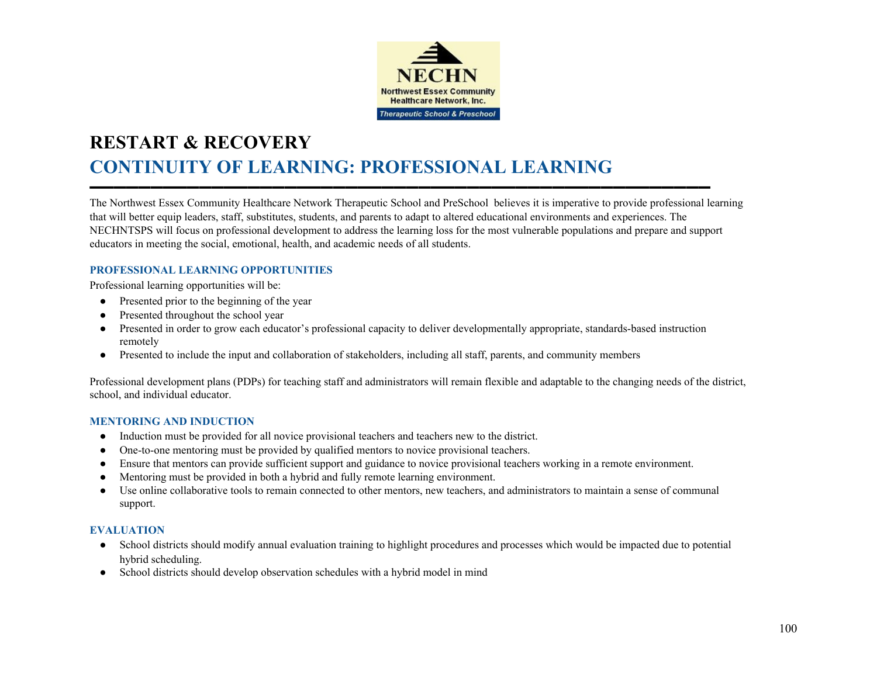

# **RESTART & RECOVERY CONTINUITY OF LEARNING: PROFESSIONAL LEARNING**

The Northwest Essex Community Healthcare Network Therapeutic School and PreSchool believes it is imperative to provide professional learning that will better equip leaders, staff, substitutes, students, and parents to adapt to altered educational environments and experiences. The NECHNTSPS will focus on professional development to address the learning loss for the most vulnerable populations and prepare and support educators in meeting the social, emotional, health, and academic needs of all students.

▬▬▬▬▬▬▬▬▬▬▬▬▬▬▬▬▬▬▬▬▬▬▬▬▬▬▬▬▬▬▬▬▬▬▬▬▬▬▬▬▬▬▬▬▬▬▬▬▬▬▬

#### **PROFESSIONAL LEARNING OPPORTUNITIES**

Professional learning opportunities will be:

- Presented prior to the beginning of the year
- Presented throughout the school year
- Presented in order to grow each educator's professional capacity to deliver developmentally appropriate, standards-based instruction remotely
- Presented to include the input and collaboration of stakeholders, including all staff, parents, and community members

Professional development plans (PDPs) for teaching staff and administrators will remain flexible and adaptable to the changing needs of the district, school, and individual educator.

#### **MENTORING AND INDUCTION**

- Induction must be provided for all novice provisional teachers and teachers new to the district.
- One-to-one mentoring must be provided by qualified mentors to novice provisional teachers.
- Ensure that mentors can provide sufficient support and guidance to novice provisional teachers working in a remote environment.
- Mentoring must be provided in both a hybrid and fully remote learning environment.
- Use online collaborative tools to remain connected to other mentors, new teachers, and administrators to maintain a sense of communal support.

#### **EVALUATION**

- School districts should modify annual evaluation training to highlight procedures and processes which would be impacted due to potential hybrid scheduling.
- School districts should develop observation schedules with a hybrid model in mind